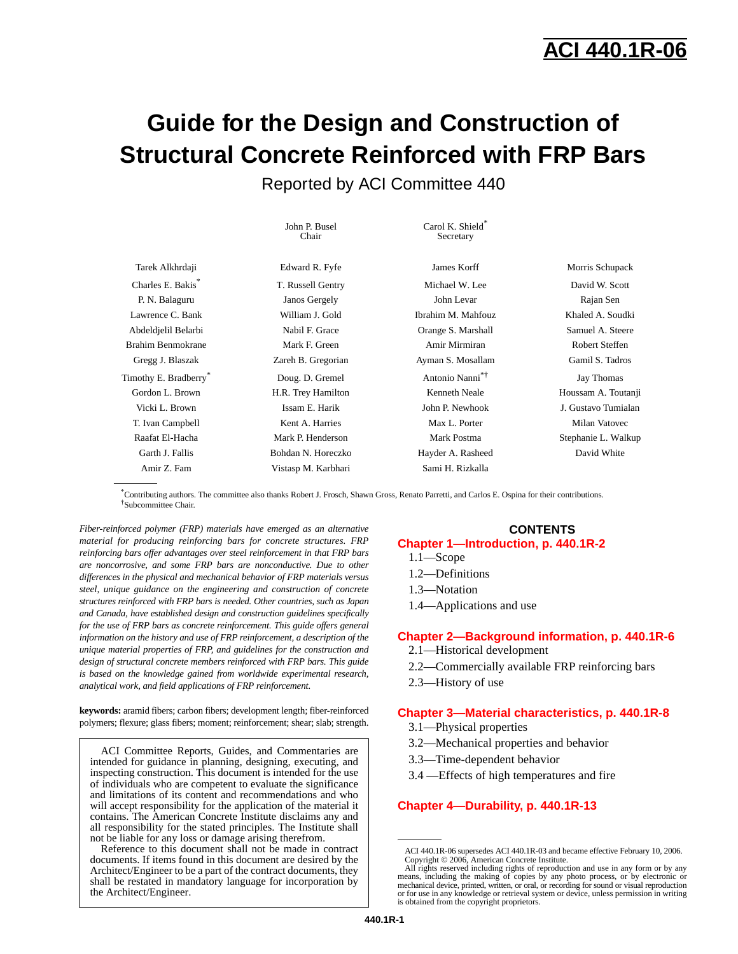# **ACI 440.1R-06**

# **Guide for the Design and Construction of Structural Concrete Reinforced with FRP Bars**

Reported by ACI Committee 440

|                                   | John P. Busel<br>Chair | Carol K. Shield*<br>Secretary |                     |
|-----------------------------------|------------------------|-------------------------------|---------------------|
| Tarek Alkhrdaji                   | Edward R. Fyfe         | James Korff                   | Morris Schupack     |
| Charles E. Bakis <sup>*</sup>     | T. Russell Gentry      | Michael W. Lee                | David W. Scott      |
| P. N. Balaguru                    | Janos Gergely          | John Levar                    | Rajan Sen           |
| Lawrence C. Bank                  | William J. Gold        | Ibrahim M. Mahfouz            | Khaled A. Soudki    |
| Abdeldjelil Belarbi               | Nabil F. Grace         | Orange S. Marshall            | Samuel A. Steere    |
| <b>Brahim Benmokrane</b>          | Mark F. Green          | Amir Mirmiran                 | Robert Steffen      |
| Gregg J. Blaszak                  | Zareh B. Gregorian     | Ayman S. Mosallam             | Gamil S. Tadros     |
| Timothy E. Bradberry <sup>®</sup> | Doug. D. Gremel        | Antonio Nanni <sup>*†</sup>   | Jay Thomas          |
| Gordon L. Brown                   | H.R. Trey Hamilton     | Kenneth Neale                 | Houssam A. Toutanji |
| Vicki L. Brown                    | Issam E. Harik         | John P. Newhook               | J. Gustavo Tumialan |
| T. Ivan Campbell                  | Kent A. Harries        | Max L. Porter                 | Milan Vatovec       |
| Raafat El-Hacha                   | Mark P. Henderson      | Mark Postma                   | Stephanie L. Walkup |
| Garth J. Fallis                   | Bohdan N. Horeczko     | Hayder A. Rasheed             | David White         |
| Amir Z. Fam                       | Vistasp M. Karbhari    | Sami H. Rizkalla              |                     |

\*Contributing authors. The committee also thanks Robert J. Frosch, Shawn Gross, Renato Parretti, and Carlos E. Ospina for their contributions. †Subcommittee Chair.

*Fiber-reinforced polymer (FRP) materials have emerged as an alternative material for producing reinforcing bars for concrete structures. FRP reinforcing bars offer advantages over steel reinforcement in that FRP bars are noncorrosive, and some FRP bars are nonconductive. Due to other differences in the physical and mechanical behavior of FRP materials versus steel, unique guidance on the engineering and construction of concrete structures reinforced with FRP bars is needed. Other countries, such as Japan and Canada, have established design and construction guidelines specifically for the use of FRP bars as concrete reinforcement. This guide offers general information on the history and use of FRP reinforcement, a description of the unique material properties of FRP, and guidelines for the construction and design of structural concrete members reinforced with FRP bars. This guide is based on the knowledge gained from worldwide experimental research, analytical work, and field applications of FRP reinforcement.*

**keywords:** aramid fibers; carbon fibers; development length; fiber-reinforced polymers; flexure; glass fibers; moment; reinforcement; shear; slab; strength.

ACI Committee Reports, Guides, and Commentaries are intended for guidance in planning, designing, executing, and inspecting construction. This document is intended for the use of individuals who are competent to evaluate the significance and limitations of its content and recommendations and who will accept responsibility for the application of the material it contains. The American Concrete Institute disclaims any and all responsibility for the stated principles. The Institute shall not be liable for any loss or damage arising therefrom.

Reference to this document shall not be made in contract documents. If items found in this document are desired by the Architect/Engineer to be a part of the contract documents, they shall be restated in mandatory language for incorporation by the Architect/Engineer.

## **CONTENTS**

### **[Chapter 1—Introduction, p. 440.1R-2](#page-1-0)**

- 1.1—Scope
- 1.2—Definitions
- 1.3—Notation
- 1.4—Applications and use

## **[Chapter 2—Background information, p. 440.1R-6](#page-5-0)**

- 2.1—Historical development
- 2.2—Commercially available FRP reinforcing bars
- 2.3—History of use

#### **[Chapter 3—Material characteristics, p. 440.1R-8](#page-7-0)**

- 3.1—Physical properties
- 3.2—Mechanical properties and behavior
- 3.3—Time-dependent behavior
- 3.4 —Effects of high temperatures and fire

#### **[Chapter 4—Durability, p. 440.1R-13](#page-12-0)**

ACI 440.1R-06 supersedes ACI 440.1R-03 and became effective February 10, 2006. Copyright © 2006, American Concrete Institute. All rights reserved including rights of reproduction and use in any form or by any

means, including the making of copies by any photo process, or by electronic or mechanical device, printed, written, or oral, or recording for sound or visual reproduction or for use in any knowledge or retrieval system or device, unless permission in writing is obtained from the copyright proprietors.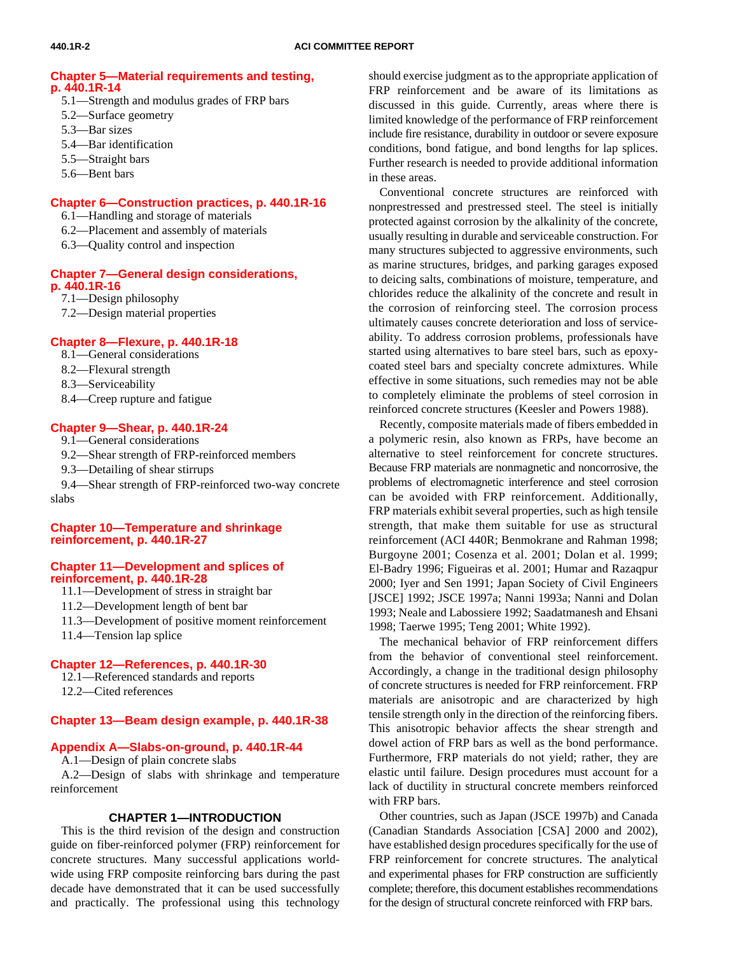#### **[Chapter 5—Material requirements and testing,](#page-13-0) p. 440.1R-14**

- 5.1—Strength and modulus grades of FRP bars
- 5.2—Surface geometry
- 5.3—Bar sizes
- 5.4—Bar identification
- 5.5—Straight bars
- 5.6—Bent bars

#### **[Chapter 6—Construction practices, p. 440.1R-16](#page-15-0)**

- 6.1—Handling and storage of materials
- 6.2—Placement and assembly of materials
- 6.3—Quality control and inspection

#### **[Chapter 7—General design considerations,](#page-15-1) p. 440.1R-16**

7.1—Design philosophy

7.2—Design material properties

### **[Chapter 8—Flexure, p. 440.1R-18](#page-17-0)**

- 8.1—General considerations
- 8.2—Flexural strength
- <span id="page-1-0"></span>8.3—Serviceability
- 8.4—Creep rupture and fatigue

#### **[Chapter 9—Shear, p. 440.1R-24](#page-23-0)**

- 9.1—General considerations
- 9.2—Shear strength of FRP-reinforced members
- 9.3—Detailing of shear stirrups

9.4—Shear strength of FRP-reinforced two-way concrete slabs

#### **[Chapter 10—Temperature and shrinkage](#page-26-0) reinforcement, p. 440.1R-27**

#### **[Chapter 11—Development and splices of](#page-27-0) reinforcement, p. 440.1R-28**

- 11.1—Development of stress in straight bar
- 11.2—Development length of bent bar
- 11.3—Development of positive moment reinforcement
- 11.4—Tension lap splice

#### **[Chapter 12—References, p. 440.1R-30](#page-29-0)**

- 12.1—Referenced standards and reports
- 12.2—Cited references

#### **[Chapter 13—Beam design example, p. 440.1R-38](#page-37-0)**

#### **[Appendix A—Slabs-on-ground, p. 440.1R-44](#page-43-0)**

A.1—Design of plain concrete slabs

A.2—Design of slabs with shrinkage and temperature reinforcement

#### **CHAPTER 1—INTRODUCTION**

This is the third revision of the design and construction guide on fiber-reinforced polymer (FRP) reinforcement for concrete structures. Many successful applications worldwide using FRP composite reinforcing bars during the past decade have demonstrated that it can be used successfully and practically. The professional using this technology should exercise judgment as to the appropriate application of FRP reinforcement and be aware of its limitations as discussed in this guide. Currently, areas where there is limited knowledge of the performance of FRP reinforcement include fire resistance, durability in outdoor or severe exposure conditions, bond fatigue, and bond lengths for lap splices. Further research is needed to provide additional information in these areas.

Conventional concrete structures are reinforced with nonprestressed and prestressed steel. The steel is initially protected against corrosion by the alkalinity of the concrete, usually resulting in durable and serviceable construction. For many structures subjected to aggressive environments, such as marine structures, bridges, and parking garages exposed to deicing salts, combinations of moisture, temperature, and chlorides reduce the alkalinity of the concrete and result in the corrosion of reinforcing steel. The corrosion process ultimately causes concrete deterioration and loss of serviceability. To address corrosion problems, professionals have started using alternatives to bare steel bars, such as epoxycoated steel bars and specialty concrete admixtures. While effective in some situations, such remedies may not be able to completely eliminate the problems of steel corrosion in reinforced concrete structures (Keesler and Powers 1988).

Recently, composite materials made of fibers embedded in a polymeric resin, also known as FRPs, have become an alternative to steel reinforcement for concrete structures. Because FRP materials are nonmagnetic and noncorrosive, the problems of electromagnetic interference and steel corrosion can be avoided with FRP reinforcement. Additionally, FRP materials exhibit several properties, such as high tensile strength, that make them suitable for use as structural reinforcement (ACI 440R; Benmokrane and Rahman 1998; Burgoyne 2001; Cosenza et al. 2001; Dolan et al. 1999; El-Badry 1996; Figueiras et al. 2001; Humar and Razaqpur 2000; Iyer and Sen 1991; Japan Society of Civil Engineers [JSCE] 1992; JSCE 1997a; Nanni 1993a; Nanni and Dolan 1993; Neale and Labossiere 1992; Saadatmanesh and Ehsani 1998; Taerwe 1995; Teng 2001; White 1992).

The mechanical behavior of FRP reinforcement differs from the behavior of conventional steel reinforcement. Accordingly, a change in the traditional design philosophy of concrete structures is needed for FRP reinforcement. FRP materials are anisotropic and are characterized by high tensile strength only in the direction of the reinforcing fibers. This anisotropic behavior affects the shear strength and dowel action of FRP bars as well as the bond performance. Furthermore, FRP materials do not yield; rather, they are elastic until failure. Design procedures must account for a lack of ductility in structural concrete members reinforced with FRP bars.

Other countries, such as Japan (JSCE 1997b) and Canada (Canadian Standards Association [CSA] 2000 and 2002), have established design procedures specifically for the use of FRP reinforcement for concrete structures. The analytical and experimental phases for FRP construction are sufficiently complete; therefore, this document establishes recommendations for the design of structural concrete reinforced with FRP bars.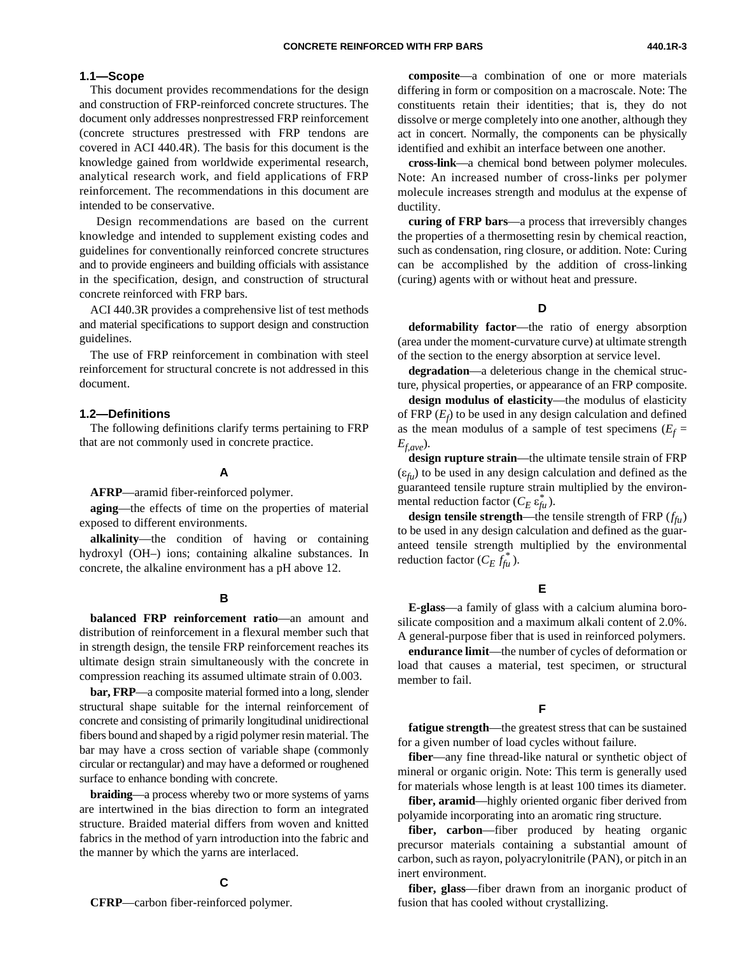#### **1.1—Scope**

This document provides recommendations for the design and construction of FRP-reinforced concrete structures. The document only addresses nonprestressed FRP reinforcement (concrete structures prestressed with FRP tendons are covered in ACI 440.4R). The basis for this document is the knowledge gained from worldwide experimental research, analytical research work, and field applications of FRP reinforcement. The recommendations in this document are intended to be conservative.

 Design recommendations are based on the current knowledge and intended to supplement existing codes and guidelines for conventionally reinforced concrete structures and to provide engineers and building officials with assistance in the specification, design, and construction of structural concrete reinforced with FRP bars.

ACI 440.3R provides a comprehensive list of test methods and material specifications to support design and construction guidelines.

The use of FRP reinforcement in combination with steel reinforcement for structural concrete is not addressed in this document.

#### **1.2—Definitions**

The following definitions clarify terms pertaining to FRP that are not commonly used in concrete practice.

#### **A**

**AFRP**—aramid fiber-reinforced polymer.

**aging**—the effects of time on the properties of material exposed to different environments.

**alkalinity**—the condition of having or containing hydroxyl (OH–) ions; containing alkaline substances. In concrete, the alkaline environment has a pH above 12.

#### **B**

**balanced FRP reinforcement ratio**—an amount and distribution of reinforcement in a flexural member such that in strength design, the tensile FRP reinforcement reaches its ultimate design strain simultaneously with the concrete in compression reaching its assumed ultimate strain of 0.003.

**bar, FRP**—a composite material formed into a long, slender structural shape suitable for the internal reinforcement of concrete and consisting of primarily longitudinal unidirectional fibers bound and shaped by a rigid polymer resin material. The bar may have a cross section of variable shape (commonly circular or rectangular) and may have a deformed or roughened surface to enhance bonding with concrete.

**braiding**—a process whereby two or more systems of yarns are intertwined in the bias direction to form an integrated structure. Braided material differs from woven and knitted fabrics in the method of yarn introduction into the fabric and the manner by which the yarns are interlaced.

#### **C**

**CFRP**—carbon fiber-reinforced polymer.

**composite**—a combination of one or more materials differing in form or composition on a macroscale. Note: The constituents retain their identities; that is, they do not dissolve or merge completely into one another, although they act in concert. Normally, the components can be physically identified and exhibit an interface between one another.

**cross-link**—a chemical bond between polymer molecules. Note: An increased number of cross-links per polymer molecule increases strength and modulus at the expense of ductility.

**curing of FRP bars**—a process that irreversibly changes the properties of a thermosetting resin by chemical reaction, such as condensation, ring closure, or addition. Note: Curing can be accomplished by the addition of cross-linking (curing) agents with or without heat and pressure.

#### **D**

**deformability factor**—the ratio of energy absorption (area under the moment-curvature curve) at ultimate strength of the section to the energy absorption at service level.

**degradation**—a deleterious change in the chemical structure, physical properties, or appearance of an FRP composite.

**design modulus of elasticity**—the modulus of elasticity of FRP (*Ef* ) to be used in any design calculation and defined as the mean modulus of a sample of test specimens  $(E_f =$  $E_{f,ave}$ ).

**design rupture strain**—the ultimate tensile strain of FRP (ε*fu*) to be used in any design calculation and defined as the guaranteed tensile rupture strain multiplied by the environmental reduction factor  $(C_E \varepsilon_{fu}^*)$ .

**design tensile strength**—the tensile strength of FRP  $(f_{f\hat{u}})$ to be used in any design calculation and defined as the guaranteed tensile strength multiplied by the environmental reduction factor  $(C_E \tilde{f}_{fu}^*)$ .

#### **E**

**E-glass**—a family of glass with a calcium alumina borosilicate composition and a maximum alkali content of 2.0%. A general-purpose fiber that is used in reinforced polymers.

**endurance limit**—the number of cycles of deformation or load that causes a material, test specimen, or structural member to fail.

#### **F**

**fatigue strength**—the greatest stress that can be sustained for a given number of load cycles without failure.

**fiber**—any fine thread-like natural or synthetic object of mineral or organic origin. Note: This term is generally used for materials whose length is at least 100 times its diameter.

**fiber, aramid**—highly oriented organic fiber derived from polyamide incorporating into an aromatic ring structure.

fiber, carbon—fiber produced by heating organic precursor materials containing a substantial amount of carbon, such as rayon, polyacrylonitrile (PAN), or pitch in an inert environment.

**fiber, glass**—fiber drawn from an inorganic product of fusion that has cooled without crystallizing.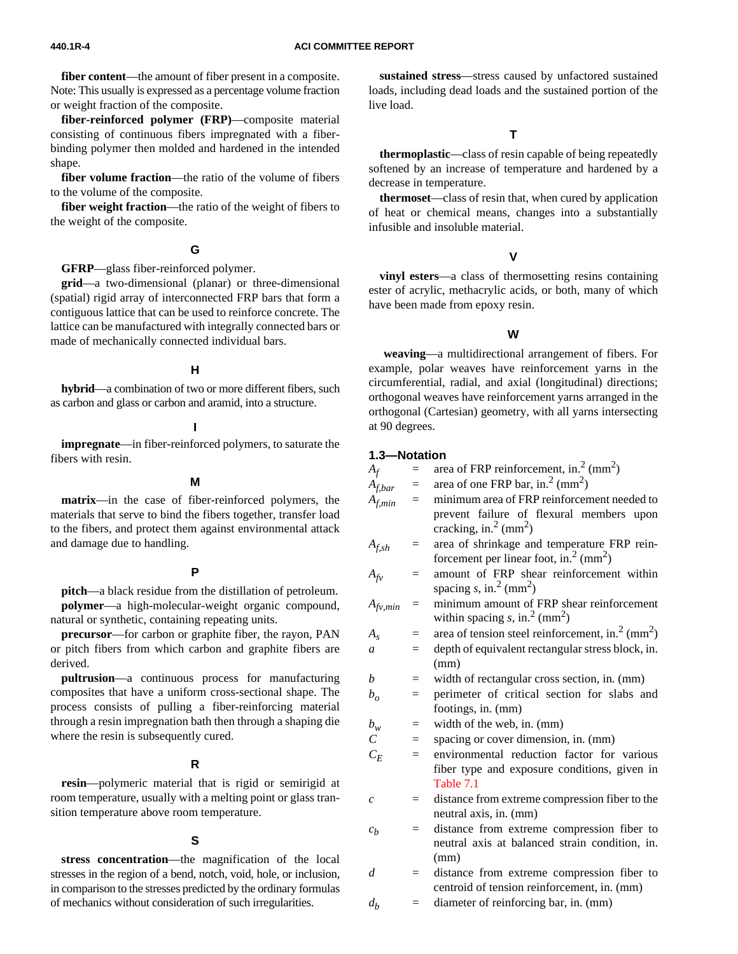**fiber content**—the amount of fiber present in a composite. Note: This usually is expressed as a percentage volume fraction or weight fraction of the composite.

**fiber-reinforced polymer (FRP)**—composite material consisting of continuous fibers impregnated with a fiberbinding polymer then molded and hardened in the intended shape.

**fiber volume fraction**—the ratio of the volume of fibers to the volume of the composite.

**fiber weight fraction**—the ratio of the weight of fibers to the weight of the composite.

#### **G**

**GFRP**—glass fiber-reinforced polymer.

**grid**—a two-dimensional (planar) or three-dimensional (spatial) rigid array of interconnected FRP bars that form a contiguous lattice that can be used to reinforce concrete. The lattice can be manufactured with integrally connected bars or made of mechanically connected individual bars.

#### **H**

**hybrid**—a combination of two or more different fibers, such as carbon and glass or carbon and aramid, into a structure.

#### **I**

**impregnate**—in fiber-reinforced polymers, to saturate the fibers with resin.

#### **M**

**matrix**—in the case of fiber-reinforced polymers, the materials that serve to bind the fibers together, transfer load to the fibers, and protect them against environmental attack and damage due to handling.

#### **P**

**pitch**—a black residue from the distillation of petroleum. **polymer**—a high-molecular-weight organic compound, natural or synthetic, containing repeating units.

**precursor**—for carbon or graphite fiber, the rayon, PAN or pitch fibers from which carbon and graphite fibers are derived.

**pultrusion**—a continuous process for manufacturing composites that have a uniform cross-sectional shape. The process consists of pulling a fiber-reinforcing material through a resin impregnation bath then through a shaping die where the resin is subsequently cured.

#### **R**

**resin**—polymeric material that is rigid or semirigid at room temperature, usually with a melting point or glass transition temperature above room temperature.

#### **S**

**stress concentration**—the magnification of the local stresses in the region of a bend, notch, void, hole, or inclusion, in comparison to the stresses predicted by the ordinary formulas of mechanics without consideration of such irregularities.

**sustained stress**—stress caused by unfactored sustained loads, including dead loads and the sustained portion of the live load.

#### **T**

**thermoplastic**—class of resin capable of being repeatedly softened by an increase of temperature and hardened by a decrease in temperature.

**thermoset**—class of resin that, when cured by application of heat or chemical means, changes into a substantially infusible and insoluble material.

#### **V**

**vinyl esters**—a class of thermosetting resins containing ester of acrylic, methacrylic acids, or both, many of which have been made from epoxy resin.

#### **W**

 **weaving**—a multidirectional arrangement of fibers. For example, polar weaves have reinforcement yarns in the circumferential, radial, and axial (longitudinal) directions; orthogonal weaves have reinforcement yarns arranged in the orthogonal (Cartesian) geometry, with all yarns intersecting at 90 degrees.

#### **1.3—Notation**

 $A_f$  = area of FRP reinforcement, in.<sup>2</sup> (mm<sup>2</sup>)

- $A_{f,bar}$  = area of one FRP bar, in.<sup>2</sup> (mm<sup>2</sup>)<br> $A_{f,min}$  = minimum area of FRP reinforcen = minimum area of FRP reinforcement needed to prevent failure of flexural members upon cracking, in.<sup>2</sup> (mm<sup>2</sup>)
- *Af,sh* = area of shrinkage and temperature FRP reinforcement per linear foot, in.<sup>2</sup> (mm<sup>2</sup>)
- $A_{fv}$  = amount of FRP shear reinforcement within spacing  $s$ , in.<sup>2</sup> (mm<sup>2</sup>)
- $A_{fv,min}$  = minimum amount of FRP shear reinforcement within spacing  $s$ , in.<sup>2</sup> (mm<sup>2</sup>)
- $A_s$  = area of tension steel reinforcement, in.<sup>2</sup> (mm<sup>2</sup>)
- $a =$  depth of equivalent rectangular stress block, in. (mm)
- $b$  = width of rectangular cross section, in. (mm)
- $b<sub>o</sub>$  = perimeter of critical section for slabs and footings, in. (mm)
- $b_w$  = width of the web, in. (mm)
- *C* = spacing or cover dimension, in. (mm)
- $C_F$  = environmental reduction factor for various fiber type and exposure conditions, given in [Table 7.1](#page-16-0)
- *c* = distance from extreme compression fiber to the neutral axis, in. (mm)
- $c_b$  = distance from extreme compression fiber to neutral axis at balanced strain condition, in. (mm)
- *d* = distance from extreme compression fiber to centroid of tension reinforcement, in. (mm)
- $d_b$  = diameter of reinforcing bar, in. (mm)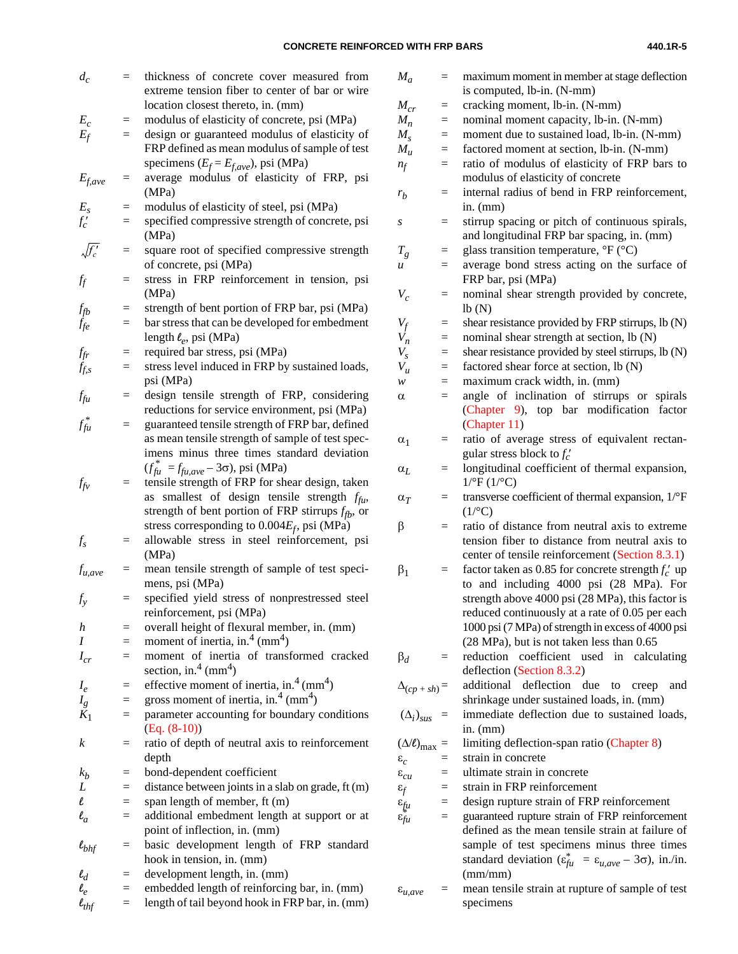| $d_c$               | $=$ | thickness of concrete cover measured from<br>extreme tension fiber to center of bar or wire<br>location closest thereto, in. (mm) |
|---------------------|-----|-----------------------------------------------------------------------------------------------------------------------------------|
| $E_c$               | Ξ   | modulus of elasticity of concrete, psi (MPa)                                                                                      |
| $E_f$               | $=$ | design or guaranteed modulus of elasticity of                                                                                     |
|                     |     | FRP defined as mean modulus of sample of test                                                                                     |
|                     |     | specimens ( $E_f = E_{f,ave}$ ), psi (MPa)                                                                                        |
| $E_{f,ave}$         | $=$ | average modulus of elasticity of FRP, psi<br>(MPa)                                                                                |
| $E_{s}$             | $=$ | modulus of elasticity of steel, psi (MPa)                                                                                         |
| $f'_c$              | $=$ | specified compressive strength of concrete, psi                                                                                   |
|                     |     | (MPa)                                                                                                                             |
| $\sqrt{f'_c}$       | $=$ | square root of specified compressive strength<br>of concrete, psi (MPa)                                                           |
| ff                  | $=$ | stress in FRP reinforcement in tension, psi                                                                                       |
|                     |     | (MPa)                                                                                                                             |
| f <sub>fb</sub>     | $=$ | strength of bent portion of FRP bar, psi (MPa)                                                                                    |
| $f_{fe}$            | $=$ | bar stress that can be developed for embedment<br>length $\ell_e$ , psi (MPa)                                                     |
|                     | $=$ | required bar stress, psi (MPa)                                                                                                    |
| $f_{fr}$            | $=$ | stress level induced in FRP by sustained loads,                                                                                   |
| $\check{f}_{f,s}$   |     | psi (MPa)                                                                                                                         |
| $f_{\mathfrak{f}u}$ | $=$ | design tensile strength of FRP, considering                                                                                       |
|                     |     | reductions for service environment, psi (MPa)                                                                                     |
| $f_{\text{fu}}^*$   | $=$ | guaranteed tensile strength of FRP bar, defined                                                                                   |
|                     |     | as mean tensile strength of sample of test spec-                                                                                  |
|                     |     | imens minus three times standard deviation                                                                                        |
|                     |     | $(f_{fu}^* = f_{fu,ave} - 3\sigma)$ , psi (MPa)                                                                                   |
| $f_{fv}$            | $=$ | tensile strength of FRP for shear design, taken                                                                                   |
|                     |     | smallest of design tensile strength $f_{\hat{t}u}$ ,<br>as                                                                        |
|                     |     | strength of bent portion of FRP stirrups $f_{fb}$ , or                                                                            |
|                     |     | stress corresponding to $0.004E_f$ , psi (MPa)                                                                                    |
| $f_{s}$             | $=$ | allowable stress in steel reinforcement, psi                                                                                      |
|                     |     | (MPa)                                                                                                                             |
| $f_{u,ave}$         |     | mean tensile strength of sample of test speci-                                                                                    |
|                     |     | mens, psi (MPa)                                                                                                                   |
| $f_{y}$             | $=$ | specified yield stress of nonprestressed steel                                                                                    |
|                     |     | reinforcement, psi (MPa)                                                                                                          |
| h                   | $=$ | overall height of flexural member, in. (mm)                                                                                       |
| $\boldsymbol{I}$    | $=$ | moment of inertia, in. <sup>4</sup> (mm <sup>4</sup> )                                                                            |
| $I_{cr}$            | $=$ | moment of inertia of transformed cracked                                                                                          |
|                     |     | section, in. <sup>4</sup> (mm <sup>4</sup> )                                                                                      |
| $I_e$               | $=$ | effective moment of inertia, in. <sup>4</sup> (mm <sup>4</sup> )                                                                  |
| $I_{g}$             | $=$ | gross moment of inertia, in. <sup>4</sup> (mm <sup>4</sup> )                                                                      |
| $K_1$               | $=$ | parameter accounting for boundary conditions<br>$(Eq. (8-10))$                                                                    |
| $\boldsymbol{k}$    | $=$ | ratio of depth of neutral axis to reinforcement                                                                                   |
|                     |     | depth                                                                                                                             |
| $k_b$               | $=$ | bond-dependent coefficient                                                                                                        |
| L                   | $=$ | distance between joints in a slab on grade, ft (m)                                                                                |
| $\ell$              | $=$ | span length of member, ft (m)                                                                                                     |
| $\ell_a$            | $=$ | additional embedment length at support or at                                                                                      |
|                     |     | point of inflection, in. (mm)                                                                                                     |
| $\ell_{bhf}$        | $=$ | basic development length of FRP standard                                                                                          |
|                     |     | hook in tension, in. (mm)                                                                                                         |
| $\ell_d$            | $=$ | development length, in. (mm)                                                                                                      |
| $\ell_e$            | $=$ | embedded length of reinforcing bar, in. (mm)                                                                                      |
| $\ell_{thf}$        | $=$ | length of tail beyond hook in FRP bar, in. (mm)                                                                                   |
|                     |     |                                                                                                                                   |

| $M_a$                                                       | $=$ | maximum moment in member at stage deflection                                         |
|-------------------------------------------------------------|-----|--------------------------------------------------------------------------------------|
|                                                             |     | is computed, lb-in. (N-mm)                                                           |
| $M_{cr}$                                                    | $=$ | cracking moment, lb-in. (N-mm)                                                       |
| $M_n$                                                       | $=$ | nominal moment capacity, lb-in. (N-mm)                                               |
| $M_{s}$                                                     | $=$ | moment due to sustained load, lb-in. (N-mm)                                          |
| $M_{\mu}$                                                   | $=$ | factored moment at section, lb-in. (N-mm)                                            |
| $n_f$                                                       | $=$ | ratio of modulus of elasticity of FRP bars to                                        |
|                                                             |     | modulus of elasticity of concrete                                                    |
| $r_b$                                                       | $=$ | internal radius of bend in FRP reinforcement,                                        |
|                                                             |     | in. $(mm)$                                                                           |
| S                                                           | $=$ | stirrup spacing or pitch of continuous spirals,                                      |
|                                                             |     | and longitudinal FRP bar spacing, in. (mm)                                           |
| $T_g$                                                       | $=$ | glass transition temperature, ${}^{\circ}$ F ( ${}^{\circ}$ C)                       |
| u                                                           |     | average bond stress acting on the surface of                                         |
|                                                             |     | FRP bar, psi (MPa)                                                                   |
| $V_c$                                                       | $=$ | nominal shear strength provided by concrete,                                         |
|                                                             |     | lb(N)                                                                                |
| $V_f$                                                       | $=$ | shear resistance provided by FRP stirrups, lb (N)                                    |
| $V_n$                                                       | $=$ | nominal shear strength at section, lb (N)                                            |
| $V_{s}$                                                     | $=$ | shear resistance provided by steel stirrups, lb (N)                                  |
| $V_{\mu}$                                                   | $=$ | factored shear force at section, lb (N)                                              |
| w                                                           | $=$ | maximum crack width, in. (mm)                                                        |
| α                                                           | $=$ | angle of inclination of stirrups<br>spirals<br>$\hbox{or}$                           |
|                                                             |     | (Chapter 9), top bar modification<br>factor                                          |
|                                                             |     | (Chapter 11)                                                                         |
| $\alpha_1$                                                  | $=$ | ratio of average stress of equivalent rectan-                                        |
|                                                             |     | gular stress block to $f'_c$                                                         |
| $\alpha$ <sub>L</sub>                                       | $=$ | longitudinal coefficient of thermal expansion,                                       |
|                                                             |     | $1^{o}F(1^{o}C)$                                                                     |
| $\alpha_T$                                                  | $=$ | transverse coefficient of thermal expansion, 1/°F                                    |
|                                                             |     | $(1$ <sup>o</sup> C)                                                                 |
| β                                                           | $=$ | ratio of distance from neutral axis to extreme                                       |
|                                                             |     | tension fiber to distance from neutral axis to                                       |
|                                                             |     | center of tensile reinforcement (Section 8.3.1)                                      |
| $\beta_1$                                                   | $=$ | factor taken as 0.85 for concrete strength $f'_c$ up                                 |
|                                                             |     | to and including 4000 psi (28 MPa). For                                              |
|                                                             |     | strength above 4000 psi (28 MPa), this factor is                                     |
|                                                             |     | reduced continuously at a rate of 0.05 per each                                      |
|                                                             |     | 1000 psi (7 MPa) of strength in excess of 4000 psi                                   |
|                                                             |     | (28 MPa), but is not taken less than 0.65                                            |
| $\beta_d$                                                   |     | reduction<br>coefficient used in<br>calculating                                      |
|                                                             |     | deflection (Section 8.3.2)                                                           |
| $\Delta_{(cp + sh)} =$                                      |     | additional<br>deflection due<br>creep<br>to<br>and                                   |
|                                                             |     | shrinkage under sustained loads, in. (mm)                                            |
| $(\Delta_i)_{sus}$ =                                        |     | immediate deflection due to sustained loads,                                         |
|                                                             |     | in. $(mm)$                                                                           |
| $(\Delta/\ell)_{\text{max}} =$                              |     | limiting deflection-span ratio (Chapter 8)                                           |
|                                                             |     | strain in concrete                                                                   |
| $\varepsilon_c$                                             |     | ultimate strain in concrete                                                          |
| $\varepsilon_{cu}$                                          |     | strain in FRP reinforcement                                                          |
| $\varepsilon_f$<br>$\varepsilon_{fu}$<br>$\varepsilon_{fu}$ | $=$ | design rupture strain of FRP reinforcement                                           |
|                                                             | $=$ | guaranteed rupture strain of FRP reinforcement                                       |
|                                                             |     | defined as the mean tensile strain at failure of                                     |
|                                                             |     | sample of test specimens minus three times                                           |
|                                                             |     | standard deviation ( $\varepsilon_{fu}^* = \varepsilon_{u,ave} - 3\sigma$ ), in./in. |
|                                                             |     | (mm/mm)                                                                              |
|                                                             |     |                                                                                      |

ε*u,ave* = mean tensile strain at rupture of sample of test specimens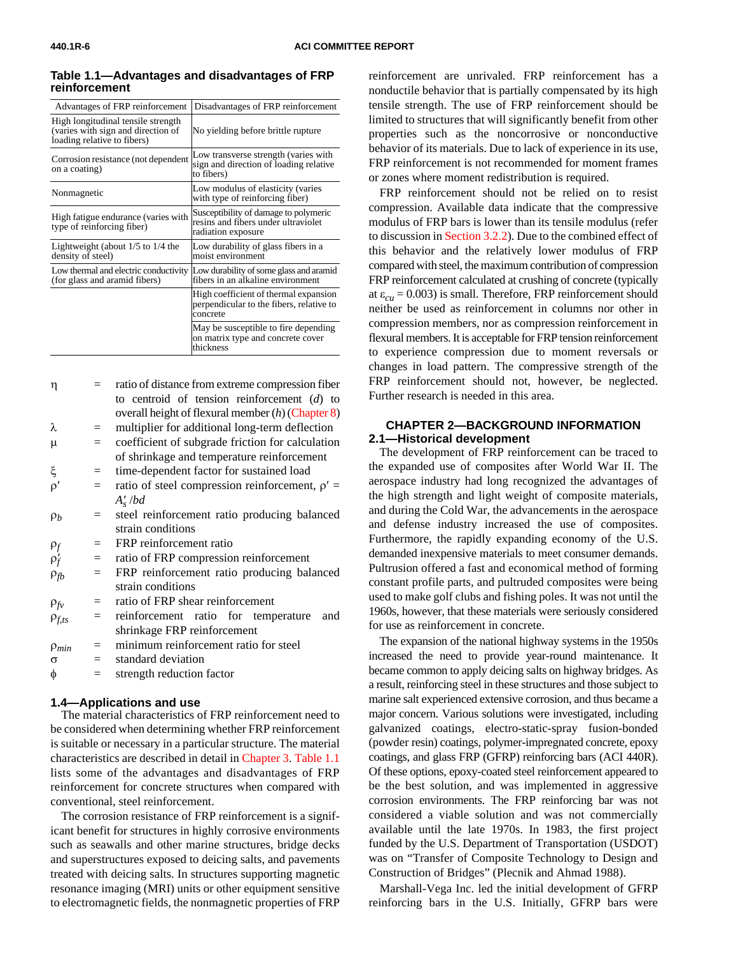| Advantages of FRP reinforcement                                                                         | Disadvantages of FRP reinforcement                                                                 |
|---------------------------------------------------------------------------------------------------------|----------------------------------------------------------------------------------------------------|
| High longitudinal tensile strength<br>(varies with sign and direction of<br>loading relative to fibers) | No yielding before brittle rupture                                                                 |
| Corrosion resistance (not dependent<br>on a coating)                                                    | Low transverse strength (varies with<br>sign and direction of loading relative<br>to fibers)       |
| Nonmagnetic                                                                                             | Low modulus of elasticity (varies<br>with type of reinforcing fiber)                               |
| High fatigue endurance (varies with<br>type of reinforcing fiber)                                       | Susceptibility of damage to polymeric<br>resins and fibers under ultraviolet<br>radiation exposure |
| Lightweight (about $1/5$ to $1/4$ the<br>density of steel)                                              | Low durability of glass fibers in a<br>moist environment                                           |
| Low thermal and electric conductivity<br>(for glass and aramid fibers)                                  | Low durability of some glass and aramid<br>fibers in an alkaline environment                       |
|                                                                                                         | High coefficient of thermal expansion<br>perpendicular to the fibers, relative to<br>concrete      |
|                                                                                                         | May be susceptible to fire depending<br>on matrix type and concrete cover<br>thickness             |

<span id="page-5-1"></span>**Table 1.1—Advantages and disadvantages of FRP reinforcement**

<span id="page-5-0"></span>

| $\mathsf{n}$ | ratio of distance from extreme compression fiber    |  |
|--------------|-----------------------------------------------------|--|
|              | to centroid of tension reinforcement $(d)$ to       |  |
|              | overall height of flexural member $(h)$ (Chapter 8) |  |

- $\lambda$  = multiplier for additional long-term deflection  $\mu$  = coefficient of subgrade friction for calculation
- of shrinkage and temperature reinforcement
- ξ = time-dependent factor for sustained load
- $ρ'$  = ratio of steel compression reinforcement,  $ρ'$  = *As* ′ /*bd*
- $\rho_b$  = steel reinforcement ratio producing balanced strain conditions
- ρ*<sup>f</sup>* = FRP reinforcement ratio
- ρ*f* = ratio of FRP compression reinforcement
- $\rho_{fb}$  = FRP reinforcement ratio producing balanced strain conditions
- $\rho_f$  = ratio of FRP shear reinforcement
- ρ*f,ts* = reinforcement ratio for temperature and shrinkage FRP reinforcement ρ*min* = minimum reinforcement ratio for steel
- $\sigma$  = standard deviation
- $\phi$  = strength reduction factor

#### **1.4—Applications and use**

The material characteristics of FRP reinforcement need to be considered when determining whether FRP reinforcement is suitable or necessary in a particular structure. The material characteristics are described in detail [in Chapter 3.](#page-7-1) [Table 1.1](#page-5-1) lists some of the advantages and disadvantages of FRP reinforcement for concrete structures when compared with conventional, steel reinforcement.

The corrosion resistance of FRP reinforcement is a significant benefit for structures in highly corrosive environments such as seawalls and other marine structures, bridge decks and superstructures exposed to deicing salts, and pavements treated with deicing salts. In structures supporting magnetic resonance imaging (MRI) units or other equipment sensitive to electromagnetic fields, the nonmagnetic properties of FRP reinforcement are unrivaled. FRP reinforcement has a nonductile behavior that is partially compensated by its high tensile strength. The use of FRP reinforcement should be limited to structures that will significantly benefit from other properties such as the noncorrosive or nonconductive behavior of its materials. Due to lack of experience in its use, FRP reinforcement is not recommended for moment frames or zones where moment redistribution is required.

FRP reinforcement should not be relied on to resist compression. Available data indicate that the compressive modulus of FRP bars is lower than its tensile modulus (refer to discussion i[n Section 3.2.2\). D](#page-8-0)ue to the combined effect of this behavior and the relatively lower modulus of FRP compared with steel, the maximum contribution of compression FRP reinforcement calculated at crushing of concrete (typically at  $\varepsilon_{cu}$  = 0.003) is small. Therefore, FRP reinforcement should neither be used as reinforcement in columns nor other in compression members, nor as compression reinforcement in flexural members. It is acceptable for FRP tension reinforcement to experience compression due to moment reversals or changes in load pattern. The compressive strength of the FRP reinforcement should not, however, be neglected. Further research is needed in this area.

#### **CHAPTER 2—BACKGROUND INFORMATION 2.1—Historical development**

The development of FRP reinforcement can be traced to the expanded use of composites after World War II. The aerospace industry had long recognized the advantages of the high strength and light weight of composite materials, and during the Cold War, the advancements in the aerospace and defense industry increased the use of composites. Furthermore, the rapidly expanding economy of the U.S. demanded inexpensive materials to meet consumer demands. Pultrusion offered a fast and economical method of forming constant profile parts, and pultruded composites were being used to make golf clubs and fishing poles. It was not until the 1960s, however, that these materials were seriously considered for use as reinforcement in concrete.

The expansion of the national highway systems in the 1950s increased the need to provide year-round maintenance. It became common to apply deicing salts on highway bridges. As a result, reinforcing steel in these structures and those subject to marine salt experienced extensive corrosion, and thus became a major concern. Various solutions were investigated, including galvanized coatings, electro-static-spray fusion-bonded (powder resin) coatings, polymer-impregnated concrete, epoxy coatings, and glass FRP (GFRP) reinforcing bars (ACI 440R). Of these options, epoxy-coated steel reinforcement appeared to be the best solution, and was implemented in aggressive corrosion environments. The FRP reinforcing bar was not considered a viable solution and was not commercially available until the late 1970s. In 1983, the first project funded by the U.S. Department of Transportation (USDOT) was on "Transfer of Composite Technology to Design and Construction of Bridges" (Plecnik and Ahmad 1988).

Marshall-Vega Inc. led the initial development of GFRP reinforcing bars in the U.S. Initially, GFRP bars were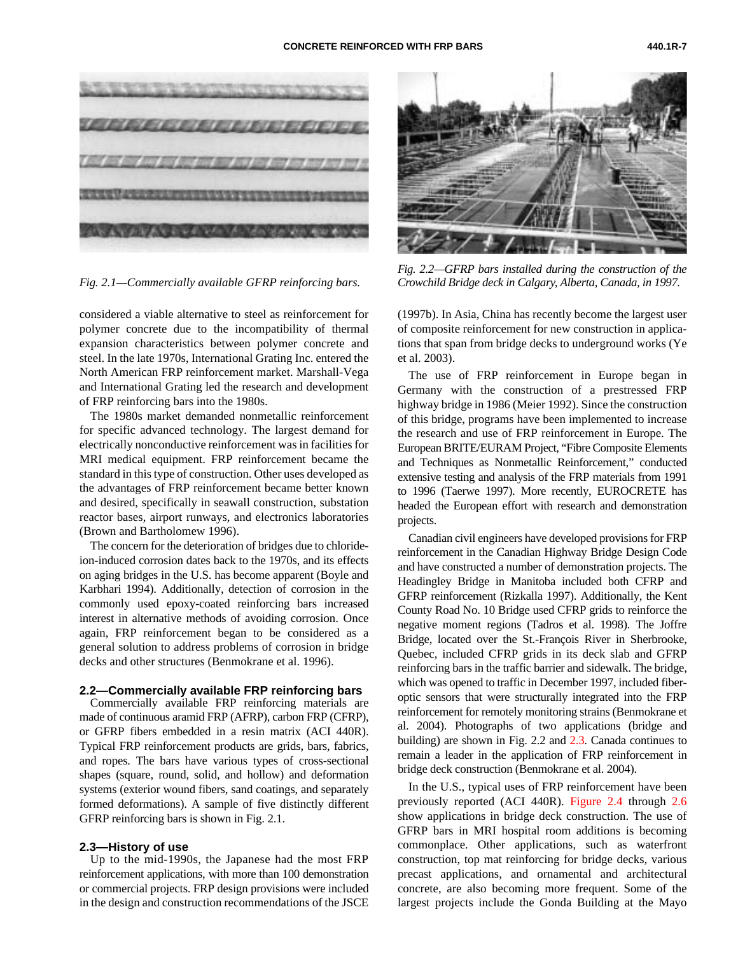

*Fig. 2.1—Commercially available GFRP reinforcing bars.*

considered a viable alternative to steel as reinforcement for polymer concrete due to the incompatibility of thermal expansion characteristics between polymer concrete and steel. In the late 1970s, International Grating Inc. entered the North American FRP reinforcement market. Marshall-Vega and International Grating led the research and development of FRP reinforcing bars into the 1980s.

The 1980s market demanded nonmetallic reinforcement for specific advanced technology. The largest demand for electrically nonconductive reinforcement was in facilities for MRI medical equipment. FRP reinforcement became the standard in this type of construction. Other uses developed as the advantages of FRP reinforcement became better known and desired, specifically in seawall construction, substation reactor bases, airport runways, and electronics laboratories (Brown and Bartholomew 1996).

The concern for the deterioration of bridges due to chlorideion-induced corrosion dates back to the 1970s, and its effects on aging bridges in the U.S. has become apparent (Boyle and Karbhari 1994). Additionally, detection of corrosion in the commonly used epoxy-coated reinforcing bars increased interest in alternative methods of avoiding corrosion. Once again, FRP reinforcement began to be considered as a general solution to address problems of corrosion in bridge decks and other structures (Benmokrane et al. 1996).

#### **2.2—Commercially available FRP reinforcing bars**

Commercially available FRP reinforcing materials are made of continuous aramid FRP (AFRP), carbon FRP (CFRP), or GFRP fibers embedded in a resin matrix (ACI 440R). Typical FRP reinforcement products are grids, bars, fabrics, and ropes. The bars have various types of cross-sectional shapes (square, round, solid, and hollow) and deformation systems (exterior wound fibers, sand coatings, and separately formed deformations). A sample of five distinctly different GFRP reinforcing bars is shown in Fig. 2.1.

#### **2.3—History of use**

Up to the mid-1990s, the Japanese had the most FRP reinforcement applications, with more than 100 demonstration or commercial projects. FRP design provisions were included in the design and construction recommendations of the JSCE



*Fig. 2.2—GFRP bars installed during the construction of the Crowchild Bridge deck in Calgary, Alberta, Canada, in 1997.*

(1997b). In Asia, China has recently become the largest user of composite reinforcement for new construction in applications that span from bridge decks to underground works (Ye et al. 2003).

The use of FRP reinforcement in Europe began in Germany with the construction of a prestressed FRP highway bridge in 1986 (Meier 1992). Since the construction of this bridge, programs have been implemented to increase the research and use of FRP reinforcement in Europe. The European BRITE/EURAM Project, "Fibre Composite Elements and Techniques as Nonmetallic Reinforcement," conducted extensive testing and analysis of the FRP materials from 1991 to 1996 (Taerwe 1997). More recently, EUROCRETE has headed the European effort with research and demonstration projects.

Canadian civil engineers have developed provisions for FRP reinforcement in the Canadian Highway Bridge Design Code and have constructed a number of demonstration projects. The Headingley Bridge in Manitoba included both CFRP and GFRP reinforcement (Rizkalla 1997). Additionally, the Kent County Road No. 10 Bridge used CFRP grids to reinforce the negative moment regions (Tadros et al. 1998). The Joffre Bridge, located over the St.-François River in Sherbrooke, Quebec, included CFRP grids in its deck slab and GFRP reinforcing bars in the traffic barrier and sidewalk. The bridge, which was opened to traffic in December 1997, included fiberoptic sensors that were structurally integrated into the FRP reinforcement for remotely monitoring strains (Benmokrane et al. 2004). Photographs of two applications (bridge and building) are shown in Fig. 2.2 an[d 2.3. C](#page-7-2)anada continues to remain a leader in the application of FRP reinforcement in bridge deck construction (Benmokrane et al. 2004).

In the U.S., typical uses of FRP reinforcement have been previously reported (ACI 440R)[. Figure 2.4 t](#page-7-3)hroug[h 2.6](#page-7-4) show applications in bridge deck construction. The use of GFRP bars in MRI hospital room additions is becoming commonplace. Other applications, such as waterfront construction, top mat reinforcing for bridge decks, various precast applications, and ornamental and architectural concrete, are also becoming more frequent. Some of the largest projects include the Gonda Building at the Mayo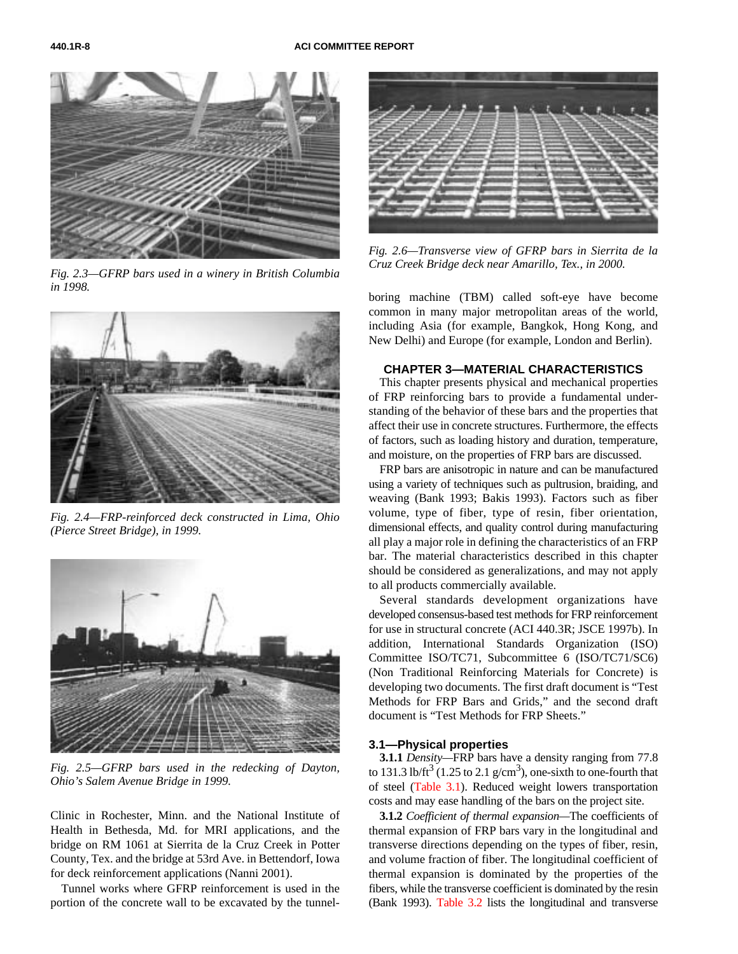<span id="page-7-4"></span><span id="page-7-2"></span>

*Fig. 2.3—GFRP bars used in a winery in British Columbia in 1998.*

<span id="page-7-3"></span><span id="page-7-1"></span><span id="page-7-0"></span>

*Fig. 2.4—FRP-reinforced deck constructed in Lima, Ohio (Pierce Street Bridge), in 1999.*



*Fig. 2.5—GFRP bars used in the redecking of Dayton, Ohio's Salem Avenue Bridge in 1999.*

Clinic in Rochester, Minn. and the National Institute of Health in Bethesda, Md. for MRI applications, and the bridge on RM 1061 at Sierrita de la Cruz Creek in Potter County, Tex. and the bridge at 53rd Ave. in Bettendorf, Iowa for deck reinforcement applications (Nanni 2001).

Tunnel works where GFRP reinforcement is used in the portion of the concrete wall to be excavated by the tunnel-



*Fig. 2.6—Transverse view of GFRP bars in Sierrita de la Cruz Creek Bridge deck near Amarillo, Tex., in 2000.*

boring machine (TBM) called soft-eye have become common in many major metropolitan areas of the world, including Asia (for example, Bangkok, Hong Kong, and New Delhi) and Europe (for example, London and Berlin).

#### **CHAPTER 3—MATERIAL CHARACTERISTICS**

This chapter presents physical and mechanical properties of FRP reinforcing bars to provide a fundamental understanding of the behavior of these bars and the properties that affect their use in concrete structures. Furthermore, the effects of factors, such as loading history and duration, temperature, and moisture, on the properties of FRP bars are discussed.

FRP bars are anisotropic in nature and can be manufactured using a variety of techniques such as pultrusion, braiding, and weaving (Bank 1993; Bakis 1993). Factors such as fiber volume, type of fiber, type of resin, fiber orientation, dimensional effects, and quality control during manufacturing all play a major role in defining the characteristics of an FRP bar. The material characteristics described in this chapter should be considered as generalizations, and may not apply to all products commercially available.

Several standards development organizations have developed consensus-based test methods for FRP reinforcement for use in structural concrete (ACI 440.3R; JSCE 1997b). In addition, International Standards Organization (ISO) Committee ISO/TC71, Subcommittee 6 (ISO/TC71/SC6) (Non Traditional Reinforcing Materials for Concrete) is developing two documents. The first draft document is "Test Methods for FRP Bars and Grids," and the second draft document is "Test Methods for FRP Sheets."

#### **3.1—Physical properties**

**3.1.1** *Density—*FRP bars have a density ranging from 77.8 to 131.3 lb/ft<sup>3</sup> (1.25 to 2.1 g/cm<sup>3</sup>), one-sixth to one-fourth that of steel [\(Table 3.1\). R](#page-8-1)educed weight lowers transportation costs and may ease handling of the bars on the project site.

**3.1.2** *Coefficient of thermal expansion—*The coefficients of thermal expansion of FRP bars vary in the longitudinal and transverse directions depending on the types of fiber, resin, and volume fraction of fiber. The longitudinal coefficient of thermal expansion is dominated by the properties of the fibers, while the transverse coefficient is dominated by the resin (Bank 1993[\). Table 3.2 list](#page-8-2)s the longitudinal and transverse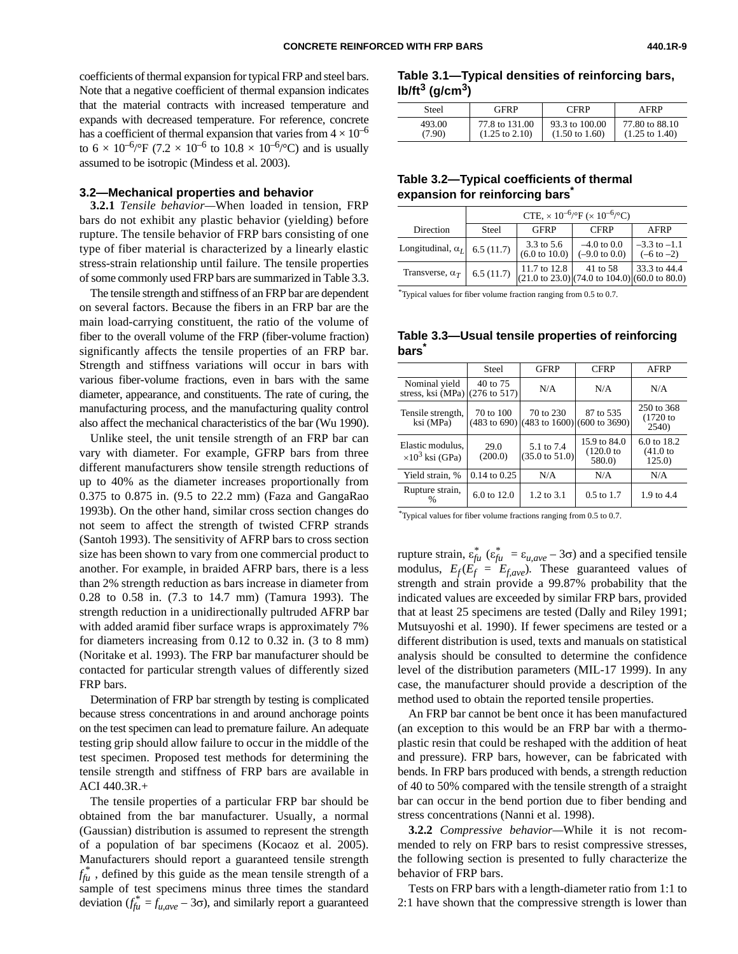<span id="page-8-1"></span>coefficients of thermal expansion for typical FRP and steel bars. Note that a negative coefficient of thermal expansion indicates that the material contracts with increased temperature and expands with decreased temperature. For reference, concrete has a coefficient of thermal expansion that varies from  $4 \times 10^{-6}$ to  $6 \times 10^{-6}$ /°F (7.2 × 10<sup>-6</sup> to 10.8 × 10<sup>-6</sup>/°C) and is usually assumed to be isotropic (Mindess et al. 2003).

#### <span id="page-8-2"></span>**3.2—Mechanical properties and behavior**

**3.2.1** *Tensile behavior—*When loaded in tension, FRP bars do not exhibit any plastic behavior (yielding) before rupture. The tensile behavior of FRP bars consisting of one type of fiber material is characterized by a linearly elastic stress-strain relationship until failure. The tensile properties of some commonly used FRP bars are summarized in Table 3.3.

The tensile strength and stiffness of an FRP bar are dependent on several factors. Because the fibers in an FRP bar are the main load-carrying constituent, the ratio of the volume of fiber to the overall volume of the FRP (fiber-volume fraction) significantly affects the tensile properties of an FRP bar. Strength and stiffness variations will occur in bars with various fiber-volume fractions, even in bars with the same diameter, appearance, and constituents. The rate of curing, the manufacturing process, and the manufacturing quality control also affect the mechanical characteristics of the bar (Wu 1990).

<span id="page-8-0"></span>Unlike steel, the unit tensile strength of an FRP bar can vary with diameter. For example, GFRP bars from three different manufacturers show tensile strength reductions of up to 40% as the diameter increases proportionally from 0.375 to 0.875 in. (9.5 to 22.2 mm) (Faza and GangaRao 1993b). On the other hand, similar cross section changes do not seem to affect the strength of twisted CFRP strands (Santoh 1993). The sensitivity of AFRP bars to cross section size has been shown to vary from one commercial product to another. For example, in braided AFRP bars, there is a less than 2% strength reduction as bars increase in diameter from 0.28 to 0.58 in. (7.3 to 14.7 mm) (Tamura 1993). The strength reduction in a unidirectionally pultruded AFRP bar with added aramid fiber surface wraps is approximately 7% for diameters increasing from 0.12 to 0.32 in. (3 to 8 mm) (Noritake et al. 1993). The FRP bar manufacturer should be contacted for particular strength values of differently sized FRP bars.

Determination of FRP bar strength by testing is complicated because stress concentrations in and around anchorage points on the test specimen can lead to premature failure. An adequate testing grip should allow failure to occur in the middle of the test specimen. Proposed test methods for determining the tensile strength and stiffness of FRP bars are available in ACI 440.3R.+

The tensile properties of a particular FRP bar should be obtained from the bar manufacturer. Usually, a normal (Gaussian) distribution is assumed to represent the strength of a population of bar specimens (Kocaoz et al. 2005). Manufacturers should report a guaranteed tensile strength  $f_{f\mu}^*$ , defined by this guide as the mean tensile strength of a sample of test specimens minus three times the standard deviation  $(f_{fu}^* = f_{u,ave} - 3\sigma)$ , and similarly report a guaranteed

#### **Table 3.1—Typical densities of reinforcing bars, lb/ft3 (g/cm3)**

| Steel  | <b>GFRP</b>               | <b>CFRP</b>               | AFRP                      |
|--------|---------------------------|---------------------------|---------------------------|
| 493.00 | 77.8 to 131.00            | 93.3 to 100.00            | 77.80 to 88.10            |
| (7.90) | $(1.25 \text{ to } 2.10)$ | $(1.50 \text{ to } 1.60)$ | $(1.25 \text{ to } 1.40)$ |

### **Table 3.2—Typical coefficients of thermal expansion for reinforcing bars\***

|                                     | CTE, $\times 10^{-6}$ /°F ( $\times 10^{-6}$ /°C) |                                        |                                                                                        |                                           |
|-------------------------------------|---------------------------------------------------|----------------------------------------|----------------------------------------------------------------------------------------|-------------------------------------------|
| Direction                           | Steel                                             | <b>GFRP</b>                            | <b>CFRP</b>                                                                            | AFRP                                      |
| Longitudinal, $\alpha_I$ 6.5 (11.7) |                                                   | 3.3 to 5.6<br>$(6.0 \text{ to } 10.0)$ | $-4.0$ to 0.0<br>$(-9.0 \text{ to } 0.0)$                                              | $-3.3$ to $-1.1$<br>$(-6 \text{ to } -2)$ |
| Transverse, $\alpha_T$              | 6.5(11.7)                                         | 11.7 to 12.8                           | 41 to 58<br>$(21.0 \text{ to } 23.0) (74.0 \text{ to } 104.0) (60.0 \text{ to } 80.0)$ | 33.3 to 44.4                              |

\*Typical values for fiber volume fraction ranging from 0.5 to 0.7.

#### **Table 3.3—Usual tensile properties of reinforcing bars\***

|                                                            | Steel            | <b>GFRP</b>                                                      | <b>CFRP</b>                            | AFRP                              |
|------------------------------------------------------------|------------------|------------------------------------------------------------------|----------------------------------------|-----------------------------------|
| Nominal yield<br>stress, ksi (MPa) $(276 \text{ to } 517)$ | 40 to 75         | N/A                                                              | N/A                                    | N/A                               |
| Tensile strength,<br>ksi (MPa)                             | 70 to 100        | 70 to 230<br>$(483 \text{ to } 690)$ (483 to 1600) (600 to 3690) | 87 to 535                              | 250 to 368<br>$(1720$ to<br>2540) |
| Elastic modulus,<br>$\times 10^3$ ksi (GPa)                | 29.0<br>(200.0)  | 5.1 to 7.4<br>$(35.0 \text{ to } 51.0)$                          | 15.9 to 84.0<br>$(120.0)$ to<br>580.0) | 6.0 to 18.2<br>(41.0)<br>125.0    |
| Yield strain, %                                            | $0.14$ to $0.25$ | N/A                                                              | N/A                                    | N/A                               |
| Rupture strain,                                            | 6.0 to 12.0      | $1.2 \text{ to } 3.1$                                            | $0.5 \text{ to } 1.7$                  | 1.9 to 4.4                        |

\* Typical values for fiber volume fractions ranging from 0.5 to 0.7.

rupture strain,  $\varepsilon_{f\mu}^*$  ( $\varepsilon_{f\mu}^* = \varepsilon_{u,ave} - 3\sigma$ ) and a specified tensile modulus,  $E_f(E_f = E_{f,ave})$ . These guaranteed values of strength and strain provide a 99.87% probability that the indicated values are exceeded by similar FRP bars, provided that at least 25 specimens are tested (Dally and Riley 1991; Mutsuyoshi et al. 1990). If fewer specimens are tested or a different distribution is used, texts and manuals on statistical analysis should be consulted to determine the confidence level of the distribution parameters (MIL-17 1999). In any case, the manufacturer should provide a description of the method used to obtain the reported tensile properties.

An FRP bar cannot be bent once it has been manufactured (an exception to this would be an FRP bar with a thermoplastic resin that could be reshaped with the addition of heat and pressure). FRP bars, however, can be fabricated with bends. In FRP bars produced with bends, a strength reduction of 40 to 50% compared with the tensile strength of a straight bar can occur in the bend portion due to fiber bending and stress concentrations (Nanni et al. 1998).

**3.2.2** *Compressive behavior—*While it is not recommended to rely on FRP bars to resist compressive stresses, the following section is presented to fully characterize the behavior of FRP bars.

Tests on FRP bars with a length-diameter ratio from 1:1 to 2:1 have shown that the compressive strength is lower than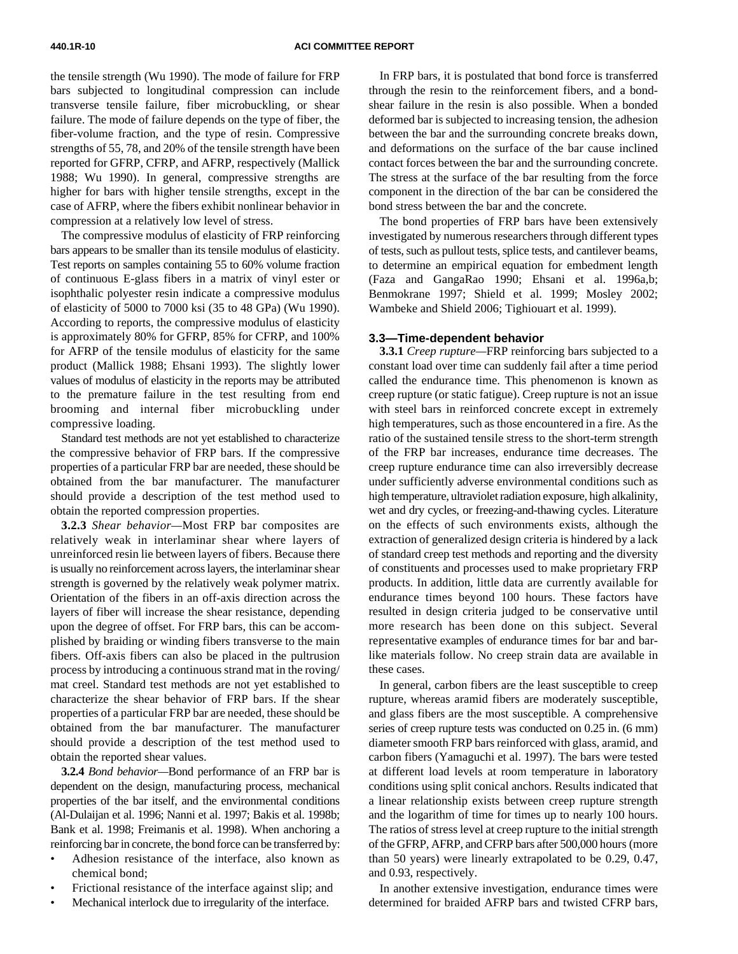the tensile strength (Wu 1990). The mode of failure for FRP bars subjected to longitudinal compression can include transverse tensile failure, fiber microbuckling, or shear failure. The mode of failure depends on the type of fiber, the fiber-volume fraction, and the type of resin. Compressive strengths of 55, 78, and 20% of the tensile strength have been reported for GFRP, CFRP, and AFRP, respectively (Mallick 1988; Wu 1990). In general, compressive strengths are higher for bars with higher tensile strengths, except in the case of AFRP, where the fibers exhibit nonlinear behavior in compression at a relatively low level of stress.

The compressive modulus of elasticity of FRP reinforcing bars appears to be smaller than its tensile modulus of elasticity. Test reports on samples containing 55 to 60% volume fraction of continuous E-glass fibers in a matrix of vinyl ester or isophthalic polyester resin indicate a compressive modulus of elasticity of 5000 to 7000 ksi (35 to 48 GPa) (Wu 1990). According to reports, the compressive modulus of elasticity is approximately 80% for GFRP, 85% for CFRP, and 100% for AFRP of the tensile modulus of elasticity for the same product (Mallick 1988; Ehsani 1993). The slightly lower values of modulus of elasticity in the reports may be attributed to the premature failure in the test resulting from end brooming and internal fiber microbuckling under compressive loading.

<span id="page-9-0"></span>Standard test methods are not yet established to characterize the compressive behavior of FRP bars. If the compressive properties of a particular FRP bar are needed, these should be obtained from the bar manufacturer. The manufacturer should provide a description of the test method used to obtain the reported compression properties.

**3.2.3** *Shear behavior—*Most FRP bar composites are relatively weak in interlaminar shear where layers of unreinforced resin lie between layers of fibers. Because there is usually no reinforcement across layers, the interlaminar shear strength is governed by the relatively weak polymer matrix. Orientation of the fibers in an off-axis direction across the layers of fiber will increase the shear resistance, depending upon the degree of offset. For FRP bars, this can be accomplished by braiding or winding fibers transverse to the main fibers. Off-axis fibers can also be placed in the pultrusion process by introducing a continuous strand mat in the roving/ mat creel. Standard test methods are not yet established to characterize the shear behavior of FRP bars. If the shear properties of a particular FRP bar are needed, these should be obtained from the bar manufacturer. The manufacturer should provide a description of the test method used to obtain the reported shear values.

**3.2.4** *Bond behavior—*Bond performance of an FRP bar is dependent on the design, manufacturing process, mechanical properties of the bar itself, and the environmental conditions (Al-Dulaijan et al. 1996; Nanni et al. 1997; Bakis et al. 1998b; Bank et al. 1998; Freimanis et al. 1998). When anchoring a reinforcing bar in concrete, the bond force can be transferred by:

- Adhesion resistance of the interface, also known as chemical bond;
- Frictional resistance of the interface against slip; and
- Mechanical interlock due to irregularity of the interface.

In FRP bars, it is postulated that bond force is transferred through the resin to the reinforcement fibers, and a bondshear failure in the resin is also possible. When a bonded deformed bar is subjected to increasing tension, the adhesion between the bar and the surrounding concrete breaks down, and deformations on the surface of the bar cause inclined contact forces between the bar and the surrounding concrete. The stress at the surface of the bar resulting from the force component in the direction of the bar can be considered the bond stress between the bar and the concrete.

The bond properties of FRP bars have been extensively investigated by numerous researchers through different types of tests, such as pullout tests, splice tests, and cantilever beams, to determine an empirical equation for embedment length (Faza and GangaRao 1990; Ehsani et al. 1996a,b; Benmokrane 1997; Shield et al. 1999; Mosley 2002; Wambeke and Shield 2006; Tighiouart et al. 1999).

#### **3.3—Time-dependent behavior**

**3.3.1** *Creep rupture—*FRP reinforcing bars subjected to a constant load over time can suddenly fail after a time period called the endurance time. This phenomenon is known as creep rupture (or static fatigue). Creep rupture is not an issue with steel bars in reinforced concrete except in extremely high temperatures, such as those encountered in a fire. As the ratio of the sustained tensile stress to the short-term strength of the FRP bar increases, endurance time decreases. The creep rupture endurance time can also irreversibly decrease under sufficiently adverse environmental conditions such as high temperature, ultraviolet radiation exposure, high alkalinity, wet and dry cycles, or freezing-and-thawing cycles. Literature on the effects of such environments exists, although the extraction of generalized design criteria is hindered by a lack of standard creep test methods and reporting and the diversity of constituents and processes used to make proprietary FRP products. In addition, little data are currently available for endurance times beyond 100 hours. These factors have resulted in design criteria judged to be conservative until more research has been done on this subject. Several representative examples of endurance times for bar and barlike materials follow. No creep strain data are available in these cases.

In general, carbon fibers are the least susceptible to creep rupture, whereas aramid fibers are moderately susceptible, and glass fibers are the most susceptible. A comprehensive series of creep rupture tests was conducted on 0.25 in. (6 mm) diameter smooth FRP bars reinforced with glass, aramid, and carbon fibers (Yamaguchi et al. 1997). The bars were tested at different load levels at room temperature in laboratory conditions using split conical anchors. Results indicated that a linear relationship exists between creep rupture strength and the logarithm of time for times up to nearly 100 hours. The ratios of stress level at creep rupture to the initial strength of the GFRP, AFRP, and CFRP bars after 500,000 hours (more than 50 years) were linearly extrapolated to be 0.29, 0.47, and 0.93, respectively.

In another extensive investigation, endurance times were determined for braided AFRP bars and twisted CFRP bars,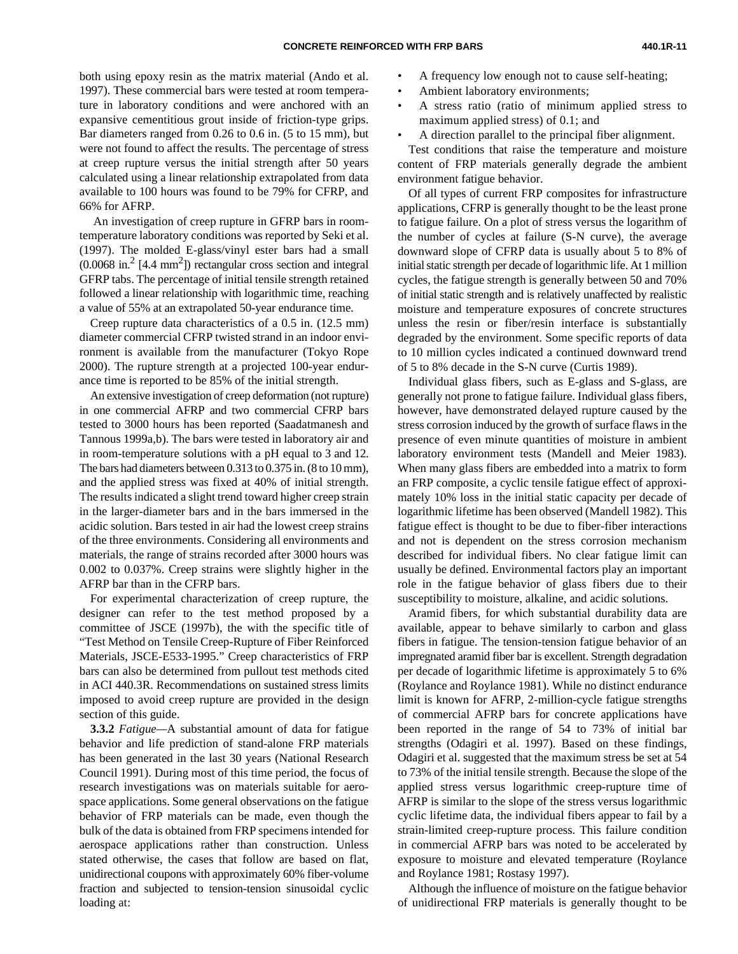both using epoxy resin as the matrix material (Ando et al. 1997). These commercial bars were tested at room temperature in laboratory conditions and were anchored with an expansive cementitious grout inside of friction-type grips. Bar diameters ranged from 0.26 to 0.6 in. (5 to 15 mm), but were not found to affect the results. The percentage of stress at creep rupture versus the initial strength after 50 years calculated using a linear relationship extrapolated from data available to 100 hours was found to be 79% for CFRP, and 66% for AFRP.

 An investigation of creep rupture in GFRP bars in roomtemperature laboratory conditions was reported by Seki et al. (1997). The molded E-glass/vinyl ester bars had a small  $(0.0068 \text{ in.}^2 [4.4 \text{ mm}^2])$  rectangular cross section and integral GFRP tabs. The percentage of initial tensile strength retained followed a linear relationship with logarithmic time, reaching a value of 55% at an extrapolated 50-year endurance time.

Creep rupture data characteristics of a 0.5 in. (12.5 mm) diameter commercial CFRP twisted strand in an indoor environment is available from the manufacturer (Tokyo Rope 2000). The rupture strength at a projected 100-year endurance time is reported to be 85% of the initial strength.

An extensive investigation of creep deformation (not rupture) in one commercial AFRP and two commercial CFRP bars tested to 3000 hours has been reported (Saadatmanesh and Tannous 1999a,b). The bars were tested in laboratory air and in room-temperature solutions with a pH equal to 3 and 12. The bars had diameters between 0.313 to 0.375 in. (8 to 10 mm), and the applied stress was fixed at 40% of initial strength. The results indicated a slight trend toward higher creep strain in the larger-diameter bars and in the bars immersed in the acidic solution. Bars tested in air had the lowest creep strains of the three environments. Considering all environments and materials, the range of strains recorded after 3000 hours was 0.002 to 0.037%. Creep strains were slightly higher in the AFRP bar than in the CFRP bars.

For experimental characterization of creep rupture, the designer can refer to the test method proposed by a committee of JSCE (1997b), the with the specific title of "Test Method on Tensile Creep-Rupture of Fiber Reinforced Materials, JSCE-E533-1995." Creep characteristics of FRP bars can also be determined from pullout test methods cited in ACI 440.3R. Recommendations on sustained stress limits imposed to avoid creep rupture are provided in the design section of this guide.

**3.3.2** *Fatigue—*A substantial amount of data for fatigue behavior and life prediction of stand-alone FRP materials has been generated in the last 30 years (National Research Council 1991). During most of this time period, the focus of research investigations was on materials suitable for aerospace applications. Some general observations on the fatigue behavior of FRP materials can be made, even though the bulk of the data is obtained from FRP specimens intended for aerospace applications rather than construction. Unless stated otherwise, the cases that follow are based on flat, unidirectional coupons with approximately 60% fiber-volume fraction and subjected to tension-tension sinusoidal cyclic loading at:

- A frequency low enough not to cause self-heating;
	- Ambient laboratory environments;
	- A stress ratio (ratio of minimum applied stress to maximum applied stress) of 0.1; and
	- A direction parallel to the principal fiber alignment.

Test conditions that raise the temperature and moisture content of FRP materials generally degrade the ambient environment fatigue behavior.

Of all types of current FRP composites for infrastructure applications, CFRP is generally thought to be the least prone to fatigue failure. On a plot of stress versus the logarithm of the number of cycles at failure (S-N curve), the average downward slope of CFRP data is usually about 5 to 8% of initial static strength per decade of logarithmic life. At 1 million cycles, the fatigue strength is generally between 50 and 70% of initial static strength and is relatively unaffected by realistic moisture and temperature exposures of concrete structures unless the resin or fiber/resin interface is substantially degraded by the environment. Some specific reports of data to 10 million cycles indicated a continued downward trend of 5 to 8% decade in the S-N curve (Curtis 1989).

Individual glass fibers, such as E-glass and S-glass, are generally not prone to fatigue failure. Individual glass fibers, however, have demonstrated delayed rupture caused by the stress corrosion induced by the growth of surface flaws in the presence of even minute quantities of moisture in ambient laboratory environment tests (Mandell and Meier 1983). When many glass fibers are embedded into a matrix to form an FRP composite, a cyclic tensile fatigue effect of approximately 10% loss in the initial static capacity per decade of logarithmic lifetime has been observed (Mandell 1982). This fatigue effect is thought to be due to fiber-fiber interactions and not is dependent on the stress corrosion mechanism described for individual fibers. No clear fatigue limit can usually be defined. Environmental factors play an important role in the fatigue behavior of glass fibers due to their susceptibility to moisture, alkaline, and acidic solutions.

Aramid fibers, for which substantial durability data are available, appear to behave similarly to carbon and glass fibers in fatigue. The tension-tension fatigue behavior of an impregnated aramid fiber bar is excellent. Strength degradation per decade of logarithmic lifetime is approximately 5 to 6% (Roylance and Roylance 1981). While no distinct endurance limit is known for AFRP, 2-million-cycle fatigue strengths of commercial AFRP bars for concrete applications have been reported in the range of 54 to 73% of initial bar strengths (Odagiri et al. 1997). Based on these findings, Odagiri et al. suggested that the maximum stress be set at 54 to 73% of the initial tensile strength. Because the slope of the applied stress versus logarithmic creep-rupture time of AFRP is similar to the slope of the stress versus logarithmic cyclic lifetime data, the individual fibers appear to fail by a strain-limited creep-rupture process. This failure condition in commercial AFRP bars was noted to be accelerated by exposure to moisture and elevated temperature (Roylance and Roylance 1981; Rostasy 1997).

Although the influence of moisture on the fatigue behavior of unidirectional FRP materials is generally thought to be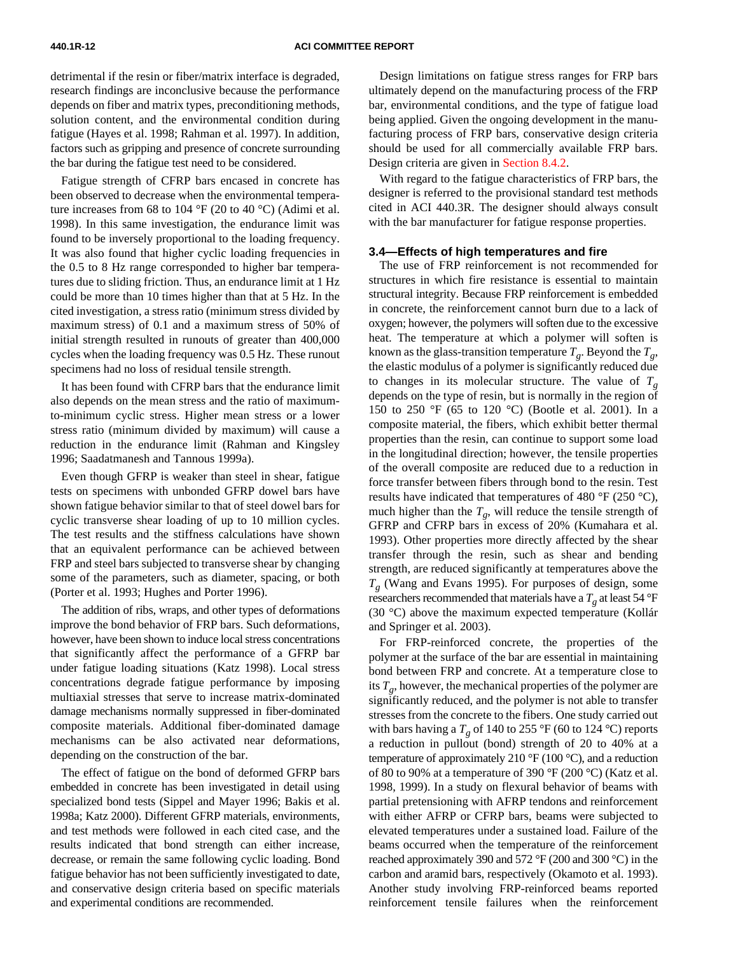detrimental if the resin or fiber/matrix interface is degraded, research findings are inconclusive because the performance depends on fiber and matrix types, preconditioning methods, solution content, and the environmental condition during fatigue (Hayes et al. 1998; Rahman et al. 1997). In addition, factors such as gripping and presence of concrete surrounding the bar during the fatigue test need to be considered.

<span id="page-11-0"></span>Fatigue strength of CFRP bars encased in concrete has been observed to decrease when the environmental temperature increases from 68 to 104 °F (20 to 40 °C) (Adimi et al. 1998). In this same investigation, the endurance limit was found to be inversely proportional to the loading frequency. It was also found that higher cyclic loading frequencies in the 0.5 to 8 Hz range corresponded to higher bar temperatures due to sliding friction. Thus, an endurance limit at 1 Hz could be more than 10 times higher than that at 5 Hz. In the cited investigation, a stress ratio (minimum stress divided by maximum stress) of 0.1 and a maximum stress of 50% of initial strength resulted in runouts of greater than 400,000 cycles when the loading frequency was 0.5 Hz. These runout specimens had no loss of residual tensile strength.

It has been found with CFRP bars that the endurance limit also depends on the mean stress and the ratio of maximumto-minimum cyclic stress. Higher mean stress or a lower stress ratio (minimum divided by maximum) will cause a reduction in the endurance limit (Rahman and Kingsley 1996; Saadatmanesh and Tannous 1999a).

Even though GFRP is weaker than steel in shear, fatigue tests on specimens with unbonded GFRP dowel bars have shown fatigue behavior similar to that of steel dowel bars for cyclic transverse shear loading of up to 10 million cycles. The test results and the stiffness calculations have shown that an equivalent performance can be achieved between FRP and steel bars subjected to transverse shear by changing some of the parameters, such as diameter, spacing, or both (Porter et al. 1993; Hughes and Porter 1996).

The addition of ribs, wraps, and other types of deformations improve the bond behavior of FRP bars. Such deformations, however, have been shown to induce local stress concentrations that significantly affect the performance of a GFRP bar under fatigue loading situations (Katz 1998). Local stress concentrations degrade fatigue performance by imposing multiaxial stresses that serve to increase matrix-dominated damage mechanisms normally suppressed in fiber-dominated composite materials. Additional fiber-dominated damage mechanisms can be also activated near deformations, depending on the construction of the bar.

The effect of fatigue on the bond of deformed GFRP bars embedded in concrete has been investigated in detail using specialized bond tests (Sippel and Mayer 1996; Bakis et al. 1998a; Katz 2000). Different GFRP materials, environments, and test methods were followed in each cited case, and the results indicated that bond strength can either increase, decrease, or remain the same following cyclic loading. Bond fatigue behavior has not been sufficiently investigated to date, and conservative design criteria based on specific materials and experimental conditions are recommended.

Design limitations on fatigue stress ranges for FRP bars ultimately depend on the manufacturing process of the FRP bar, environmental conditions, and the type of fatigue load being applied. Given the ongoing development in the manufacturing process of FRP bars, conservative design criteria should be used for all commercially available FRP bars. Design criteria are given [in Section 8.4.2.](#page-23-0)

With regard to the fatigue characteristics of FRP bars, the designer is referred to the provisional standard test methods cited in ACI 440.3R. The designer should always consult with the bar manufacturer for fatigue response properties.

#### **3.4—Effects of high temperatures and fire**

The use of FRP reinforcement is not recommended for structures in which fire resistance is essential to maintain structural integrity. Because FRP reinforcement is embedded in concrete, the reinforcement cannot burn due to a lack of oxygen; however, the polymers will soften due to the excessive heat. The temperature at which a polymer will soften is known as the glass-transition temperature  $T<sub>o</sub>$ . Beyond the  $T<sub>o</sub>$ , the elastic modulus of a polymer is significantly reduced due to changes in its molecular structure. The value of  $T<sub>g</sub>$ depends on the type of resin, but is normally in the region of 150 to 250 °F (65 to 120 °C) (Bootle et al. 2001). In a composite material, the fibers, which exhibit better thermal properties than the resin, can continue to support some load in the longitudinal direction; however, the tensile properties of the overall composite are reduced due to a reduction in force transfer between fibers through bond to the resin. Test results have indicated that temperatures of 480 °F (250 °C), much higher than the  $T_g$ , will reduce the tensile strength of GFRP and CFRP bars in excess of 20% (Kumahara et al. 1993). Other properties more directly affected by the shear transfer through the resin, such as shear and bending strength, are reduced significantly at temperatures above the *Tg* (Wang and Evans 1995). For purposes of design, some researchers recommended that materials have a  $T_g$  at least 54 °F (30 °C) above the maximum expected temperature (Kollár and Springer et al. 2003).

For FRP-reinforced concrete, the properties of the polymer at the surface of the bar are essential in maintaining bond between FRP and concrete. At a temperature close to its  $T_{g}$ , however, the mechanical properties of the polymer are significantly reduced, and the polymer is not able to transfer stresses from the concrete to the fibers. One study carried out with bars having a  $T_g$  of 140 to 255 °F (60 to 124 °C) reports a reduction in pullout (bond) strength of 20 to 40% at a temperature of approximately 210  $\rm{°F}$  (100  $\rm{°C}$ ), and a reduction of 80 to 90% at a temperature of 390 °F (200 °C) (Katz et al. 1998, 1999). In a study on flexural behavior of beams with partial pretensioning with AFRP tendons and reinforcement with either AFRP or CFRP bars, beams were subjected to elevated temperatures under a sustained load. Failure of the beams occurred when the temperature of the reinforcement reached approximately 390 and 572 °F (200 and 300 °C) in the carbon and aramid bars, respectively (Okamoto et al. 1993). Another study involving FRP-reinforced beams reported reinforcement tensile failures when the reinforcement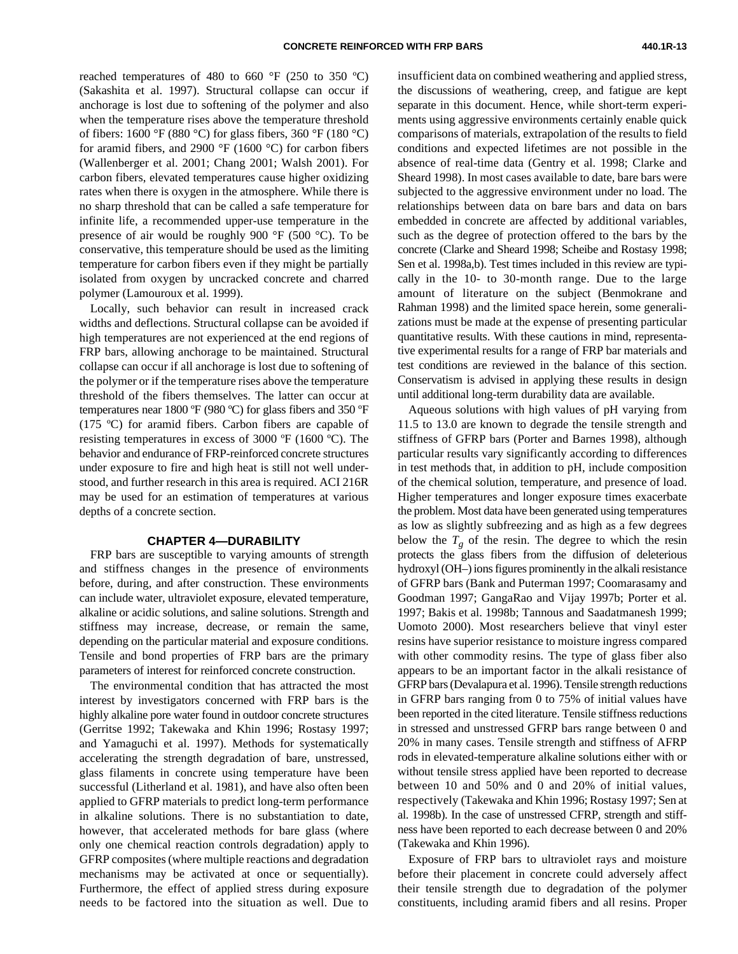reached temperatures of 480 to 660  $\degree$ F (250 to 350  $\degree$ C) (Sakashita et al. 1997). Structural collapse can occur if anchorage is lost due to softening of the polymer and also when the temperature rises above the temperature threshold of fibers: 1600 °F (880 °C) for glass fibers, 360 °F (180 °C) for aramid fibers, and 2900  $\mathrm{P}$  (1600  $\mathrm{C}$ ) for carbon fibers (Wallenberger et al. 2001; Chang 2001; Walsh 2001). For carbon fibers, elevated temperatures cause higher oxidizing rates when there is oxygen in the atmosphere. While there is no sharp threshold that can be called a safe temperature for infinite life, a recommended upper-use temperature in the presence of air would be roughly 900 °F (500 °C). To be conservative, this temperature should be used as the limiting temperature for carbon fibers even if they might be partially isolated from oxygen by uncracked concrete and charred polymer (Lamouroux et al. 1999).

<span id="page-12-0"></span>Locally, such behavior can result in increased crack widths and deflections. Structural collapse can be avoided if high temperatures are not experienced at the end regions of FRP bars, allowing anchorage to be maintained. Structural collapse can occur if all anchorage is lost due to softening of the polymer or if the temperature rises above the temperature threshold of the fibers themselves. The latter can occur at temperatures near 1800 ºF (980 ºC) for glass fibers and 350 ºF (175 ºC) for aramid fibers. Carbon fibers are capable of resisting temperatures in excess of 3000 ºF (1600 ºC). The behavior and endurance of FRP-reinforced concrete structures under exposure to fire and high heat is still not well understood, and further research in this area is required. ACI 216R may be used for an estimation of temperatures at various depths of a concrete section.

#### **CHAPTER 4—DURABILITY**

FRP bars are susceptible to varying amounts of strength and stiffness changes in the presence of environments before, during, and after construction. These environments can include water, ultraviolet exposure, elevated temperature, alkaline or acidic solutions, and saline solutions. Strength and stiffness may increase, decrease, or remain the same, depending on the particular material and exposure conditions. Tensile and bond properties of FRP bars are the primary parameters of interest for reinforced concrete construction.

The environmental condition that has attracted the most interest by investigators concerned with FRP bars is the highly alkaline pore water found in outdoor concrete structures (Gerritse 1992; Takewaka and Khin 1996; Rostasy 1997; and Yamaguchi et al. 1997). Methods for systematically accelerating the strength degradation of bare, unstressed, glass filaments in concrete using temperature have been successful (Litherland et al. 1981), and have also often been applied to GFRP materials to predict long-term performance in alkaline solutions. There is no substantiation to date, however, that accelerated methods for bare glass (where only one chemical reaction controls degradation) apply to GFRP composites (where multiple reactions and degradation mechanisms may be activated at once or sequentially). Furthermore, the effect of applied stress during exposure needs to be factored into the situation as well. Due to insufficient data on combined weathering and applied stress, the discussions of weathering, creep, and fatigue are kept separate in this document. Hence, while short-term experiments using aggressive environments certainly enable quick comparisons of materials, extrapolation of the results to field conditions and expected lifetimes are not possible in the absence of real-time data (Gentry et al. 1998; Clarke and Sheard 1998). In most cases available to date, bare bars were subjected to the aggressive environment under no load. The relationships between data on bare bars and data on bars embedded in concrete are affected by additional variables, such as the degree of protection offered to the bars by the concrete (Clarke and Sheard 1998; Scheibe and Rostasy 1998; Sen et al. 1998a,b). Test times included in this review are typically in the 10- to 30-month range. Due to the large amount of literature on the subject (Benmokrane and Rahman 1998) and the limited space herein, some generalizations must be made at the expense of presenting particular quantitative results. With these cautions in mind, representative experimental results for a range of FRP bar materials and test conditions are reviewed in the balance of this section. Conservatism is advised in applying these results in design until additional long-term durability data are available.

Aqueous solutions with high values of pH varying from 11.5 to 13.0 are known to degrade the tensile strength and stiffness of GFRP bars (Porter and Barnes 1998), although particular results vary significantly according to differences in test methods that, in addition to pH, include composition of the chemical solution, temperature, and presence of load. Higher temperatures and longer exposure times exacerbate the problem. Most data have been generated using temperatures as low as slightly subfreezing and as high as a few degrees below the  $T_g$  of the resin. The degree to which the resin protects the glass fibers from the diffusion of deleterious hydroxyl (OH–) ions figures prominently in the alkali resistance of GFRP bars (Bank and Puterman 1997; Coomarasamy and Goodman 1997; GangaRao and Vijay 1997b; Porter et al. 1997; Bakis et al. 1998b; Tannous and Saadatmanesh 1999; Uomoto 2000). Most researchers believe that vinyl ester resins have superior resistance to moisture ingress compared with other commodity resins. The type of glass fiber also appears to be an important factor in the alkali resistance of GFRP bars (Devalapura et al. 1996). Tensile strength reductions in GFRP bars ranging from 0 to 75% of initial values have been reported in the cited literature. Tensile stiffness reductions in stressed and unstressed GFRP bars range between 0 and 20% in many cases. Tensile strength and stiffness of AFRP rods in elevated-temperature alkaline solutions either with or without tensile stress applied have been reported to decrease between 10 and 50% and 0 and 20% of initial values, respectively (Takewaka and Khin 1996; Rostasy 1997; Sen at al. 1998b). In the case of unstressed CFRP, strength and stiffness have been reported to each decrease between 0 and 20% (Takewaka and Khin 1996).

Exposure of FRP bars to ultraviolet rays and moisture before their placement in concrete could adversely affect their tensile strength due to degradation of the polymer constituents, including aramid fibers and all resins. Proper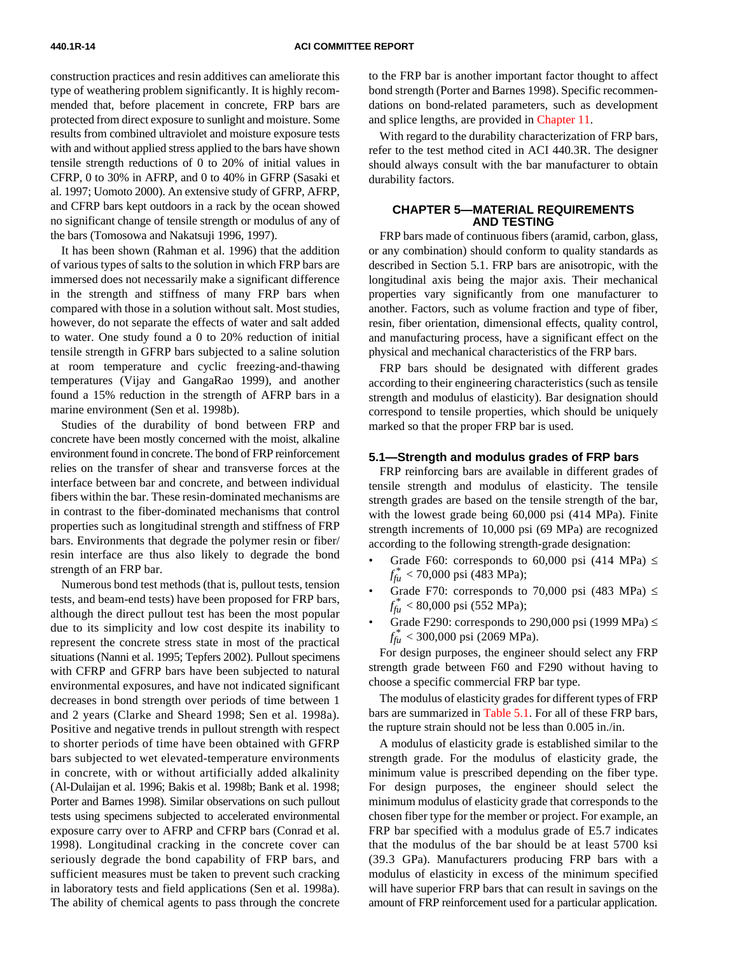construction practices and resin additives can ameliorate this type of weathering problem significantly. It is highly recommended that, before placement in concrete, FRP bars are protected from direct exposure to sunlight and moisture. Some results from combined ultraviolet and moisture exposure tests with and without applied stress applied to the bars have shown tensile strength reductions of 0 to 20% of initial values in CFRP, 0 to 30% in AFRP, and 0 to 40% in GFRP (Sasaki et al. 1997; Uomoto 2000). An extensive study of GFRP, AFRP, and CFRP bars kept outdoors in a rack by the ocean showed no significant change of tensile strength or modulus of any of the bars (Tomosowa and Nakatsuji 1996, 1997).

<span id="page-13-0"></span>It has been shown (Rahman et al. 1996) that the addition of various types of salts to the solution in which FRP bars are immersed does not necessarily make a significant difference in the strength and stiffness of many FRP bars when compared with those in a solution without salt. Most studies, however, do not separate the effects of water and salt added to water. One study found a 0 to 20% reduction of initial tensile strength in GFRP bars subjected to a saline solution at room temperature and cyclic freezing-and-thawing temperatures (Vijay and GangaRao 1999), and another found a 15% reduction in the strength of AFRP bars in a marine environment (Sen et al. 1998b).

Studies of the durability of bond between FRP and concrete have been mostly concerned with the moist, alkaline environment found in concrete. The bond of FRP reinforcement relies on the transfer of shear and transverse forces at the interface between bar and concrete, and between individual fibers within the bar. These resin-dominated mechanisms are in contrast to the fiber-dominated mechanisms that control properties such as longitudinal strength and stiffness of FRP bars. Environments that degrade the polymer resin or fiber/ resin interface are thus also likely to degrade the bond strength of an FRP bar.

Numerous bond test methods (that is, pullout tests, tension tests, and beam-end tests) have been proposed for FRP bars, although the direct pullout test has been the most popular due to its simplicity and low cost despite its inability to represent the concrete stress state in most of the practical situations (Nanni et al. 1995; Tepfers 2002). Pullout specimens with CFRP and GFRP bars have been subjected to natural environmental exposures, and have not indicated significant decreases in bond strength over periods of time between 1 and 2 years (Clarke and Sheard 1998; Sen et al. 1998a). Positive and negative trends in pullout strength with respect to shorter periods of time have been obtained with GFRP bars subjected to wet elevated-temperature environments in concrete, with or without artificially added alkalinity (Al-Dulaijan et al. 1996; Bakis et al. 1998b; Bank et al. 1998; Porter and Barnes 1998). Similar observations on such pullout tests using specimens subjected to accelerated environmental exposure carry over to AFRP and CFRP bars (Conrad et al. 1998). Longitudinal cracking in the concrete cover can seriously degrade the bond capability of FRP bars, and sufficient measures must be taken to prevent such cracking in laboratory tests and field applications (Sen et al. 1998a). The ability of chemical agents to pass through the concrete to the FRP bar is another important factor thought to affect bond strength (Porter and Barnes 1998). Specific recommendations on bond-related parameters, such as development and splice lengths, are provided i[n Chapter 11.](#page-27-0)

With regard to the durability characterization of FRP bars, refer to the test method cited in ACI 440.3R. The designer should always consult with the bar manufacturer to obtain durability factors.

#### **CHAPTER 5—MATERIAL REQUIREMENTS AND TESTING**

FRP bars made of continuous fibers (aramid, carbon, glass, or any combination) should conform to quality standards as described in Section 5.1. FRP bars are anisotropic, with the longitudinal axis being the major axis. Their mechanical properties vary significantly from one manufacturer to another. Factors, such as volume fraction and type of fiber, resin, fiber orientation, dimensional effects, quality control, and manufacturing process, have a significant effect on the physical and mechanical characteristics of the FRP bars.

FRP bars should be designated with different grades according to their engineering characteristics (such as tensile strength and modulus of elasticity). Bar designation should correspond to tensile properties, which should be uniquely marked so that the proper FRP bar is used.

#### **5.1—Strength and modulus grades of FRP bars**

FRP reinforcing bars are available in different grades of tensile strength and modulus of elasticity. The tensile strength grades are based on the tensile strength of the bar, with the lowest grade being 60,000 psi (414 MPa). Finite strength increments of 10,000 psi (69 MPa) are recognized according to the following strength-grade designation:

- Grade F60: corresponds to 60,000 psi (414 MPa)  $\leq$ *ffu* \* < 70,000 psi (483 MPa);
- Grade F70: corresponds to 70,000 psi (483 MPa)  $\leq$  $f_{\text{fu}}^*$  < 80,000 psi (552 MPa);
- Grade F290: corresponds to 290,000 psi (1999 MPa)  $\leq$  $f_{\text{fu}}^*$  < 300,000 psi (2069 MPa).

For design purposes, the engineer should select any FRP strength grade between F60 and F290 without having to choose a specific commercial FRP bar type.

The modulus of elasticity grades for different types of FRP bars are summarized i[n Table 5.1.](#page-14-0) For all of these FRP bars, the rupture strain should not be less than 0.005 in./in.

A modulus of elasticity grade is established similar to the strength grade. For the modulus of elasticity grade, the minimum value is prescribed depending on the fiber type. For design purposes, the engineer should select the minimum modulus of elasticity grade that corresponds to the chosen fiber type for the member or project. For example, an FRP bar specified with a modulus grade of E5.7 indicates that the modulus of the bar should be at least 5700 ksi (39.3 GPa). Manufacturers producing FRP bars with a modulus of elasticity in excess of the minimum specified will have superior FRP bars that can result in savings on the amount of FRP reinforcement used for a particular application.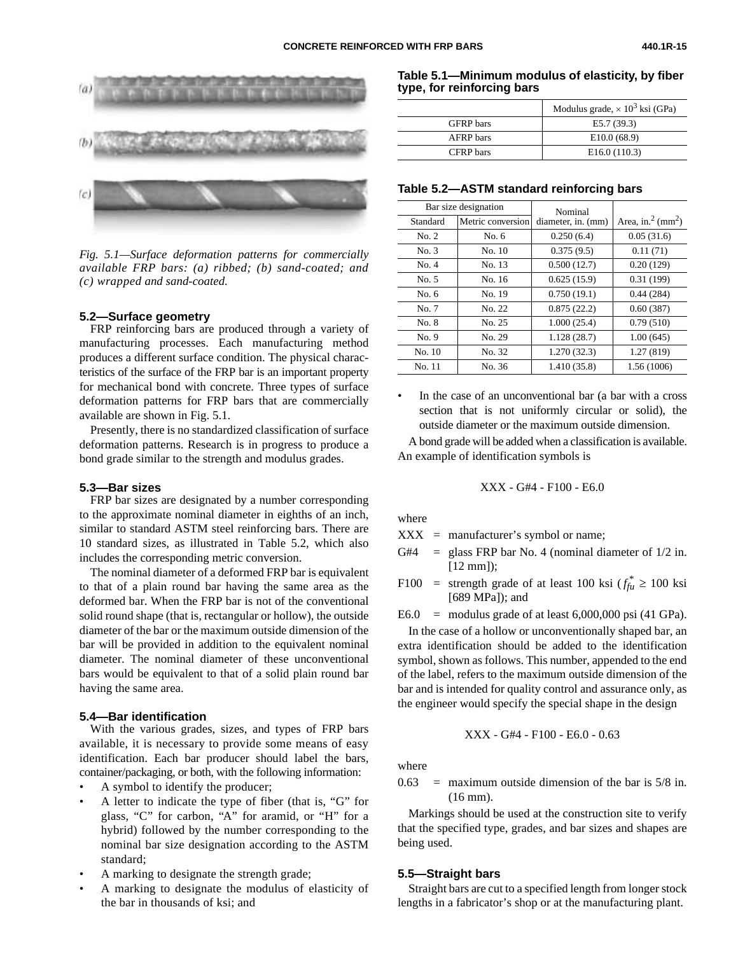

<span id="page-14-0"></span>

*Fig. 5.1—Surface deformation patterns for commercially available FRP bars: (a) ribbed; (b) sand-coated; and (c) wrapped and sand-coated.*

#### **5.2—Surface geometry**

FRP reinforcing bars are produced through a variety of manufacturing processes. Each manufacturing method produces a different surface condition. The physical characteristics of the surface of the FRP bar is an important property for mechanical bond with concrete. Three types of surface deformation patterns for FRP bars that are commercially available are shown in Fig. 5.1.

Presently, there is no standardized classification of surface deformation patterns. Research is in progress to produce a bond grade similar to the strength and modulus grades.

#### **5.3—Bar sizes**

FRP bar sizes are designated by a number corresponding to the approximate nominal diameter in eighths of an inch, similar to standard ASTM steel reinforcing bars. There are 10 standard sizes, as illustrated in Table 5.2, which also includes the corresponding metric conversion.

The nominal diameter of a deformed FRP bar is equivalent to that of a plain round bar having the same area as the deformed bar. When the FRP bar is not of the conventional solid round shape (that is, rectangular or hollow), the outside diameter of the bar or the maximum outside dimension of the bar will be provided in addition to the equivalent nominal diameter. The nominal diameter of these unconventional bars would be equivalent to that of a solid plain round bar having the same area.

#### **5.4—Bar identification**

With the various grades, sizes, and types of FRP bars available, it is necessary to provide some means of easy identification. Each bar producer should label the bars, container/packaging, or both, with the following information:

- A symbol to identify the producer;
- A letter to indicate the type of fiber (that is, "G" for glass, "C" for carbon, "A" for aramid, or "H" for a hybrid) followed by the number corresponding to the nominal bar size designation according to the ASTM standard;
- A marking to designate the strength grade;
- A marking to designate the modulus of elasticity of the bar in thousands of ksi; and

**Table 5.1—Minimum modulus of elasticity, by fiber type, for reinforcing bars**

|                  | Modulus grade, $\times 10^3$ ksi (GPa) |
|------------------|----------------------------------------|
| <b>GFRP</b> bars | E5.7(39.3)                             |
| <b>AFRP</b> bars | E10.0(68.9)                            |
| CFRP bars        | E16.0(110.3)                           |

#### **Table 5.2—ASTM standard reinforcing bars**

| Bar size designation |                   | Nominal            |                                   |
|----------------------|-------------------|--------------------|-----------------------------------|
| Standard             | Metric conversion | diameter, in. (mm) | Area, in. $^2$ (mm <sup>2</sup> ) |
| No. 2                | No. $6$           | 0.250(6.4)         | 0.05(31.6)                        |
| No. 3                | No. 10            | 0.375(9.5)         | 0.11(71)                          |
| No. 4                | No. 13            | 0.500(12.7)        | 0.20(129)                         |
| No. 5                | No. 16            | 0.625(15.9)        | 0.31(199)                         |
| No. 6                | No. 19            | 0.750(19.1)        | 0.44(284)                         |
| No. 7                | No. 22            | 0.875(22.2)        | 0.60(387)                         |
| No. 8                | No. 25            | 1.000(25.4)        | 0.79(510)                         |
| No.9                 | No. 29            | 1.128(28.7)        | 1.00(645)                         |
| No. 10               | No. 32            | 1.270(32.3)        | 1.27(819)                         |
| No. 11               | No. 36            | 1.410 (35.8)       | 1.56 (1006)                       |

• In the case of an unconventional bar (a bar with a cross section that is not uniformly circular or solid), the outside diameter or the maximum outside dimension.

A bond grade will be added when a classification is available. An example of identification symbols is

XXX - G#4 - F100 - E6.0

where

XXX = manufacturer's symbol or name;

- G#4 = glass FRP bar No. 4 (nominal diameter of  $1/2$  in.  $[12 mm]$ :
- F100 = strength grade of at least 100 ksi  $(f_{f\mu}^* \ge 100 \text{ ks})$ [689 MPa]); and

 $E6.0 =$  modulus grade of at least  $6,000,000$  psi (41 GPa).

In the case of a hollow or unconventionally shaped bar, an extra identification should be added to the identification symbol, shown as follows. This number, appended to the end of the label, refers to the maximum outside dimension of the bar and is intended for quality control and assurance only, as the engineer would specify the special shape in the design

XXX - G#4 - F100 - E6.0 - 0.63

where

 $0.63$  = maximum outside dimension of the bar is  $5/8$  in. (16 mm).

Markings should be used at the construction site to verify that the specified type, grades, and bar sizes and shapes are being used.

#### **5.5—Straight bars**

Straight bars are cut to a specified length from longer stock lengths in a fabricator's shop or at the manufacturing plant.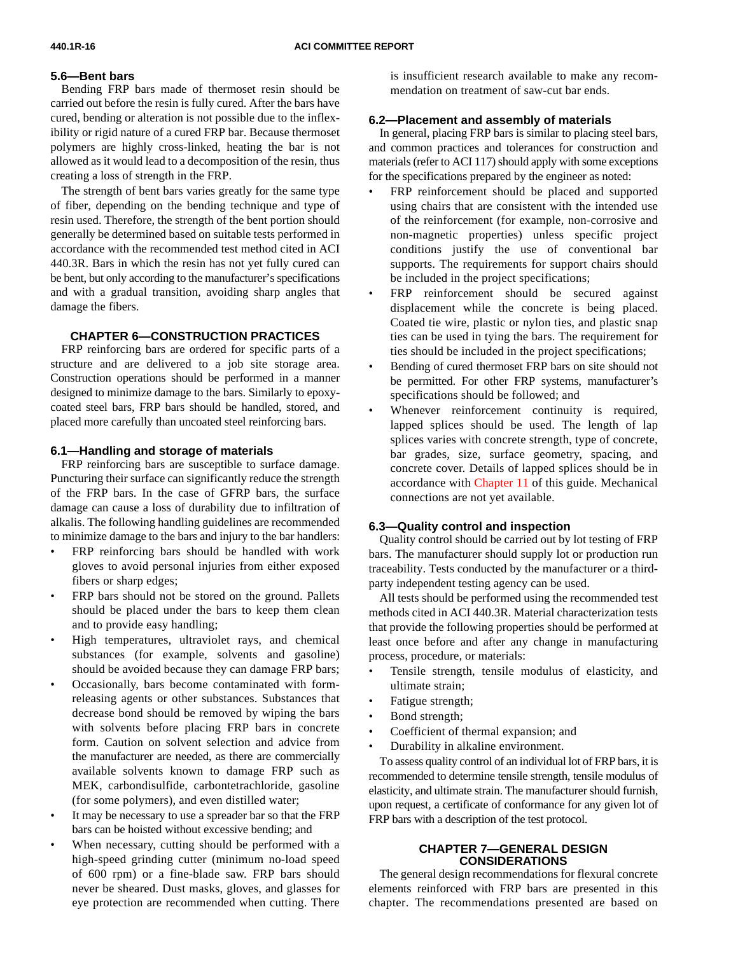#### **5.6—Bent bars**

Bending FRP bars made of thermoset resin should be carried out before the resin is fully cured. After the bars have cured, bending or alteration is not possible due to the inflexibility or rigid nature of a cured FRP bar. Because thermoset polymers are highly cross-linked, heating the bar is not allowed as it would lead to a decomposition of the resin, thus creating a loss of strength in the FRP.

The strength of bent bars varies greatly for the same type of fiber, depending on the bending technique and type of resin used. Therefore, the strength of the bent portion should generally be determined based on suitable tests performed in accordance with the recommended test method cited in ACI 440.3R. Bars in which the resin has not yet fully cured can be bent, but only according to the manufacturer's specifications and with a gradual transition, avoiding sharp angles that damage the fibers.

#### **CHAPTER 6—CONSTRUCTION PRACTICES**

<span id="page-15-0"></span>FRP reinforcing bars are ordered for specific parts of a structure and are delivered to a job site storage area. Construction operations should be performed in a manner designed to minimize damage to the bars. Similarly to epoxycoated steel bars, FRP bars should be handled, stored, and placed more carefully than uncoated steel reinforcing bars.

#### <span id="page-15-1"></span>**6.1—Handling and storage of materials**

FRP reinforcing bars are susceptible to surface damage. Puncturing their surface can significantly reduce the strength of the FRP bars. In the case of GFRP bars, the surface damage can cause a loss of durability due to infiltration of alkalis. The following handling guidelines are recommended to minimize damage to the bars and injury to the bar handlers:

- FRP reinforcing bars should be handled with work gloves to avoid personal injuries from either exposed fibers or sharp edges;
- FRP bars should not be stored on the ground. Pallets should be placed under the bars to keep them clean and to provide easy handling;
- High temperatures, ultraviolet rays, and chemical substances (for example, solvents and gasoline) should be avoided because they can damage FRP bars;
- Occasionally, bars become contaminated with formreleasing agents or other substances. Substances that decrease bond should be removed by wiping the bars with solvents before placing FRP bars in concrete form. Caution on solvent selection and advice from the manufacturer are needed, as there are commercially available solvents known to damage FRP such as MEK, carbondisulfide, carbontetrachloride, gasoline (for some polymers), and even distilled water;
- It may be necessary to use a spreader bar so that the FRP bars can be hoisted without excessive bending; and
- When necessary, cutting should be performed with a high-speed grinding cutter (minimum no-load speed of 600 rpm) or a fine-blade saw. FRP bars should never be sheared. Dust masks, gloves, and glasses for eye protection are recommended when cutting. There

is insufficient research available to make any recommendation on treatment of saw-cut bar ends.

#### **6.2—Placement and assembly of materials**

In general, placing FRP bars is similar to placing steel bars, and common practices and tolerances for construction and materials (refer to ACI 117) should apply with some exceptions for the specifications prepared by the engineer as noted:

- FRP reinforcement should be placed and supported using chairs that are consistent with the intended use of the reinforcement (for example, non-corrosive and non-magnetic properties) unless specific project conditions justify the use of conventional bar supports. The requirements for support chairs should be included in the project specifications;
- FRP reinforcement should be secured against displacement while the concrete is being placed. Coated tie wire, plastic or nylon ties, and plastic snap ties can be used in tying the bars. The requirement for ties should be included in the project specifications;
- Bending of cured thermoset FRP bars on site should not be permitted. For other FRP systems, manufacturer's specifications should be followed; and
- Whenever reinforcement continuity is required, lapped splices should be used. The length of lap splices varies with concrete strength, type of concrete, bar grades, size, surface geometry, spacing, and concrete cover. Details of lapped splices should be in accordance wit[h Chapter 11 o](#page-27-0)f this guide. Mechanical connections are not yet available.

#### **6.3—Quality control and inspection**

Quality control should be carried out by lot testing of FRP bars. The manufacturer should supply lot or production run traceability. Tests conducted by the manufacturer or a thirdparty independent testing agency can be used.

All tests should be performed using the recommended test methods cited in ACI 440.3R. Material characterization tests that provide the following properties should be performed at least once before and after any change in manufacturing process, procedure, or materials:

- Tensile strength, tensile modulus of elasticity, and ultimate strain;
- Fatigue strength;
- Bond strength;
- Coefficient of thermal expansion; and
- Durability in alkaline environment.

To assess quality control of an individual lot of FRP bars, it is recommended to determine tensile strength, tensile modulus of elasticity, and ultimate strain. The manufacturer should furnish, upon request, a certificate of conformance for any given lot of FRP bars with a description of the test protocol.

#### **CHAPTER 7—GENERAL DESIGN CONSIDERATIONS**

The general design recommendations for flexural concrete elements reinforced with FRP bars are presented in this chapter. The recommendations presented are based on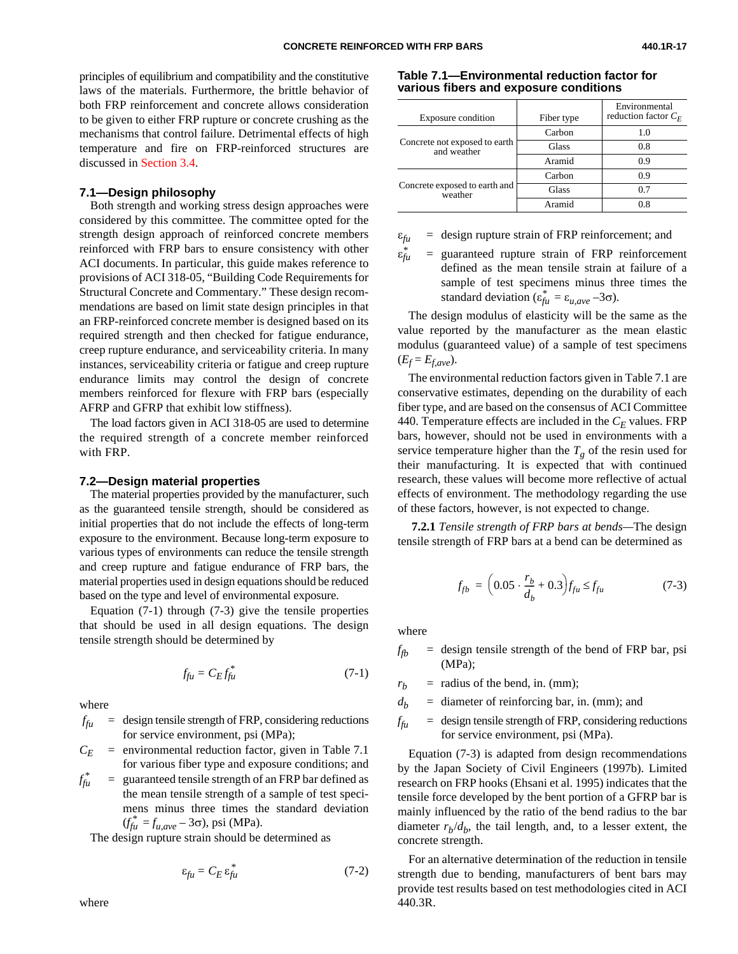<span id="page-16-0"></span>principles of equilibrium and compatibility and the constitutive laws of the materials. Furthermore, the brittle behavior of both FRP reinforcement and concrete allows consideration to be given to either FRP rupture or concrete crushing as the mechanisms that control failure. Detrimental effects of high temperature and fire on FRP-reinforced structures are discussed i[n Section 3.4.](#page-11-0)

#### **7.1—Design philosophy**

Both strength and working stress design approaches were considered by this committee. The committee opted for the strength design approach of reinforced concrete members reinforced with FRP bars to ensure consistency with other ACI documents. In particular, this guide makes reference to provisions of ACI 318-05, "Building Code Requirements for Structural Concrete and Commentary." These design recommendations are based on limit state design principles in that an FRP-reinforced concrete member is designed based on its required strength and then checked for fatigue endurance, creep rupture endurance, and serviceability criteria. In many instances, serviceability criteria or fatigue and creep rupture endurance limits may control the design of concrete members reinforced for flexure with FRP bars (especially AFRP and GFRP that exhibit low stiffness).

<span id="page-16-1"></span>The load factors given in ACI 318-05 are used to determine the required strength of a concrete member reinforced with FRP.

#### **7.2—Design material properties**

The material properties provided by the manufacturer, such as the guaranteed tensile strength, should be considered as initial properties that do not include the effects of long-term exposure to the environment. Because long-term exposure to various types of environments can reduce the tensile strength and creep rupture and fatigue endurance of FRP bars, the material properties used in design equations should be reduced based on the type and level of environmental exposure.

Equation (7-1) through (7-3) give the tensile properties that should be used in all design equations. The design tensile strength should be determined by

$$
f_{\rm fu} = C_E f_{\rm fu}^* \tag{7-1}
$$

where

 $f_{\hat{t}u}$  = design tensile strength of FRP, considering reductions for service environment, psi (MPa);

 $C_F$  = environmental reduction factor, given in Table 7.1 for various fiber type and exposure conditions; and

 $f_{\rm f\mu}^*$  $=$  guaranteed tensile strength of an FRP bar defined as the mean tensile strength of a sample of test specimens minus three times the standard deviation  $(f_{fu}^* = f_{u,ave} - 3\sigma)$ , psi (MPa).

The design rupture strain should be determined as

$$
\varepsilon_{fu} = C_E \, \varepsilon_{fu}^* \tag{7-2}
$$

where

**Table 7.1—Environmental reduction factor for various fibers and exposure conditions**

| Exposure condition                           | Fiber type | Environmental<br>reduction factor $C_F$ |
|----------------------------------------------|------------|-----------------------------------------|
|                                              | Carbon     | 1.0                                     |
| Concrete not exposed to earth<br>and weather | Glass      | 0.8                                     |
|                                              | Aramid     | 0.9                                     |
|                                              | Carbon     | 0.9                                     |
| Concrete exposed to earth and<br>weather     | Glass      | 0.7                                     |
|                                              | Aramid     | 08                                      |

 $\varepsilon_{fu}$  = design rupture strain of FRP reinforcement; and

ε*fu* guaranteed rupture strain of FRP reinforcement defined as the mean tensile strain at failure of a sample of test specimens minus three times the standard deviation ( $\varepsilon_{fu}^* = \varepsilon_{u,ave} - 3\sigma$ ).

The design modulus of elasticity will be the same as the value reported by the manufacturer as the mean elastic modulus (guaranteed value) of a sample of test specimens  $(E_f = E_{f,ave}).$ 

The environmental reduction factors given in Table 7.1 are conservative estimates, depending on the durability of each fiber type, and are based on the consensus of ACI Committee 440. Temperature effects are included in the  $C_F$  values. FRP bars, however, should not be used in environments with a service temperature higher than the  $T_g$  of the resin used for their manufacturing. It is expected that with continued research, these values will become more reflective of actual effects of environment. The methodology regarding the use of these factors, however, is not expected to change.

 **7.2.1** *Tensile strength of FRP bars at bends—*The design tensile strength of FRP bars at a bend can be determined as

$$
f_{fb} = \left(0.05 \cdot \frac{r_b}{d_b} + 0.3\right) f_{fu} \le f_{fu} \tag{7-3}
$$

where

 $f_{th}$  = design tensile strength of the bend of FRP bar, psi (MPa);

 $r_b$  = radius of the bend, in. (mm);

 $d<sub>b</sub>$  = diameter of reinforcing bar, in. (mm); and

 $f_{\rm f\mu}$  = design tensile strength of FRP, considering reductions for service environment, psi (MPa).

Equation (7-3) is adapted from design recommendations by the Japan Society of Civil Engineers (1997b). Limited research on FRP hooks (Ehsani et al. 1995) indicates that the tensile force developed by the bent portion of a GFRP bar is mainly influenced by the ratio of the bend radius to the bar diameter  $r_b/d_b$ , the tail length, and, to a lesser extent, the concrete strength.

For an alternative determination of the reduction in tensile strength due to bending, manufacturers of bent bars may provide test results based on test methodologies cited in ACI 440.3R.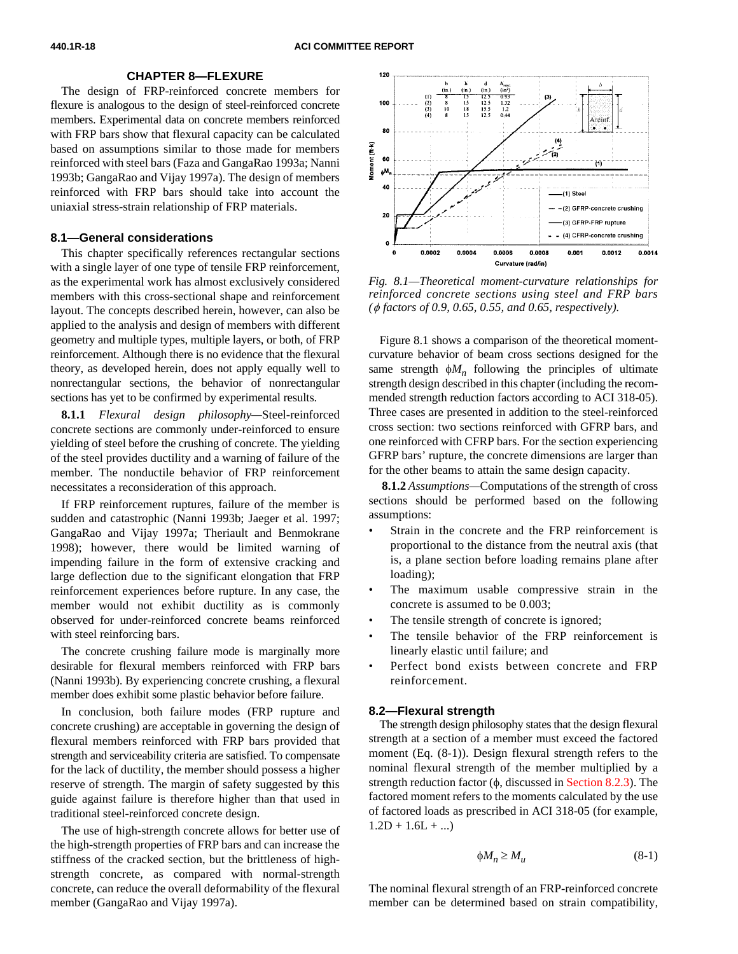#### **CHAPTER 8—FLEXURE**

<span id="page-17-0"></span>The design of FRP-reinforced concrete members for flexure is analogous to the design of steel-reinforced concrete members. Experimental data on concrete members reinforced with FRP bars show that flexural capacity can be calculated based on assumptions similar to those made for members reinforced with steel bars (Faza and GangaRao 1993a; Nanni 1993b; GangaRao and Vijay 1997a). The design of members reinforced with FRP bars should take into account the uniaxial stress-strain relationship of FRP materials.

#### **8.1—General considerations**

This chapter specifically references rectangular sections with a single layer of one type of tensile FRP reinforcement, as the experimental work has almost exclusively considered members with this cross-sectional shape and reinforcement layout. The concepts described herein, however, can also be applied to the analysis and design of members with different geometry and multiple types, multiple layers, or both, of FRP reinforcement. Although there is no evidence that the flexural theory, as developed herein, does not apply equally well to nonrectangular sections, the behavior of nonrectangular sections has yet to be confirmed by experimental results.

<span id="page-17-2"></span><span id="page-17-1"></span>**8.1.1** *Flexural design philosophy—*Steel-reinforced concrete sections are commonly under-reinforced to ensure yielding of steel before the crushing of concrete. The yielding of the steel provides ductility and a warning of failure of the member. The nonductile behavior of FRP reinforcement necessitates a reconsideration of this approach.

If FRP reinforcement ruptures, failure of the member is sudden and catastrophic (Nanni 1993b; Jaeger et al. 1997; GangaRao and Vijay 1997a; Theriault and Benmokrane 1998); however, there would be limited warning of impending failure in the form of extensive cracking and large deflection due to the significant elongation that FRP reinforcement experiences before rupture. In any case, the member would not exhibit ductility as is commonly observed for under-reinforced concrete beams reinforced with steel reinforcing bars.

The concrete crushing failure mode is marginally more desirable for flexural members reinforced with FRP bars (Nanni 1993b). By experiencing concrete crushing, a flexural member does exhibit some plastic behavior before failure.

In conclusion, both failure modes (FRP rupture and concrete crushing) are acceptable in governing the design of flexural members reinforced with FRP bars provided that strength and serviceability criteria are satisfied. To compensate for the lack of ductility, the member should possess a higher reserve of strength. The margin of safety suggested by this guide against failure is therefore higher than that used in traditional steel-reinforced concrete design.

The use of high-strength concrete allows for better use of the high-strength properties of FRP bars and can increase the stiffness of the cracked section, but the brittleness of highstrength concrete, as compared with normal-strength concrete, can reduce the overall deformability of the flexural member (GangaRao and Vijay 1997a).



*Fig. 8.1—Theoretical moment-curvature relationships for reinforced concrete sections using steel and FRP bars (*φ *factors of 0.9, 0.65, 0.55, and 0.65, respectively).*

Figure 8.1 shows a comparison of the theoretical momentcurvature behavior of beam cross sections designed for the same strength  $\phi M_n$  following the principles of ultimate strength design described in this chapter (including the recommended strength reduction factors according to ACI 318-05). Three cases are presented in addition to the steel-reinforced cross section: two sections reinforced with GFRP bars, and one reinforced with CFRP bars. For the section experiencing GFRP bars' rupture, the concrete dimensions are larger than for the other beams to attain the same design capacity.

 **8.1.2** *Assumptions—*Computations of the strength of cross sections should be performed based on the following assumptions:

- Strain in the concrete and the FRP reinforcement is proportional to the distance from the neutral axis (that is, a plane section before loading remains plane after loading);
- The maximum usable compressive strain in the concrete is assumed to be 0.003;
- The tensile strength of concrete is ignored;
- The tensile behavior of the FRP reinforcement is linearly elastic until failure; and
- Perfect bond exists between concrete and FRP reinforcement.

#### **8.2—Flexural strength**

The strength design philosophy states that the design flexural strength at a section of a member must exceed the factored moment (Eq. (8-1)). Design flexural strength refers to the nominal flexural strength of the member multiplied by a strength reduction factor  $(\phi)$ , discussed in [Section 8.2.3\).](#page-19-0) The factored moment refers to the moments calculated by the use of factored loads as prescribed in ACI 318-05 (for example,  $1.2D + 1.6L + ...$ 

$$
\phi M_n \ge M_u \tag{8-1}
$$

The nominal flexural strength of an FRP-reinforced concrete member can be determined based on strain compatibility,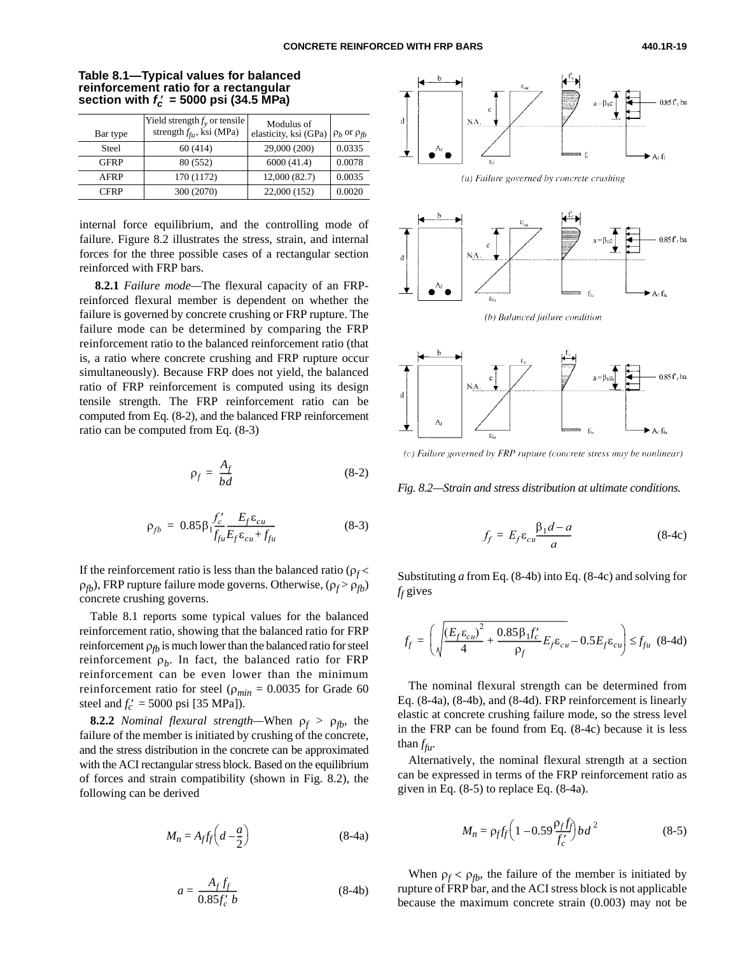|              | Yield strength $f_y$ or tensile<br>strength $f_{\hat{f}u}$ , ksi (MPa) | Modulus of            |                         |
|--------------|------------------------------------------------------------------------|-----------------------|-------------------------|
| Bar type     |                                                                        | elasticity, ksi (GPa) | $\rho_b$ or $\rho_{fb}$ |
| <b>Steel</b> | 60 (414)                                                               | 29,000 (200)          | 0.0335                  |
| <b>GFRP</b>  | 80 (552)                                                               | 6000(41.4)            | 0.0078                  |
| AFRP         | 170 (1172)                                                             | 12,000 (82.7)         | 0.0035                  |
| <b>CFRP</b>  | 300 (2070)                                                             | 22,000 (152)          | 0.0020                  |

**Table 8.1—Typical values for balanced reinforcement ratio for a rectangular** section with  $f_c' = 5000$  psi (34.5 MPa)

internal force equilibrium, and the controlling mode of failure. Figure 8.2 illustrates the stress, strain, and internal forces for the three possible cases of a rectangular section reinforced with FRP bars.

 **8.2.1** *Failure mode—*The flexural capacity of an FRPreinforced flexural member is dependent on whether the failure is governed by concrete crushing or FRP rupture. The failure mode can be determined by comparing the FRP reinforcement ratio to the balanced reinforcement ratio (that is, a ratio where concrete crushing and FRP rupture occur simultaneously). Because FRP does not yield, the balanced ratio of FRP reinforcement is computed using its design tensile strength. The FRP reinforcement ratio can be computed from Eq. (8-2), and the balanced FRP reinforcement ratio can be computed from Eq. (8-3)

$$
\rho_f = \frac{A_f}{bd} \tag{8-2}
$$

<span id="page-18-1"></span><span id="page-18-0"></span>
$$
\rho_{fb} = 0.85 \beta_1 \frac{f_c'}{f_{fu}} \frac{E_f \varepsilon_{cu}}{E_f \varepsilon_{cu} + f_{fu}} \tag{8-3}
$$

If the reinforcement ratio is less than the balanced ratio ( $\rho_f$ < ρ*fb*), FRP rupture failure mode governs. Otherwise, (ρ*<sup>f</sup>* > ρ*fb*) concrete crushing governs.

Table 8.1 reports some typical values for the balanced reinforcement ratio, showing that the balanced ratio for FRP reinforcement  $\rho_{tb}$  is much lower than the balanced ratio for steel reinforcement  $\rho_b$ . In fact, the balanced ratio for FRP reinforcement can be even lower than the minimum reinforcement ratio for steel ( $\rho_{min} = 0.0035$  for Grade 60 steel and  $f'_c = 5000 \text{ psi}$  [35 MPa]).

**8.2.2** *Nominal flexural strength*—When  $\rho_f > \rho_{fb}$ , the failure of the member is initiated by crushing of the concrete, and the stress distribution in the concrete can be approximated with the ACI rectangular stress block. Based on the equilibrium of forces and strain compatibility (shown in Fig. 8.2), the following can be derived

$$
M_n = A_f f_f \left( d - \frac{a}{2} \right) \tag{8-4a}
$$

$$
a = \frac{A_f f_f}{0.85 f'_c b} \tag{8-4b}
$$





(b) Balanced failure condition



(c) Failure governed by FRP rupture (concrete stress may be nonlinear)

*Fig. 8.2—Strain and stress distribution at ultimate conditions.* 

$$
f_f = E_f \varepsilon_{cu} \frac{\beta_1 d - a}{a} \tag{8-4c}
$$

Substituting *a* from Eq. (8-4b) into Eq. (8-4c) and solving for *ff* gives

$$
f_f = \left(\sqrt{\frac{(E_f \varepsilon_{cu})^2}{4} + \frac{0.85 \beta_1 f_c'}{\rho_f}} E_f \varepsilon_{cu} - 0.5 E_f \varepsilon_{cu}\right) \le f_{fu} \quad (8-4d)
$$

The nominal flexural strength can be determined from Eq. (8-4a), (8-4b), and (8-4d). FRP reinforcement is linearly elastic at concrete crushing failure mode, so the stress level in the FRP can be found from Eq. (8-4c) because it is less than *ffu*.

Alternatively, the nominal flexural strength at a section can be expressed in terms of the FRP reinforcement ratio as given in Eq. (8-5) to replace Eq. (8-4a).

$$
M_n = \rho_f f_f \left( 1 - 0.59 \frac{\rho_f f_f}{f_c'} \right) b d^2 \tag{8-5}
$$

When  $\rho_f < \rho_{fb}$ , the failure of the member is initiated by rupture of FRP bar, and the ACI stress block is not applicable because the maximum concrete strain (0.003) may not be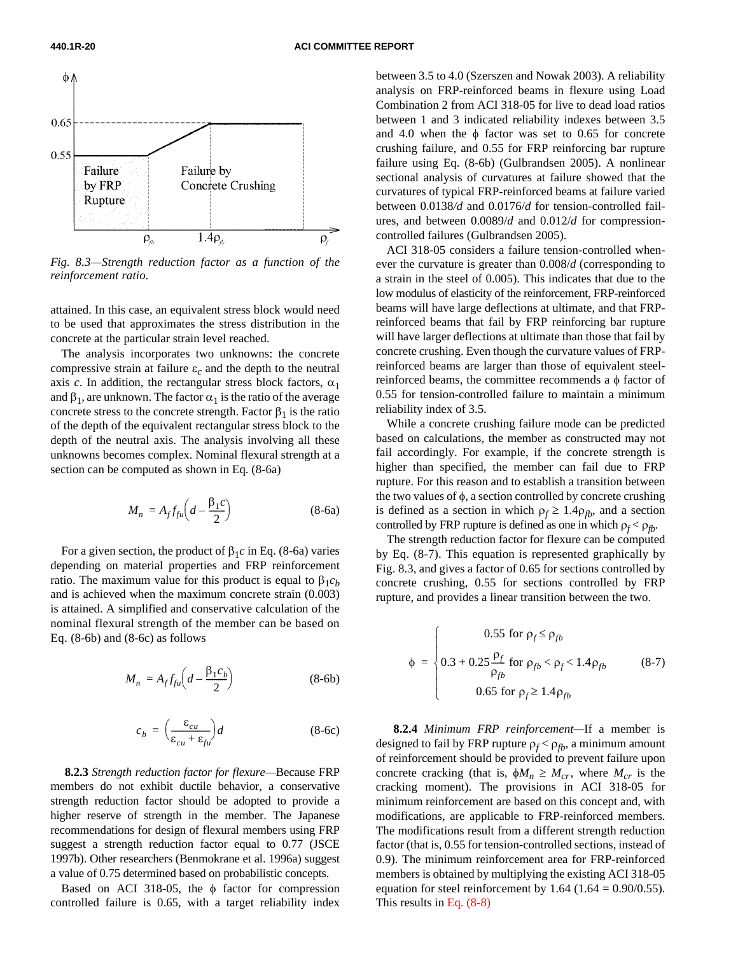

*Fig. 8.3—Strength reduction factor as a function of the reinforcement ratio.*

attained. In this case, an equivalent stress block would need to be used that approximates the stress distribution in the concrete at the particular strain level reached.

<span id="page-19-0"></span>The analysis incorporates two unknowns: the concrete compressive strain at failure  $\varepsilon_c$  and the depth to the neutral axis *c*. In addition, the rectangular stress block factors,  $\alpha_1$ and  $\beta_1$ , are unknown. The factor  $\alpha_1$  is the ratio of the average concrete stress to the concrete strength. Factor  $\beta_1$  is the ratio of the depth of the equivalent rectangular stress block to the depth of the neutral axis. The analysis involving all these unknowns becomes complex. Nominal flexural strength at a section can be computed as shown in Eq. (8-6a)

$$
M_n = A_f f_{fu} \left( d - \frac{\beta_1 c}{2} \right) \tag{8-6a}
$$

For a given section, the product of  $β_1c$  in Eq. (8-6a) varies depending on material properties and FRP reinforcement ratio. The maximum value for this product is equal to  $β_1c_b$ and is achieved when the maximum concrete strain (0.003) is attained. A simplified and conservative calculation of the nominal flexural strength of the member can be based on Eq.  $(8-6b)$  and  $(8-6c)$  as follows

$$
M_n = A_f f_{fu} \left( d - \frac{\beta_1 c_b}{2} \right) \tag{8-6b}
$$

$$
c_b = \left(\frac{\varepsilon_{cu}}{\varepsilon_{cu} + \varepsilon_{fu}}\right) d \tag{8-6c}
$$

 **8.2.3** *Strength reduction factor for flexure—*Because FRP members do not exhibit ductile behavior, a conservative strength reduction factor should be adopted to provide a higher reserve of strength in the member. The Japanese recommendations for design of flexural members using FRP suggest a strength reduction factor equal to 0.77 (JSCE 1997b). Other researchers (Benmokrane et al. 1996a) suggest a value of 0.75 determined based on probabilistic concepts.

Based on ACI 318-05, the  $\phi$  factor for compression controlled failure is 0.65, with a target reliability index

between 3.5 to 4.0 (Szerszen and Nowak 2003). A reliability analysis on FRP-reinforced beams in flexure using Load Combination 2 from ACI 318-05 for live to dead load ratios between 1 and 3 indicated reliability indexes between 3.5 and 4.0 when the  $\phi$  factor was set to 0.65 for concrete crushing failure, and 0.55 for FRP reinforcing bar rupture failure using Eq. (8-6b) (Gulbrandsen 2005). A nonlinear sectional analysis of curvatures at failure showed that the curvatures of typical FRP-reinforced beams at failure varied between 0.0138*/d* and 0.0176/*d* for tension-controlled failures, and between 0.0089/*d* and 0.012/*d* for compressioncontrolled failures (Gulbrandsen 2005).

ACI 318-05 considers a failure tension-controlled whenever the curvature is greater than 0.008/*d* (corresponding to a strain in the steel of 0.005). This indicates that due to the low modulus of elasticity of the reinforcement, FRP-reinforced beams will have large deflections at ultimate, and that FRPreinforced beams that fail by FRP reinforcing bar rupture will have larger deflections at ultimate than those that fail by concrete crushing. Even though the curvature values of FRPreinforced beams are larger than those of equivalent steelreinforced beams, the committee recommends a  $\phi$  factor of 0.55 for tension-controlled failure to maintain a minimum reliability index of 3.5.

While a concrete crushing failure mode can be predicted based on calculations, the member as constructed may not fail accordingly. For example, if the concrete strength is higher than specified, the member can fail due to FRP rupture. For this reason and to establish a transition between the two values of  $\phi$ , a section controlled by concrete crushing is defined as a section in which  $\rho_f \geq 1.4 \rho_{fb}$ , and a section controlled by FRP rupture is defined as one in which  $\rho_f < \rho_{fb}$ .

The strength reduction factor for flexure can be computed by Eq. (8-7). This equation is represented graphically by Fig. 8.3, and gives a factor of 0.65 for sections controlled by concrete crushing, 0.55 for sections controlled by FRP rupture, and provides a linear transition between the two.

$$
\phi = \begin{cases}\n0.55 \text{ for } \rho_f \le \rho_{fb} \\
0.3 + 0.25 \frac{\rho_f}{\rho_{fb}} \text{ for } \rho_{fb} < \rho_f < 1.4 \rho_{fb} \\
0.65 \text{ for } \rho_f \ge 1.4 \rho_{fb}\n\end{cases}
$$
\n(8-7)

 **8.2.4** *Minimum FRP reinforcement—*If a member is designed to fail by FRP rupture  $\rho_f < \rho_{fb}$ , a minimum amount of reinforcement should be provided to prevent failure upon concrete cracking (that is,  $\phi M_n \geq M_{cr}$ , where  $M_{cr}$  is the cracking moment). The provisions in ACI 318-05 for minimum reinforcement are based on this concept and, with modifications, are applicable to FRP-reinforced members. The modifications result from a different strength reduction factor (that is, 0.55 for tension-controlled sections, instead of 0.9). The minimum reinforcement area for FRP-reinforced members is obtained by multiplying the existing ACI 318-05 equation for steel reinforcement by  $1.64$  ( $1.64 = 0.90/0.55$ ). This results [in Eq. \(8-8\)](#page-20-1)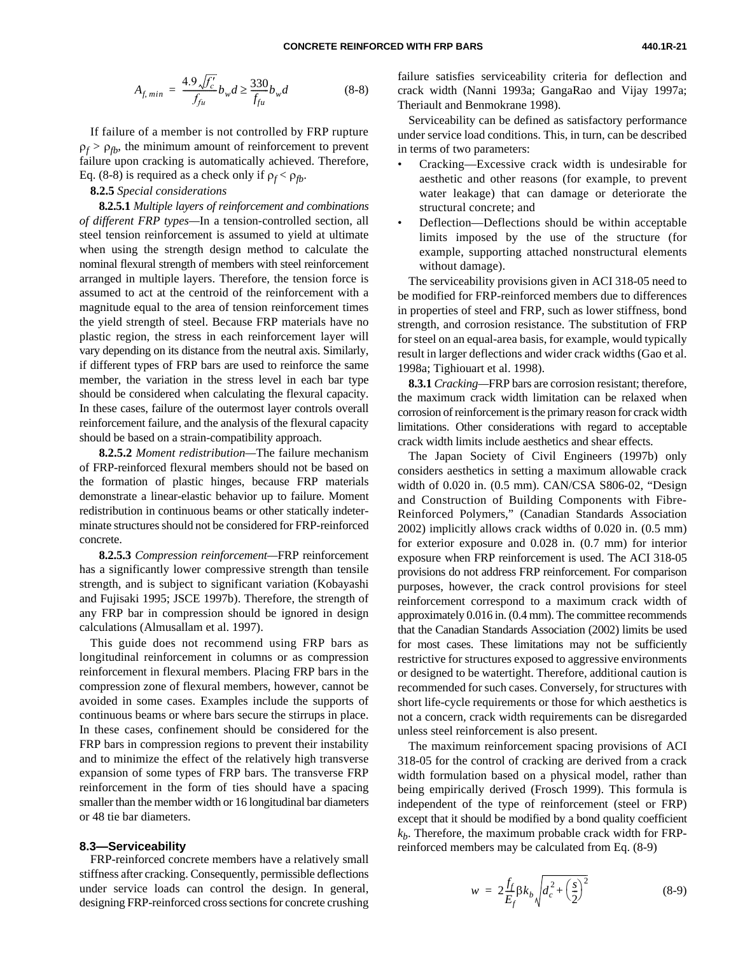<span id="page-20-1"></span>
$$
A_{f,min} = \frac{4.9\sqrt{f'_c}}{f_{fu}} b_w d \ge \frac{330}{f_{fu}} b_w d \tag{8-8}
$$

If failure of a member is not controlled by FRP rupture  $\rho_f > \rho_{fb}$ , the minimum amount of reinforcement to prevent failure upon cracking is automatically achieved. Therefore, Eq. (8-8) is required as a check only if  $\rho_f < \rho_{fb}$ .

#### **8.2.5** *Special considerations*

**8.2.5.1** *Multiple layers of reinforcement and combinations of different FRP types—*In a tension-controlled section, all steel tension reinforcement is assumed to yield at ultimate when using the strength design method to calculate the nominal flexural strength of members with steel reinforcement arranged in multiple layers. Therefore, the tension force is assumed to act at the centroid of the reinforcement with a magnitude equal to the area of tension reinforcement times the yield strength of steel. Because FRP materials have no plastic region, the stress in each reinforcement layer will vary depending on its distance from the neutral axis. Similarly, if different types of FRP bars are used to reinforce the same member, the variation in the stress level in each bar type should be considered when calculating the flexural capacity. In these cases, failure of the outermost layer controls overall reinforcement failure, and the analysis of the flexural capacity should be based on a strain-compatibility approach.

<span id="page-20-2"></span><span id="page-20-0"></span>**8.2.5.2** *Moment redistribution—*The failure mechanism of FRP-reinforced flexural members should not be based on the formation of plastic hinges, because FRP materials demonstrate a linear-elastic behavior up to failure. Moment redistribution in continuous beams or other statically indeterminate structures should not be considered for FRP-reinforced concrete.

**8.2.5.3** *Compression reinforcement—*FRP reinforcement has a significantly lower compressive strength than tensile strength, and is subject to significant variation (Kobayashi and Fujisaki 1995; JSCE 1997b). Therefore, the strength of any FRP bar in compression should be ignored in design calculations (Almusallam et al. 1997).

This guide does not recommend using FRP bars as longitudinal reinforcement in columns or as compression reinforcement in flexural members. Placing FRP bars in the compression zone of flexural members, however, cannot be avoided in some cases. Examples include the supports of continuous beams or where bars secure the stirrups in place. In these cases, confinement should be considered for the FRP bars in compression regions to prevent their instability and to minimize the effect of the relatively high transverse expansion of some types of FRP bars. The transverse FRP reinforcement in the form of ties should have a spacing smaller than the member width or 16 longitudinal bar diameters or 48 tie bar diameters.

#### **8.3—Serviceability**

FRP-reinforced concrete members have a relatively small stiffness after cracking. Consequently, permissible deflections under service loads can control the design. In general, designing FRP-reinforced cross sections for concrete crushing

failure satisfies serviceability criteria for deflection and crack width (Nanni 1993a; GangaRao and Vijay 1997a; Theriault and Benmokrane 1998).

Serviceability can be defined as satisfactory performance under service load conditions. This, in turn, can be described in terms of two parameters:

- Cracking—Excessive crack width is undesirable for aesthetic and other reasons (for example, to prevent water leakage) that can damage or deteriorate the structural concrete; and
- Deflection—Deflections should be within acceptable limits imposed by the use of the structure (for example, supporting attached nonstructural elements without damage).

The serviceability provisions given in ACI 318-05 need to be modified for FRP-reinforced members due to differences in properties of steel and FRP, such as lower stiffness, bond strength, and corrosion resistance. The substitution of FRP for steel on an equal-area basis, for example, would typically result in larger deflections and wider crack widths (Gao et al. 1998a; Tighiouart et al. 1998).

**8.3.1** *Cracking—*FRP bars are corrosion resistant; therefore, the maximum crack width limitation can be relaxed when corrosion of reinforcement is the primary reason for crack width limitations. Other considerations with regard to acceptable crack width limits include aesthetics and shear effects.

The Japan Society of Civil Engineers (1997b) only considers aesthetics in setting a maximum allowable crack width of 0.020 in. (0.5 mm). CAN/CSA S806-02, "Design and Construction of Building Components with Fibre-Reinforced Polymers," (Canadian Standards Association 2002) implicitly allows crack widths of 0.020 in. (0.5 mm) for exterior exposure and 0.028 in. (0.7 mm) for interior exposure when FRP reinforcement is used. The ACI 318-05 provisions do not address FRP reinforcement. For comparison purposes, however, the crack control provisions for steel reinforcement correspond to a maximum crack width of approximately 0.016 in. (0.4 mm). The committee recommends that the Canadian Standards Association (2002) limits be used for most cases. These limitations may not be sufficiently restrictive for structures exposed to aggressive environments or designed to be watertight. Therefore, additional caution is recommended for such cases. Conversely, for structures with short life-cycle requirements or those for which aesthetics is not a concern, crack width requirements can be disregarded unless steel reinforcement is also present.

The maximum reinforcement spacing provisions of ACI 318-05 for the control of cracking are derived from a crack width formulation based on a physical model, rather than being empirically derived (Frosch 1999). This formula is independent of the type of reinforcement (steel or FRP) except that it should be modified by a bond quality coefficient  $k_b$ . Therefore, the maximum probable crack width for FRPreinforced members may be calculated from Eq. (8-9)

$$
w = 2\frac{f_f}{E_f} \beta k_b \sqrt{d_c^2 + \left(\frac{s}{2}\right)^2} \tag{8-9}
$$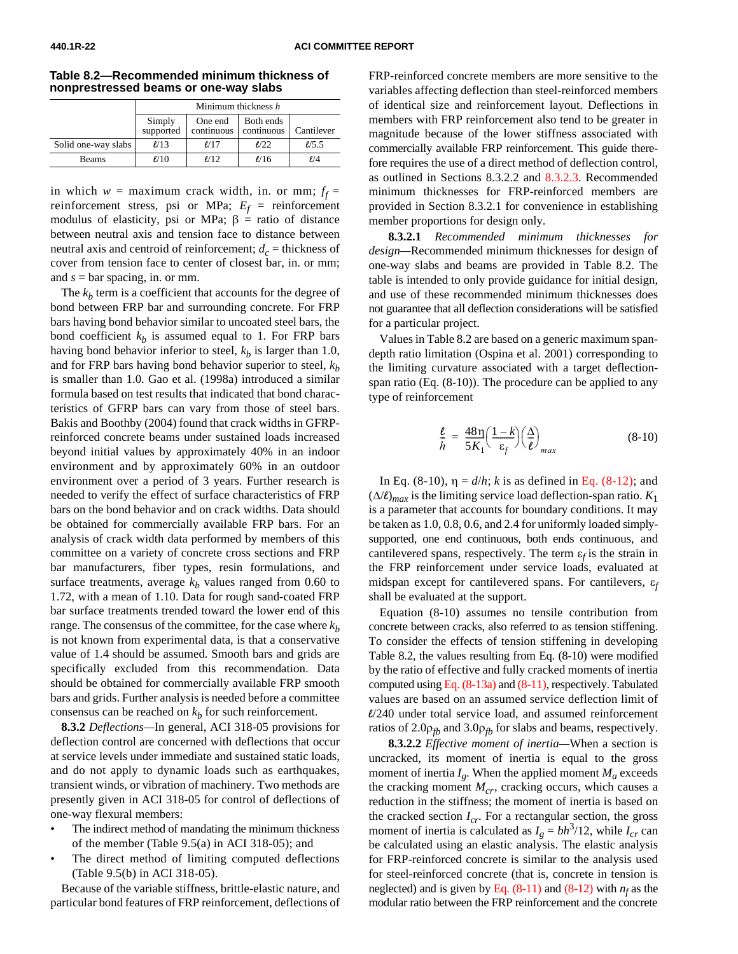<span id="page-21-3"></span>**Table 8.2—Recommended minimum thickness of nonprestressed beams or one-way slabs**

in which  $w =$  maximum crack width, in. or mm;  $f_f =$ reinforcement stress, psi or MPa;  $E_f$  = reinforcement modulus of elasticity, psi or MPa;  $\beta$  = ratio of distance between neutral axis and tension face to distance between neutral axis and centroid of reinforcement;  $d_c$  = thickness of cover from tension face to center of closest bar, in. or mm; and *s* = bar spacing, in. or mm.

<span id="page-21-2"></span><span id="page-21-1"></span><span id="page-21-0"></span>The  $k_b$  term is a coefficient that accounts for the degree of bond between FRP bar and surrounding concrete. For FRP bars having bond behavior similar to uncoated steel bars, the bond coefficient  $k_b$  is assumed equal to 1. For FRP bars having bond behavior inferior to steel,  $k_b$  is larger than 1.0, and for FRP bars having bond behavior superior to steel,  $k<sub>b</sub>$ is smaller than 1.0. Gao et al. (1998a) introduced a similar formula based on test results that indicated that bond characteristics of GFRP bars can vary from those of steel bars. Bakis and Boothby (2004) found that crack widths in GFRPreinforced concrete beams under sustained loads increased beyond initial values by approximately 40% in an indoor environment and by approximately 60% in an outdoor environment over a period of 3 years. Further research is needed to verify the effect of surface characteristics of FRP bars on the bond behavior and on crack widths. Data should be obtained for commercially available FRP bars. For an analysis of crack width data performed by members of this committee on a variety of concrete cross sections and FRP bar manufacturers, fiber types, resin formulations, and surface treatments, average  $k_b$  values ranged from 0.60 to 1.72, with a mean of 1.10. Data for rough sand-coated FRP bar surface treatments trended toward the lower end of this range. The consensus of the committee, for the case where  $k<sub>b</sub>$ is not known from experimental data, is that a conservative value of 1.4 should be assumed. Smooth bars and grids are specifically excluded from this recommendation. Data should be obtained for commercially available FRP smooth bars and grids. Further analysis is needed before a committee consensus can be reached on  $k_b$  for such reinforcement.

**8.3.2** *Deflections—*In general, ACI 318-05 provisions for deflection control are concerned with deflections that occur at service levels under immediate and sustained static loads, and do not apply to dynamic loads such as earthquakes, transient winds, or vibration of machinery. Two methods are presently given in ACI 318-05 for control of deflections of one-way flexural members:

- The indirect method of mandating the minimum thickness of the member (Table 9.5(a) in ACI 318-05); and
- The direct method of limiting computed deflections (Table 9.5(b) in ACI 318-05).

Because of the variable stiffness, brittle-elastic nature, and particular bond features of FRP reinforcement, deflections of FRP-reinforced concrete members are more sensitive to the variables affecting deflection than steel-reinforced members of identical size and reinforcement layout. Deflections in members with FRP reinforcement also tend to be greater in magnitude because of the lower stiffness associated with commercially available FRP reinforcement. This guide therefore requires the use of a direct method of deflection control, as outlined in Sections 8.3.2.2 an[d 8.3.2.3. R](#page-22-0)ecommended minimum thicknesses for FRP-reinforced members are provided in Section 8.3.2.1 for convenience in establishing member proportions for design only.

**8.3.2.1** *Recommended minimum thicknesses for design—*Recommended minimum thicknesses for design of one-way slabs and beams are provided in Table 8.2. The table is intended to only provide guidance for initial design, and use of these recommended minimum thicknesses does not guarantee that all deflection considerations will be satisfied for a particular project.

Values in Table 8.2 are based on a generic maximum spandepth ratio limitation (Ospina et al. 2001) corresponding to the limiting curvature associated with a target deflectionspan ratio (Eq. (8-10)). The procedure can be applied to any type of reinforcement

$$
\frac{\ell}{h} = \frac{48\eta}{5K_1} \left(\frac{1-k}{\epsilon_f}\right) \left(\frac{\Delta}{\ell}\right)_{max} \tag{8-10}
$$

In Eq. (8-10),  $η = d/h$ ; *k* is as defined i[n Eq. \(8-12\);](#page-22-1) and (∆/*l*)*max* is the limiting service load deflection-span ratio. *K*<sup>1</sup> is a parameter that accounts for boundary conditions. It may be taken as 1.0, 0.8, 0.6, and 2.4 for uniformly loaded simplysupported, one end continuous, both ends continuous, and cantilevered spans, respectively. The term  $\varepsilon_f$  is the strain in the FRP reinforcement under service loads, evaluated at midspan except for cantilevered spans. For cantilevers, ε*<sup>f</sup>* shall be evaluated at the support.

Equation (8-10) assumes no tensile contribution from concrete between cracks, also referred to as tension stiffening. To consider the effects of tension stiffening in developing Table 8.2, the values resulting from Eq. (8-10) were modified by the ratio of effective and fully cracked moments of inertia computed usin[g Eq. \(8-13a\) a](#page-22-2)nd [\(8-11\),](#page-22-3) respectively. Tabulated values are based on an assumed service deflection limit of *l*/240 under total service load, and assumed reinforcement ratios of  $2.0\rho_{fb}$  and  $3.0\rho_{fb}$  for slabs and beams, respectively.

**8.3.2.2** *Effective moment of inertia—*When a section is uncracked, its moment of inertia is equal to the gross moment of inertia  $I_g$ . When the applied moment  $M_a$  exceeds the cracking moment  $M_{cr}$ , cracking occurs, which causes a reduction in the stiffness; the moment of inertia is based on the cracked section  $I_{cr}$ . For a rectangular section, the gross moment of inertia is calculated as  $I_g = bh^3/12$ , while  $I_{cr}$  can be calculated using an elastic analysis. The elastic analysis for FRP-reinforced concrete is similar to the analysis used for steel-reinforced concrete (that is, concrete in tension is neglected) and is given by Eq.  $(8-11)$  and  $(8-12)$  with  $n_f$  as the modular ratio between the FRP reinforcement and the concrete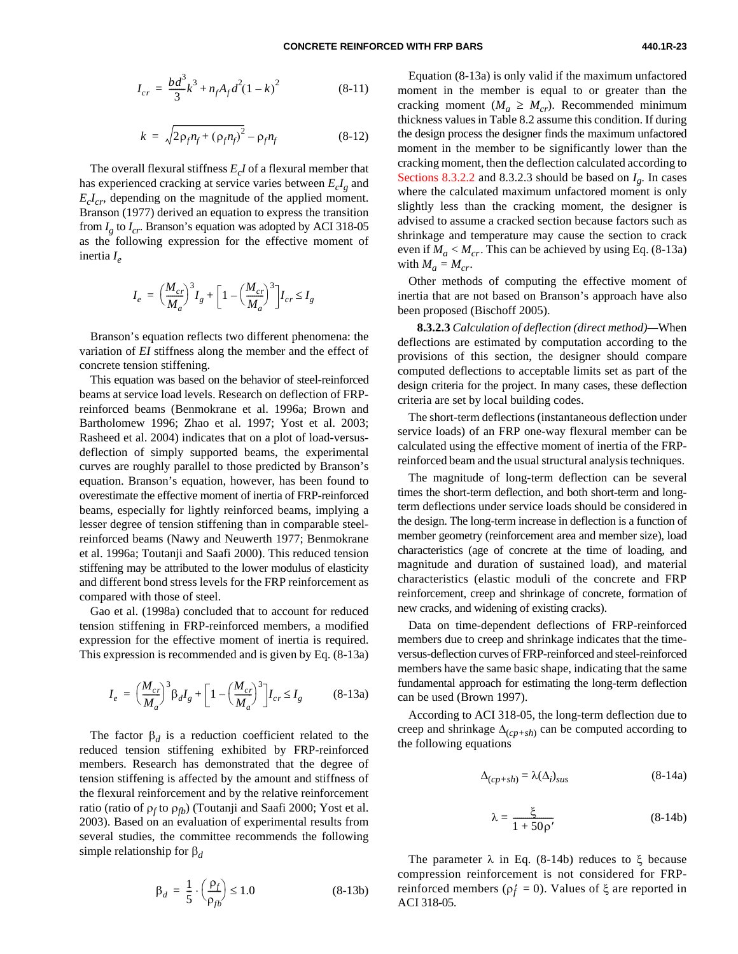<span id="page-22-5"></span><span id="page-22-3"></span>
$$
I_{cr} = \frac{bd^3}{3}k^3 + n_fA_f d^2(1-k)^2 \tag{8-11}
$$

$$
k = \sqrt{2\rho_f n_f + (\rho_f n_f)^2} - \rho_f n_f \tag{8-12}
$$

<span id="page-22-4"></span><span id="page-22-1"></span>The overall flexural stiffness  $E<sub>c</sub>I$  of a flexural member that has experienced cracking at service varies between  $E_cI_g$  and  $E<sub>c</sub>I<sub>cr</sub>$ , depending on the magnitude of the applied moment. Branson (1977) derived an equation to express the transition from  $I<sub>g</sub>$  to  $I<sub>cr</sub>$ . Branson's equation was adopted by ACI 318-05 as the following expression for the effective moment of inertia *Ie*

$$
I_e = \left(\frac{M_{cr}}{M_a}\right)^3 I_g + \left[1 - \left(\frac{M_{cr}}{M_a}\right)^3\right] I_{cr} \le I_g
$$

<span id="page-22-0"></span>Branson's equation reflects two different phenomena: the variation of *EI* stiffness along the member and the effect of concrete tension stiffening.

<span id="page-22-6"></span><span id="page-22-2"></span>This equation was based on the behavior of steel-reinforced beams at service load levels. Research on deflection of FRPreinforced beams (Benmokrane et al. 1996a; Brown and Bartholomew 1996; Zhao et al. 1997; Yost et al. 2003; Rasheed et al. 2004) indicates that on a plot of load-versusdeflection of simply supported beams, the experimental curves are roughly parallel to those predicted by Branson's equation. Branson's equation, however, has been found to overestimate the effective moment of inertia of FRP-reinforced beams, especially for lightly reinforced beams, implying a lesser degree of tension stiffening than in comparable steelreinforced beams (Nawy and Neuwerth 1977; Benmokrane et al. 1996a; Toutanji and Saafi 2000). This reduced tension stiffening may be attributed to the lower modulus of elasticity and different bond stress levels for the FRP reinforcement as compared with those of steel.

Gao et al. (1998a) concluded that to account for reduced tension stiffening in FRP-reinforced members, a modified expression for the effective moment of inertia is required. This expression is recommended and is given by Eq. (8-13a)

$$
I_e = \left(\frac{M_{cr}}{M_a}\right)^3 \beta_d I_g + \left[1 - \left(\frac{M_{cr}}{M_a}\right)^3\right] I_{cr} \le I_g \tag{8-13a}
$$

The factor  $\beta_d$  is a reduction coefficient related to the reduced tension stiffening exhibited by FRP-reinforced members. Research has demonstrated that the degree of tension stiffening is affected by the amount and stiffness of the flexural reinforcement and by the relative reinforcement ratio (ratio of ρ<sub>f</sub> to ρ<sub>fb</sub>) (Toutanji and Saafi 2000; Yost et al. 2003). Based on an evaluation of experimental results from several studies, the committee recommends the following simple relationship for β*<sup>d</sup>*

$$
\beta_d = \frac{1}{5} \cdot \left(\frac{\rho_f}{\rho_{fb}}\right) \le 1.0 \tag{8-13b}
$$

Equation (8-13a) is only valid if the maximum unfactored moment in the member is equal to or greater than the cracking moment ( $M_a \geq M_{cr}$ ). Recommended minimum thickness values in Table 8.2 assume this condition. If during the design process the designer finds the maximum unfactored moment in the member to be significantly lower than the cracking moment, then the deflection calculated according to [Sections 8.3.2.2](#page-21-2) and 8.3.2.3 should be based on  $I_g$ . In cases where the calculated maximum unfactored moment is only slightly less than the cracking moment, the designer is advised to assume a cracked section because factors such as shrinkage and temperature may cause the section to crack even if  $M_a < M_{cr}$ . This can be achieved by using Eq. (8-13a) with  $M_a = M_{cr}$ .

Other methods of computing the effective moment of inertia that are not based on Branson's approach have also been proposed (Bischoff 2005).

**8.3.2.3** *Calculation of deflection (direct method)—*When deflections are estimated by computation according to the provisions of this section, the designer should compare computed deflections to acceptable limits set as part of the design criteria for the project. In many cases, these deflection criteria are set by local building codes.

The short-term deflections (instantaneous deflection under service loads) of an FRP one-way flexural member can be calculated using the effective moment of inertia of the FRPreinforced beam and the usual structural analysis techniques.

The magnitude of long-term deflection can be several times the short-term deflection, and both short-term and longterm deflections under service loads should be considered in the design. The long-term increase in deflection is a function of member geometry (reinforcement area and member size), load characteristics (age of concrete at the time of loading, and magnitude and duration of sustained load), and material characteristics (elastic moduli of the concrete and FRP reinforcement, creep and shrinkage of concrete, formation of new cracks, and widening of existing cracks).

Data on time-dependent deflections of FRP-reinforced members due to creep and shrinkage indicates that the timeversus-deflection curves of FRP-reinforced and steel-reinforced members have the same basic shape, indicating that the same fundamental approach for estimating the long-term deflection can be used (Brown 1997).

According to ACI 318-05, the long-term deflection due to creep and shrinkage  $\Delta_{(cp+sh)}$  can be computed according to the following equations

$$
\Delta_{(cp+sh)} = \lambda(\Delta_i)_{sus} \tag{8-14a}
$$

$$
\lambda = \frac{\xi}{1 + 50\rho'}
$$
 (8-14b)

The parameter  $\lambda$  in Eq. (8-14b) reduces to ξ because compression reinforcement is not considered for FRPreinforced members ( $ρ<sub>f</sub> = 0$ ). Values of  $ξ$  are reported in ACI 318-05.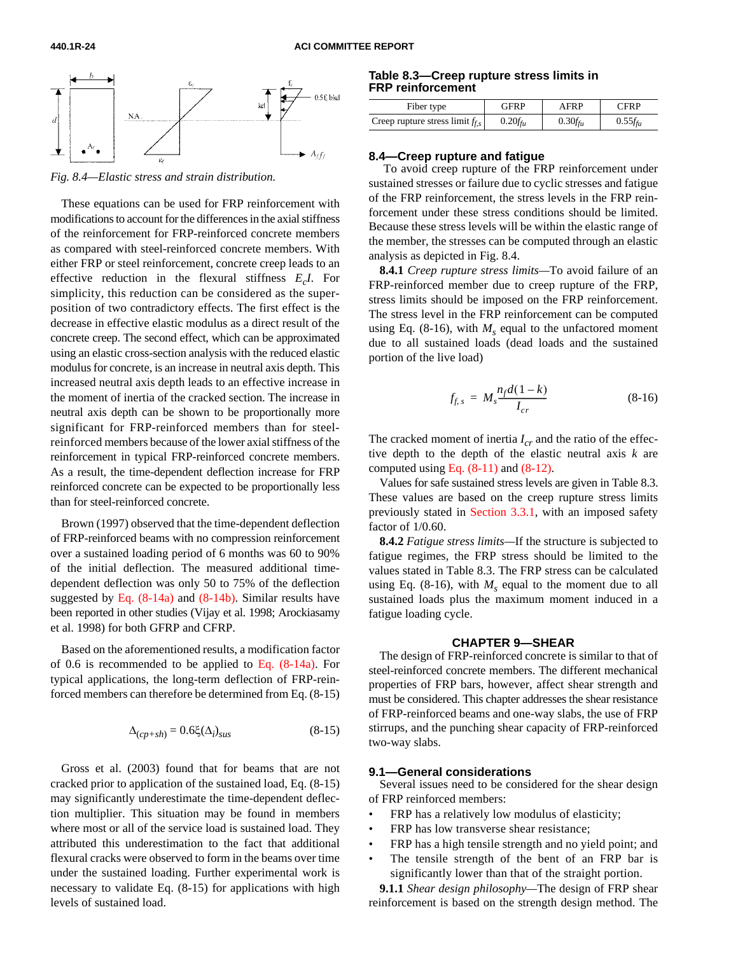

*Fig. 8.4—Elastic stress and strain distribution.*

These equations can be used for FRP reinforcement with modifications to account for the differences in the axial stiffness of the reinforcement for FRP-reinforced concrete members as compared with steel-reinforced concrete members. With either FRP or steel reinforcement, concrete creep leads to an effective reduction in the flexural stiffness *EcI*. For simplicity, this reduction can be considered as the superposition of two contradictory effects. The first effect is the decrease in effective elastic modulus as a direct result of the concrete creep. The second effect, which can be approximated using an elastic cross-section analysis with the reduced elastic modulus for concrete, is an increase in neutral axis depth. This increased neutral axis depth leads to an effective increase in the moment of inertia of the cracked section. The increase in neutral axis depth can be shown to be proportionally more significant for FRP-reinforced members than for steelreinforced members because of the lower axial stiffness of the reinforcement in typical FRP-reinforced concrete members. As a result, the time-dependent deflection increase for FRP reinforced concrete can be expected to be proportionally less than for steel-reinforced concrete.

<span id="page-23-0"></span>Brown (1997) observed that the time-dependent deflection of FRP-reinforced beams with no compression reinforcement over a sustained loading period of 6 months was 60 to 90% of the initial deflection. The measured additional timedependent deflection was only 50 to 75% of the deflection suggested b[y Eq. \(8-14a\) and \(8-14b\). S](#page-22-6)imilar results have been reported in other studies (Vijay et al. 1998; Arockiasamy et al. 1998) for both GFRP and CFRP.

Based on the aforementioned results, a modification factor of 0.6 is recommended to be applied to Eq.  $(8-14a)$ . For typical applications, the long-term deflection of FRP-reinforced members can therefore be determined from Eq. (8-15)

$$
\Delta_{(cp+sh)} = 0.6\xi(\Delta_i)_{sus} \tag{8-15}
$$

Gross et al. (2003) found that for beams that are not cracked prior to application of the sustained load, Eq. (8-15) may significantly underestimate the time-dependent deflection multiplier. This situation may be found in members where most or all of the service load is sustained load. They attributed this underestimation to the fact that additional flexural cracks were observed to form in the beams over time under the sustained loading. Further experimental work is necessary to validate Eq. (8-15) for applications with high levels of sustained load.

#### **Table 8.3—Creep rupture stress limits in FRP reinforcement**

| Fiber type                         | <b>GFRP</b>       | AFRP              | <b>CERP</b>      |
|------------------------------------|-------------------|-------------------|------------------|
| Creep rupture stress $\lim_{f, s}$ | $0.20 f_{\rm fu}$ | $0.30 f_{\rm fu}$ | $0.55f_{\rm fu}$ |

#### **8.4—Creep rupture and fatigue**

 To avoid creep rupture of the FRP reinforcement under sustained stresses or failure due to cyclic stresses and fatigue of the FRP reinforcement, the stress levels in the FRP reinforcement under these stress conditions should be limited. Because these stress levels will be within the elastic range of the member, the stresses can be computed through an elastic analysis as depicted in Fig. 8.4.

**8.4.1** *Creep rupture stress limits—*To avoid failure of an FRP-reinforced member due to creep rupture of the FRP, stress limits should be imposed on the FRP reinforcement. The stress level in the FRP reinforcement can be computed using Eq.  $(8-16)$ , with  $M_s$  equal to the unfactored moment due to all sustained loads (dead loads and the sustained portion of the live load)

$$
f_{f,s} = M_s \frac{n_f d(1-k)}{I_{cr}} \tag{8-16}
$$

The cracked moment of inertia  $I_{cr}$  and the ratio of the effective depth to the depth of the elastic neutral axis *k* are computed using Eq.  $(8-11)$  and  $(8-12)$ .

Values for safe sustained stress levels are given in Table 8.3. These values are based on the creep rupture stress limits previously stated in [Section](#page-9-0) 3.3.1, with an imposed safety factor of 1/0.60.

**8.4.2** *Fatigue stress limits—*If the structure is subjected to fatigue regimes, the FRP stress should be limited to the values stated in Table 8.3. The FRP stress can be calculated using Eq. (8-16), with  $M_s$  equal to the moment due to all sustained loads plus the maximum moment induced in a fatigue loading cycle.

#### **CHAPTER 9—SHEAR**

The design of FRP-reinforced concrete is similar to that of steel-reinforced concrete members. The different mechanical properties of FRP bars, however, affect shear strength and must be considered. This chapter addresses the shear resistance of FRP-reinforced beams and one-way slabs, the use of FRP stirrups, and the punching shear capacity of FRP-reinforced two-way slabs.

#### **9.1—General considerations**

Several issues need to be considered for the shear design of FRP reinforced members:

- FRP has a relatively low modulus of elasticity;
- FRP has low transverse shear resistance;
- FRP has a high tensile strength and no yield point; and
- The tensile strength of the bent of an FRP bar is significantly lower than that of the straight portion.

**9.1.1** *Shear design philosophy—*The design of FRP shear reinforcement is based on the strength design method. The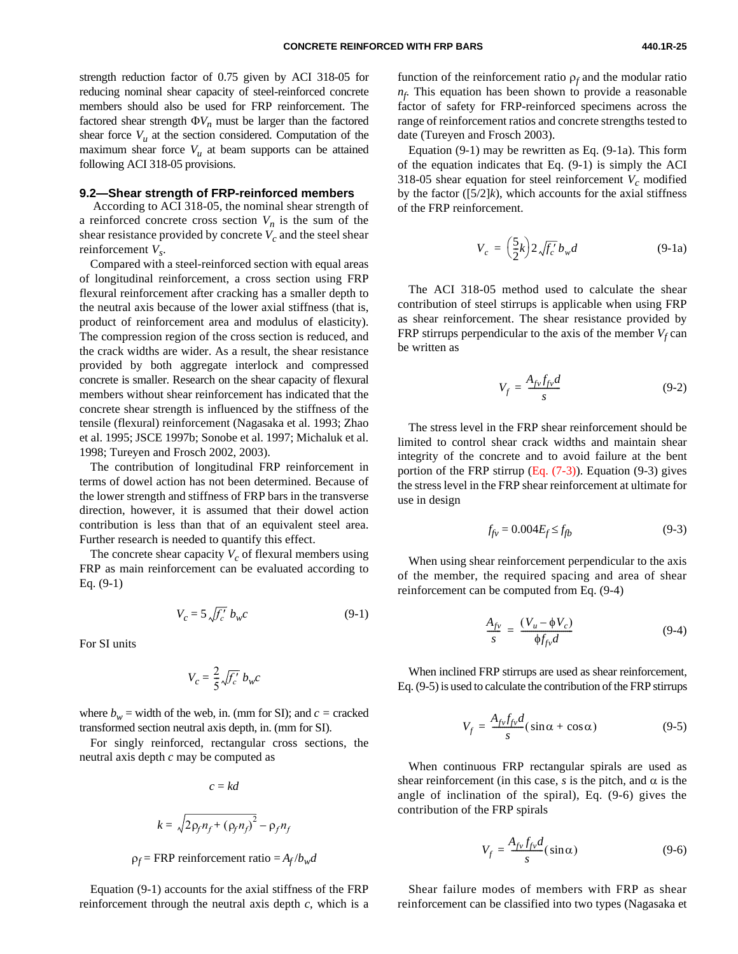strength reduction factor of 0.75 given by ACI 318-05 for reducing nominal shear capacity of steel-reinforced concrete members should also be used for FRP reinforcement. The factored shear strength  $\Phi V_n$  must be larger than the factored shear force  $V<sub>u</sub>$  at the section considered. Computation of the maximum shear force  $V_u$  at beam supports can be attained following ACI 318-05 provisions.

#### **9.2—Shear strength of FRP-reinforced members**

 According to ACI 318-05, the nominal shear strength of a reinforced concrete cross section  $V_n$  is the sum of the shear resistance provided by concrete  $V_c$  and the steel shear reinforcement  $V_s$ .

Compared with a steel-reinforced section with equal areas of longitudinal reinforcement, a cross section using FRP flexural reinforcement after cracking has a smaller depth to the neutral axis because of the lower axial stiffness (that is, product of reinforcement area and modulus of elasticity). The compression region of the cross section is reduced, and the crack widths are wider. As a result, the shear resistance provided by both aggregate interlock and compressed concrete is smaller. Research on the shear capacity of flexural members without shear reinforcement has indicated that the concrete shear strength is influenced by the stiffness of the tensile (flexural) reinforcement (Nagasaka et al. 1993; Zhao et al. 1995; JSCE 1997b; Sonobe et al. 1997; Michaluk et al. 1998; Tureyen and Frosch 2002, 2003).

<span id="page-24-0"></span>The contribution of longitudinal FRP reinforcement in terms of dowel action has not been determined. Because of the lower strength and stiffness of FRP bars in the transverse direction, however, it is assumed that their dowel action contribution is less than that of an equivalent steel area. Further research is needed to quantify this effect.

The concrete shear capacity  $V_c$  of flexural members using FRP as main reinforcement can be evaluated according to Eq. (9-1)

$$
V_c = 5 \sqrt{f_c'} b_w c \tag{9-1}
$$

For SI units

$$
V_c = \frac{2}{5} \sqrt{f_c'} b_w c
$$

where  $b_w$  = width of the web, in. (mm for SI); and  $c$  = cracked transformed section neutral axis depth, in. (mm for SI).

For singly reinforced, rectangular cross sections, the neutral axis depth *c* may be computed as

$$
c = kd
$$
  

$$
k = \sqrt{2\rho_f n_f + (\rho_f n_f)^2} - \rho_f n_f
$$

$$
\rho_f
$$
 = FRP reinforcement ratio =  $A_f/b_w d$ 

Equation (9-1) accounts for the axial stiffness of the FRP reinforcement through the neutral axis depth *c*, which is a

function of the reinforcement ratio  $\rho_f$  and the modular ratio *nf* . This equation has been shown to provide a reasonable factor of safety for FRP-reinforced specimens across the range of reinforcement ratios and concrete strengths tested to date (Tureyen and Frosch 2003).

Equation (9-1) may be rewritten as Eq. (9-1a). This form of the equation indicates that Eq. (9-1) is simply the ACI 318-05 shear equation for steel reinforcement  $V_c$  modified by the factor  $([5/2]k)$ , which accounts for the axial stiffness of the FRP reinforcement.

$$
V_c = \left(\frac{5}{2}k\right)2\sqrt{f_c'}\,b_w d\tag{9-1a}
$$

The ACI 318-05 method used to calculate the shear contribution of steel stirrups is applicable when using FRP as shear reinforcement. The shear resistance provided by FRP stirrups perpendicular to the axis of the member  $V_f$  can be written as

$$
V_f = \frac{A_{fv} f_{fv} d}{s} \tag{9-2}
$$

The stress level in the FRP shear reinforcement should be limited to control shear crack widths and maintain shear integrity of the concrete and to avoid failure at the bent portion of the FRP stirrup  $(Eq. (7-3))$ . Equation (9-3) gives the stress level in the FRP shear reinforcement at ultimate for use in design

$$
f_{f\nu} = 0.004 E_f \le f_{fb} \tag{9-3}
$$

When using shear reinforcement perpendicular to the axis of the member, the required spacing and area of shear reinforcement can be computed from Eq. (9-4)

$$
\frac{A_{f\nu}}{s} = \frac{(V_u - \phi V_c)}{\phi f_{f\nu} d} \tag{9-4}
$$

When inclined FRP stirrups are used as shear reinforcement, Eq. (9-5) is used to calculate the contribution of the FRP stirrups

$$
V_f = \frac{A_{f\nu}f_{f\nu}d}{s}(\sin\alpha + \cos\alpha) \tag{9-5}
$$

When continuous FRP rectangular spirals are used as shear reinforcement (in this case, *s* is the pitch, and  $\alpha$  is the angle of inclination of the spiral), Eq. (9-6) gives the contribution of the FRP spirals

$$
V_f = \frac{A_{fv} f_{fv} d}{s} (\sin \alpha) \tag{9-6}
$$

Shear failure modes of members with FRP as shear reinforcement can be classified into two types (Nagasaka et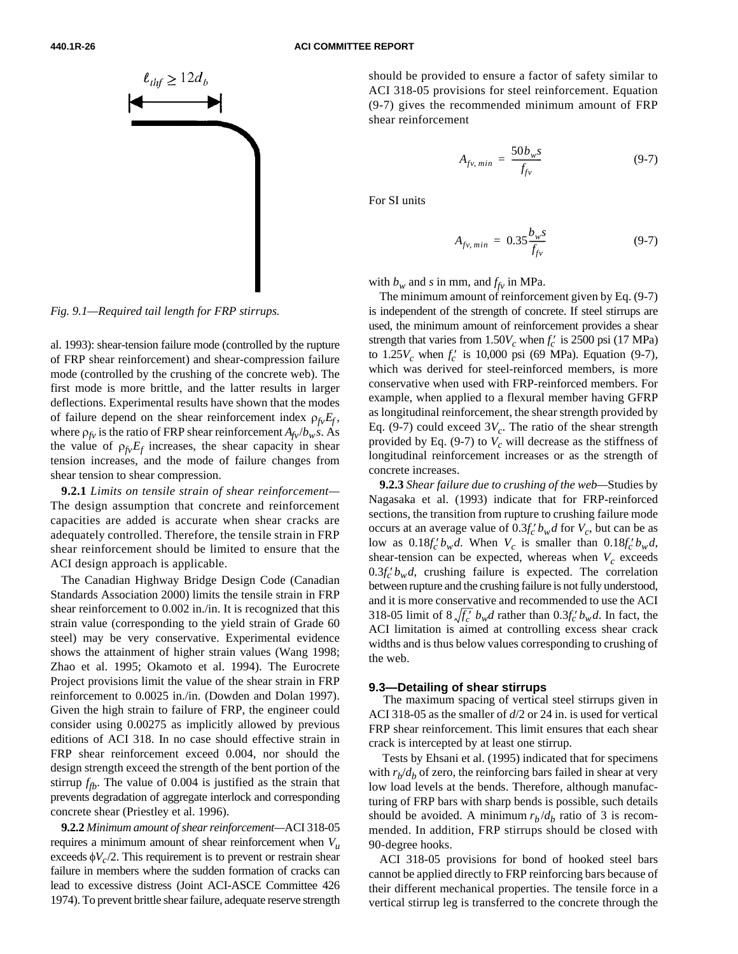#### <span id="page-25-1"></span><span id="page-25-0"></span>**440.1R-26 ACI COMMITTEE REPORT**



*Fig. 9.1—Required tail length for FRP stirrups.*

al. 1993): shear-tension failure mode (controlled by the rupture of FRP shear reinforcement) and shear-compression failure mode (controlled by the crushing of the concrete web). The first mode is more brittle, and the latter results in larger deflections. Experimental results have shown that the modes of failure depend on the shear reinforcement index  $\rho_{fv}E_f$ , where  $\rho_f$  is the ratio of FRP shear reinforcement  $A_{f\nu}/b_w s$ . As the value of  $\rho_{f\nu}E_f$  increases, the shear capacity in shear tension increases, and the mode of failure changes from shear tension to shear compression.

**9.2.1** *Limits on tensile strain of shear reinforcement—* The design assumption that concrete and reinforcement capacities are added is accurate when shear cracks are adequately controlled. Therefore, the tensile strain in FRP shear reinforcement should be limited to ensure that the ACI design approach is applicable.

The Canadian Highway Bridge Design Code (Canadian Standards Association 2000) limits the tensile strain in FRP shear reinforcement to 0.002 in./in. It is recognized that this strain value (corresponding to the yield strain of Grade 60 steel) may be very conservative. Experimental evidence shows the attainment of higher strain values (Wang 1998; Zhao et al. 1995; Okamoto et al. 1994). The Eurocrete Project provisions limit the value of the shear strain in FRP reinforcement to 0.0025 in./in. (Dowden and Dolan 1997). Given the high strain to failure of FRP, the engineer could consider using 0.00275 as implicitly allowed by previous editions of ACI 318. In no case should effective strain in FRP shear reinforcement exceed 0.004, nor should the design strength exceed the strength of the bent portion of the stirrup  $f_{\text{fb}}$ . The value of 0.004 is justified as the strain that prevents degradation of aggregate interlock and corresponding concrete shear (Priestley et al. 1996).

**9.2.2** *Minimum amount of shear reinforcement—*ACI 318-05 requires a minimum amount of shear reinforcement when *Vu* exceeds  $\phi V_c/2$ . This requirement is to prevent or restrain shear failure in members where the sudden formation of cracks can lead to excessive distress (Joint ACI-ASCE Committee 426 1974). To prevent brittle shear failure, adequate reserve strength should be provided to ensure a factor of safety similar to ACI 318-05 provisions for steel reinforcement. Equation (9-7) gives the recommended minimum amount of FRP shear reinforcement

$$
A_{fv, \, min} = \frac{50b_w s}{f_{fv}} \tag{9-7}
$$

For SI units

$$
A_{fv, min} = 0.35 \frac{b_w s}{f_{fv}} \tag{9-7}
$$

with  $b_w$  and *s* in mm, and  $f_{fv}$  in MPa.

The minimum amount of reinforcement given by Eq. (9-7) is independent of the strength of concrete. If steel stirrups are used, the minimum amount of reinforcement provides a shear strength that varies from  $1.50V_c$  when  $f_c'$  is 2500 psi (17 MPa) to  $1.25V_c$  when  $f_c'$  is 10,000 psi (69 MPa). Equation (9-7), which was derived for steel-reinforced members, is more conservative when used with FRP-reinforced members. For example, when applied to a flexural member having GFRP as longitudinal reinforcement, the shear strength provided by Eq. (9-7) could exceed  $3V_c$ . The ratio of the shear strength provided by Eq.  $(9-7)$  to  $V_c$  will decrease as the stiffness of longitudinal reinforcement increases or as the strength of concrete increases.

**9.2.3** *Shear failure due to crushing of the web—*Studies by Nagasaka et al. (1993) indicate that for FRP-reinforced sections, the transition from rupture to crushing failure mode occurs at an average value of  $0.3f'_{c}$  *b<sub>w</sub>d* for *V<sub>c</sub>*, but can be as low as  $0.18f_c'b_wd$ . When  $V_c$  is smaller than  $0.18f_c'b_wd$ , shear-tension can be expected, whereas when  $V_c$  exceeds  $0.3f_c'b_wd$ , crushing failure is expected. The correlation between rupture and the crushing failure is not fully understood, and it is more conservative and recommended to use the ACI 318-05 limit of  $8\sqrt{f'_c}$   $b_w d$  rather than  $0.3f'_c b_w d$ . In fact, the ACI limitation is aimed at controlling excess shear crack widths and is thus below values corresponding to crushing of the web.

#### **9.3—Detailing of shear stirrups**

 The maximum spacing of vertical steel stirrups given in ACI 318-05 as the smaller of *d*/2 or 24 in. is used for vertical FRP shear reinforcement. This limit ensures that each shear crack is intercepted by at least one stirrup.

 Tests by Ehsani et al. (1995) indicated that for specimens with  $r_b/d_b$  of zero, the reinforcing bars failed in shear at very low load levels at the bends. Therefore, although manufacturing of FRP bars with sharp bends is possible, such details should be avoided. A minimum  $r_b/d_b$  ratio of 3 is recommended. In addition, FRP stirrups should be closed with 90-degree hooks.

ACI 318-05 provisions for bond of hooked steel bars cannot be applied directly to FRP reinforcing bars because of their different mechanical properties. The tensile force in a vertical stirrup leg is transferred to the concrete through the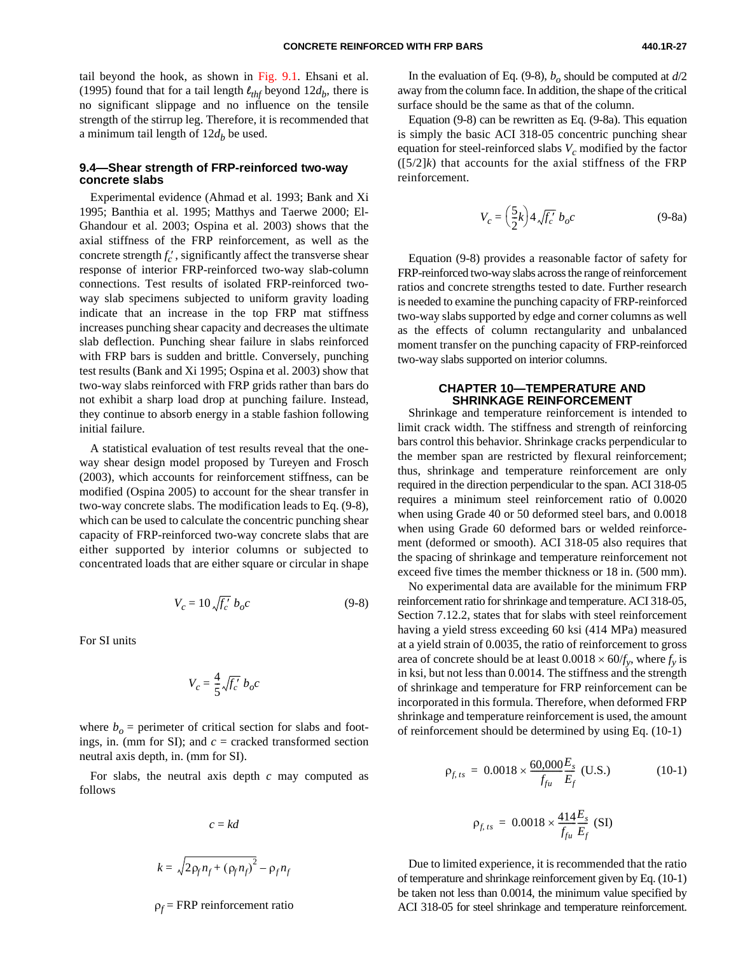tail beyond the hook, as shown i[n Fig. 9.1.](#page-25-0) Ehsani et al. (1995) found that for a tail length  $\ell_{thf}$  beyond  $12d_b$ , there is no significant slippage and no influence on the tensile strength of the stirrup leg. Therefore, it is recommended that a minimum tail length of  $12d_b$  be used.

#### **9.4—Shear strength of FRP-reinforced two-way concrete slabs**

Experimental evidence (Ahmad et al. 1993; Bank and Xi 1995; Banthia et al. 1995; Matthys and Taerwe 2000; El-Ghandour et al. 2003; Ospina et al. 2003) shows that the axial stiffness of the FRP reinforcement, as well as the concrete strength  $f'_c$ , significantly affect the transverse shear response of interior FRP-reinforced two-way slab-column connections. Test results of isolated FRP-reinforced twoway slab specimens subjected to uniform gravity loading indicate that an increase in the top FRP mat stiffness increases punching shear capacity and decreases the ultimate slab deflection. Punching shear failure in slabs reinforced with FRP bars is sudden and brittle. Conversely, punching test results (Bank and Xi 1995; Ospina et al. 2003) show that two-way slabs reinforced with FRP grids rather than bars do not exhibit a sharp load drop at punching failure. Instead, they continue to absorb energy in a stable fashion following initial failure.

<span id="page-26-1"></span><span id="page-26-0"></span>A statistical evaluation of test results reveal that the oneway shear design model proposed by Tureyen and Frosch (2003), which accounts for reinforcement stiffness, can be modified (Ospina 2005) to account for the shear transfer in two-way concrete slabs. The modification leads to Eq. (9-8), which can be used to calculate the concentric punching shear capacity of FRP-reinforced two-way concrete slabs that are either supported by interior columns or subjected to concentrated loads that are either square or circular in shape

$$
V_c = 10 \sqrt{f_c'} b_o c \tag{9-8}
$$

For SI units

$$
V_c = \frac{4}{5} \sqrt{f_c'} b_o c
$$

where  $b<sub>o</sub>$  = perimeter of critical section for slabs and footings, in. (mm for SI); and  $c =$  cracked transformed section neutral axis depth, in. (mm for SI).

For slabs, the neutral axis depth *c* may computed as follows

$$
c=kd
$$

$$
k = \sqrt{2\rho_f n_f + (\rho_f n_f)^2} - \rho_f n_f
$$

ρ*f* = FRP reinforcement ratio

In the evaluation of Eq. (9-8),  $b<sub>o</sub>$  should be computed at  $d/2$ away from the column face. In addition, the shape of the critical surface should be the same as that of the column.

Equation (9-8) can be rewritten as Eq. (9-8a). This equation is simply the basic ACI 318-05 concentric punching shear equation for steel-reinforced slabs  $V_c$  modified by the factor  $([5/2]k)$  that accounts for the axial stiffness of the FRP reinforcement.

$$
V_c = \left(\frac{5}{2}k\right)4\sqrt{f_c'} b_o c \tag{9-8a}
$$

Equation (9-8) provides a reasonable factor of safety for FRP-reinforced two-way slabs across the range of reinforcement ratios and concrete strengths tested to date. Further research is needed to examine the punching capacity of FRP-reinforced two-way slabs supported by edge and corner columns as well as the effects of column rectangularity and unbalanced moment transfer on the punching capacity of FRP-reinforced two-way slabs supported on interior columns.

#### **CHAPTER 10—TEMPERATURE AND SHRINKAGE REINFORCEMENT**

Shrinkage and temperature reinforcement is intended to limit crack width. The stiffness and strength of reinforcing bars control this behavior. Shrinkage cracks perpendicular to the member span are restricted by flexural reinforcement; thus, shrinkage and temperature reinforcement are only required in the direction perpendicular to the span. ACI 318-05 requires a minimum steel reinforcement ratio of 0.0020 when using Grade 40 or 50 deformed steel bars, and 0.0018 when using Grade 60 deformed bars or welded reinforcement (deformed or smooth). ACI 318-05 also requires that the spacing of shrinkage and temperature reinforcement not exceed five times the member thickness or 18 in. (500 mm).

No experimental data are available for the minimum FRP reinforcement ratio for shrinkage and temperature. ACI 318-05, Section 7.12.2, states that for slabs with steel reinforcement having a yield stress exceeding 60 ksi (414 MPa) measured at a yield strain of 0.0035, the ratio of reinforcement to gross area of concrete should be at least  $0.0018 \times 60/f_v$ , where  $f_v$  is in ksi, but not less than 0.0014. The stiffness and the strength of shrinkage and temperature for FRP reinforcement can be incorporated in this formula. Therefore, when deformed FRP shrinkage and temperature reinforcement is used, the amount of reinforcement should be determined by using Eq. (10-1)

$$
\rho_{f,ts} = 0.0018 \times \frac{60,000}{f_{fu}} \frac{E_s}{E_f} \text{ (U.S.)}
$$
 (10-1)

$$
\rho_{f,ts} = 0.0018 \times \frac{414 E_s}{f_{fu} E_f} \text{ (SI)}
$$

Due to limited experience, it is recommended that the ratio of temperature and shrinkage reinforcement given by Eq. (10-1) be taken not less than 0.0014, the minimum value specified by ACI 318-05 for steel shrinkage and temperature reinforcement.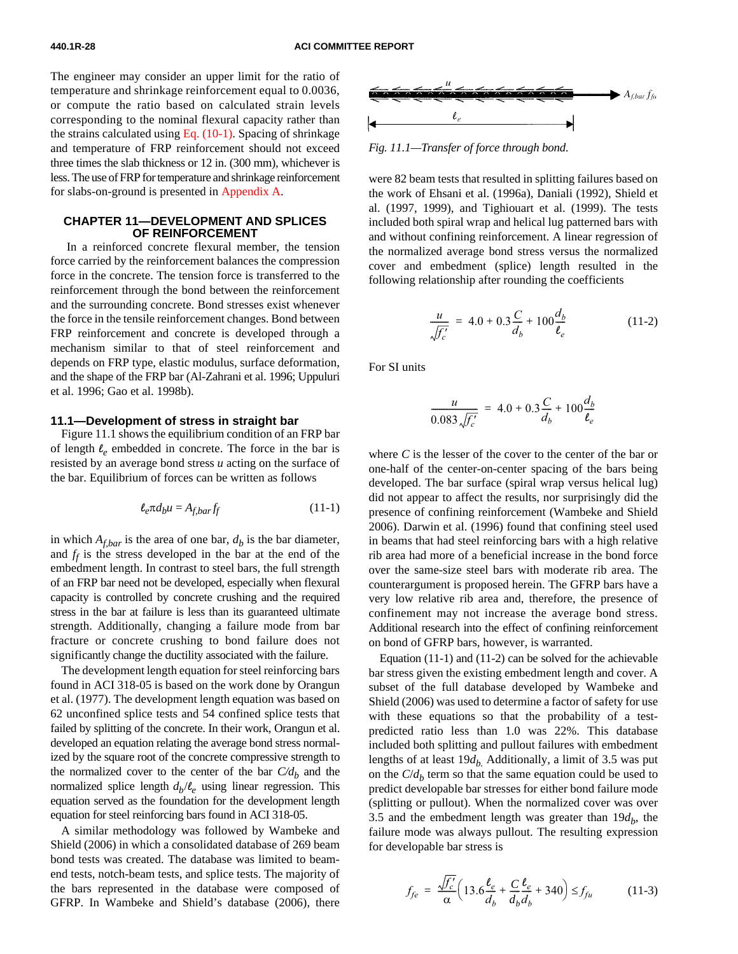The engineer may consider an upper limit for the ratio of temperature and shrinkage reinforcement equal to 0.0036, or compute the ratio based on calculated strain levels corresponding to the nominal flexural capacity rather than the strains calculated using Eq.  $(10-1)$ . Spacing of shrinkage and temperature of FRP reinforcement should not exceed three times the slab thickness or 12 in. (300 mm), whichever is less. The use of FRP for temperature and shrinkage reinforcement for slabs-on-ground is presented [in Appendix A.](#page-43-0)

#### **CHAPTER 11—DEVELOPMENT AND SPLICES OF REINFORCEMENT**

<span id="page-27-0"></span> In a reinforced concrete flexural member, the tension force carried by the reinforcement balances the compression force in the concrete. The tension force is transferred to the reinforcement through the bond between the reinforcement and the surrounding concrete. Bond stresses exist whenever the force in the tensile reinforcement changes. Bond between FRP reinforcement and concrete is developed through a mechanism similar to that of steel reinforcement and depends on FRP type, elastic modulus, surface deformation, and the shape of the FRP bar (Al-Zahrani et al. 1996; Uppuluri et al. 1996; Gao et al. 1998b).

#### **11.1—Development of stress in straight bar**

<span id="page-27-1"></span>Figure 11.1 shows the equilibrium condition of an FRP bar of length  $\ell_e$  embedded in concrete. The force in the bar is resisted by an average bond stress *u* acting on the surface of the bar. Equilibrium of forces can be written as follows

$$
\ell_e \pi d_b u = A_{f,bar} f_f \tag{11-1}
$$

in which  $A_{f,bar}$  is the area of one bar,  $d_b$  is the bar diameter, and  $f_f$  is the stress developed in the bar at the end of the embedment length. In contrast to steel bars, the full strength of an FRP bar need not be developed, especially when flexural capacity is controlled by concrete crushing and the required stress in the bar at failure is less than its guaranteed ultimate strength. Additionally, changing a failure mode from bar fracture or concrete crushing to bond failure does not significantly change the ductility associated with the failure.

The development length equation for steel reinforcing bars found in ACI 318-05 is based on the work done by Orangun et al. (1977). The development length equation was based on 62 unconfined splice tests and 54 confined splice tests that failed by splitting of the concrete. In their work, Orangun et al. developed an equation relating the average bond stress normalized by the square root of the concrete compressive strength to the normalized cover to the center of the bar  $C/d<sub>b</sub>$  and the normalized splice length  $d_b/\ell_e$  using linear regression. This equation served as the foundation for the development length equation for steel reinforcing bars found in ACI 318-05.

A similar methodology was followed by Wambeke and Shield (2006) in which a consolidated database of 269 beam bond tests was created. The database was limited to beamend tests, notch-beam tests, and splice tests. The majority of the bars represented in the database were composed of GFRP. In Wambeke and Shield's database (2006), there



*Fig. 11.1—Transfer of force through bond.*

were 82 beam tests that resulted in splitting failures based on the work of Ehsani et al. (1996a), Daniali (1992), Shield et al. (1997, 1999), and Tighiouart et al. (1999). The tests included both spiral wrap and helical lug patterned bars with and without confining reinforcement. A linear regression of the normalized average bond stress versus the normalized cover and embedment (splice) length resulted in the following relationship after rounding the coefficients

$$
\frac{u}{\sqrt{f'_c}} = 4.0 + 0.3 \frac{C}{d_b} + 100 \frac{d_b}{\ell_e}
$$
 (11-2)

For SI units

$$
\frac{u}{0.083\sqrt{f'_c}} = 4.0 + 0.3\frac{C}{d_b} + 100\frac{d_b}{\ell_e}
$$

where *C* is the lesser of the cover to the center of the bar or one-half of the center-on-center spacing of the bars being developed. The bar surface (spiral wrap versus helical lug) did not appear to affect the results, nor surprisingly did the presence of confining reinforcement (Wambeke and Shield 2006). Darwin et al. (1996) found that confining steel used in beams that had steel reinforcing bars with a high relative rib area had more of a beneficial increase in the bond force over the same-size steel bars with moderate rib area. The counterargument is proposed herein. The GFRP bars have a very low relative rib area and, therefore, the presence of confinement may not increase the average bond stress. Additional research into the effect of confining reinforcement on bond of GFRP bars, however, is warranted.

Equation (11-1) and (11-2) can be solved for the achievable bar stress given the existing embedment length and cover. A subset of the full database developed by Wambeke and Shield (2006) was used to determine a factor of safety for use with these equations so that the probability of a testpredicted ratio less than 1.0 was 22%. This database included both splitting and pullout failures with embedment lengths of at least  $19d_b$ . Additionally, a limit of 3.5 was put on the  $C/d<sub>b</sub>$  term so that the same equation could be used to predict developable bar stresses for either bond failure mode (splitting or pullout). When the normalized cover was over 3.5 and the embedment length was greater than  $19d_h$ , the failure mode was always pullout. The resulting expression for developable bar stress is

$$
f_{fe} = \frac{\sqrt{f_c'}}{\alpha} \left( 13.6 \frac{\ell_e}{d_b} + \frac{C}{d_b} \frac{\ell_e}{d_b} + 340 \right) \le f_{fu}
$$
 (11-3)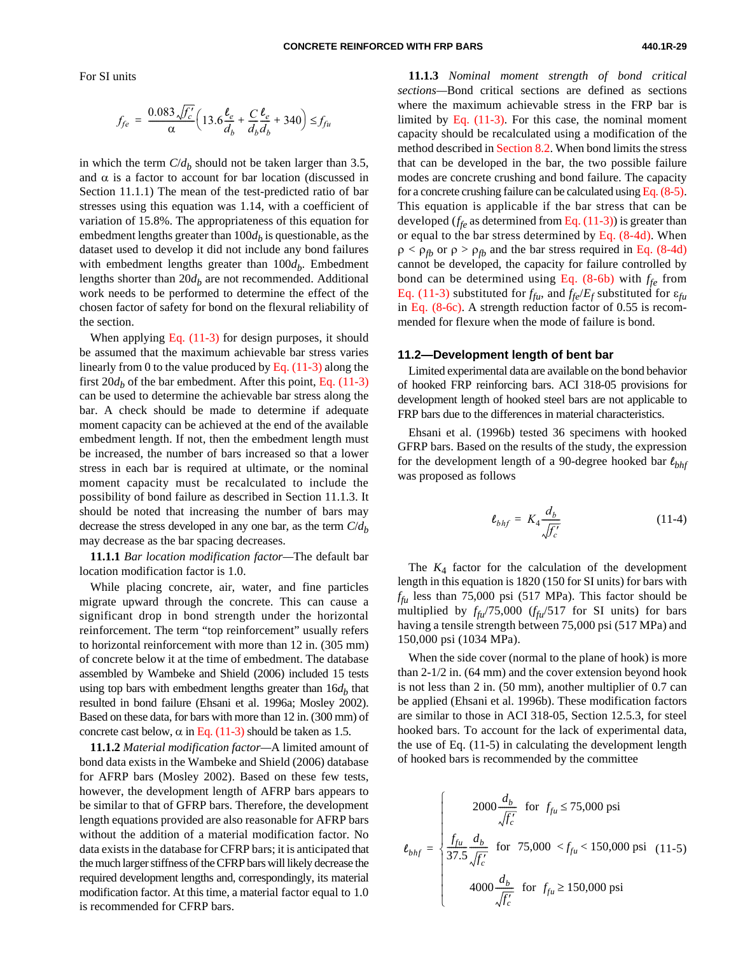For SI units

$$
f_{fe} = \frac{0.083 \sqrt{f_c'}}{\alpha} \left( 13.6 \frac{\ell_e}{d_b} + \frac{C}{d_b} \frac{\ell_e}{d_b} + 340 \right) \le f_{fu}
$$

in which the term  $C/d_b$  should not be taken larger than 3.5, and  $\alpha$  is a factor to account for bar location (discussed in Section 11.1.1) The mean of the test-predicted ratio of bar stresses using this equation was 1.14, with a coefficient of variation of 15.8%. The appropriateness of this equation for embedment lengths greater than  $100d<sub>b</sub>$  is questionable, as the dataset used to develop it did not include any bond failures with embedment lengths greater than  $100d_b$ . Embedment lengths shorter than  $20d_b$  are not recommended. Additional work needs to be performed to determine the effect of the chosen factor of safety for bond on the flexural reliability of the section.

<span id="page-28-0"></span>When applyin[g Eq. \(11-3\) f](#page-27-1)or design purposes, it should be assumed that the maximum achievable bar stress varies linearly from 0 to the value produced by Eq.  $(11-3)$  along the first  $20d_b$  of the bar embedment. After this point, [Eq. \(11-3\)](#page-27-1) can be used to determine the achievable bar stress along the bar. A check should be made to determine if adequate moment capacity can be achieved at the end of the available embedment length. If not, then the embedment length must be increased, the number of bars increased so that a lower stress in each bar is required at ultimate, or the nominal moment capacity must be recalculated to include the possibility of bond failure as described in Section 11.1.3. It should be noted that increasing the number of bars may decrease the stress developed in any one bar, as the term  $C/d<sub>b</sub>$ may decrease as the bar spacing decreases.

**11.1.1** *Bar location modification factor—*The default bar location modification factor is 1.0.

While placing concrete, air, water, and fine particles migrate upward through the concrete. This can cause a significant drop in bond strength under the horizontal reinforcement. The term "top reinforcement" usually refers to horizontal reinforcement with more than 12 in. (305 mm) of concrete below it at the time of embedment. The database assembled by Wambeke and Shield (2006) included 15 tests using top bars with embedment lengths greater than  $16d<sub>b</sub>$  that resulted in bond failure (Ehsani et al. 1996a; Mosley 2002). Based on these data, for bars with more than 12 in. (300 mm) of concrete cast below,  $\alpha$  i[n Eq. \(11-3\) s](#page-27-1)hould be taken as 1.5.

**11.1.2** *Material modification factor—*A limited amount of bond data exists in the Wambeke and Shield (2006) database for AFRP bars (Mosley 2002). Based on these few tests, however, the development length of AFRP bars appears to be similar to that of GFRP bars. Therefore, the development length equations provided are also reasonable for AFRP bars without the addition of a material modification factor. No data exists in the database for CFRP bars; it is anticipated that the much larger stiffness of the CFRP bars will likely decrease the required development lengths and, correspondingly, its material modification factor. At this time, a material factor equal to 1.0 is recommended for CFRP bars.

**11.1.3** *Nominal moment strength of bond critical sections—*Bond critical sections are defined as sections where the maximum achievable stress in the FRP bar is limited by Eq.  $(11-3)$ . For this case, the nominal moment capacity should be recalculated using a modification of the method described i[n Section](#page-17-1) 8.2. When bond limits the stress that can be developed in the bar, the two possible failure modes are concrete crushing and bond failure. The capacity for a concrete crushing failure can be calculated usin[g Eq. \(8-5\).](#page-18-0) This equation is applicable if the bar stress that can be developed  $(f_{f_e}$  as determined from Eq.  $(11-3)$ ) is greater than or equal to the bar stress determined by [Eq. \(8-4d\).](#page-18-0) When  $\rho < \rho_{fb}$  or  $\rho > \rho_{fb}$  and the bar stress required in [Eq. \(8-4d\)](#page-18-0) cannot be developed, the capacity for failure controlled by bond can be determined using Eq.  $(8-6b)$  with  $f_{fe}$  from Eq. [\(11-3\) s](#page-27-1)ubstituted for  $f_{fu}$ , and  $f_{fe}/E_f$  substituted for  $\varepsilon_{fu}$ in Eq. [\(8-6c\). A](#page-19-0) strength reduction factor of 0.55 is recommended for flexure when the mode of failure is bond.

#### **11.2—Development length of bent bar**

Limited experimental data are available on the bond behavior of hooked FRP reinforcing bars. ACI 318-05 provisions for development length of hooked steel bars are not applicable to FRP bars due to the differences in material characteristics.

Ehsani et al. (1996b) tested 36 specimens with hooked GFRP bars. Based on the results of the study, the expression for the development length of a 90-degree hooked bar *lbhf* was proposed as follows

$$
\ell_{bhf} = K_4 \frac{d_b}{\sqrt{f'_c}} \tag{11-4}
$$

The  $K_4$  factor for the calculation of the development length in this equation is 1820 (150 for SI units) for bars with  $f_{\rm f\mu}$  less than 75,000 psi (517 MPa). This factor should be multiplied by  $f_{\hat{f}u}/75,000$  ( $f_{\hat{f}u}/517$  for SI units) for bars having a tensile strength between 75,000 psi (517 MPa) and 150,000 psi (1034 MPa).

When the side cover (normal to the plane of hook) is more than 2-1/2 in. (64 mm) and the cover extension beyond hook is not less than 2 in. (50 mm), another multiplier of 0.7 can be applied (Ehsani et al. 1996b). These modification factors are similar to those in ACI 318-05, Section 12.5.3, for steel hooked bars. To account for the lack of experimental data, the use of Eq. (11-5) in calculating the development length of hooked bars is recommended by the committee

$$
\ell_{bhf} = \begin{cases}\n2000 \frac{d_b}{\sqrt{f_c'}} & \text{for } f_{fu} \le 75,000 \text{ psi} \\
\frac{f_{fu}}{37.5} \frac{d_b}{\sqrt{f_c'}} & \text{for } 75,000 < f_{fu} < 150,000 \text{ psi} \\
4000 \frac{d_b}{\sqrt{f_c'}} & \text{for } f_{fu} \ge 150,000 \text{ psi}\n\end{cases}
$$
(11-5)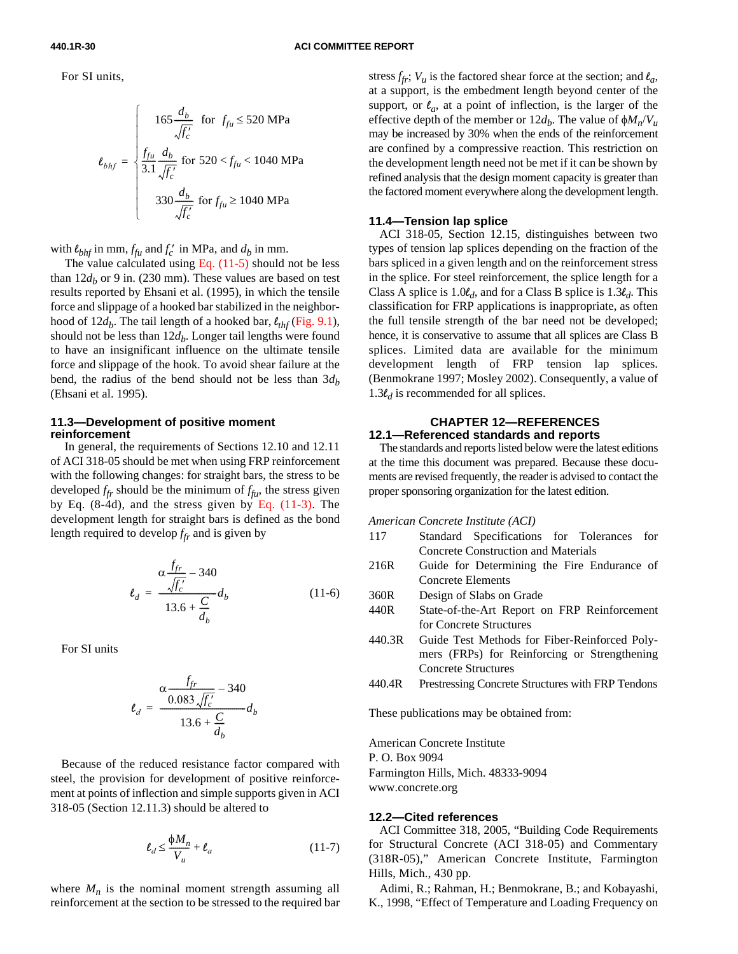**440.1R-30 ACI COMMITTEE REPORT**

For SI units,

$$
\ell_{bhf} = \begin{cases}\n165 \frac{d_b}{\sqrt{f_c'}} & \text{for } f_{fu} \le 520 \text{ MPa} \\
\frac{f_{fu}}{3.1} \frac{d_b}{\sqrt{f_c'}} & \text{for } 520 < f_{fu} < 1040 \text{ MPa} \\
330 \frac{d_b}{\sqrt{f_c'}} & \text{for } f_{fu} \ge 1040 \text{ MPa}\n\end{cases}
$$

with  $\ell_{bhf}$  in mm,  $f_{fu}$  and  $f_c'$  in MPa, and  $d_b$  in mm.

The value calculated using Eq.  $(11-5)$  should not be less than  $12d_b$  or 9 in. (230 mm). These values are based on test results reported by Ehsani et al. (1995), in which the tensile force and slippage of a hooked bar stabilized in the neighborhood of  $12d_b$ . The tail length of a hooked bar,  $\ell_{thf}$  [\(Fig. 9.1\),](#page-25-0) should not be less than  $12d_b$ . Longer tail lengths were found to have an insignificant influence on the ultimate tensile force and slippage of the hook. To avoid shear failure at the bend, the radius of the bend should not be less than  $3d<sub>b</sub>$ (Ehsani et al. 1995).

#### <span id="page-29-0"></span>**11.3—Development of positive moment reinforcement**

 In general, the requirements of Sections 12.10 and 12.11 of ACI 318-05 should be met when using FRP reinforcement with the following changes: for straight bars, the stress to be developed  $f_{fr}$  should be the minimum of  $f_{ft}$ , the stress given by Eq.  $(8-4d)$ , and the stress given by Eq.  $(11-3)$ . The development length for straight bars is defined as the bond length required to develop  $f_{fr}$  and is given by

$$
\ell_d = \frac{\alpha \frac{f_{fr}}{\sqrt{f_c'}} - 340}{13.6 + \frac{C}{d_b}} d_b \tag{11-6}
$$

For SI units

$$
\ell_d = \frac{\alpha \frac{f_{fr}}{0.083 \sqrt{f_c'}} - 340}{13.6 + \frac{C}{d_b}} d_b
$$

Because of the reduced resistance factor compared with steel, the provision for development of positive reinforcement at points of inflection and simple supports given in ACI 318-05 (Section 12.11.3) should be altered to

$$
\ell_d \le \frac{\phi M_n}{V_u} + \ell_a \tag{11-7}
$$

where  $M_n$  is the nominal moment strength assuming all reinforcement at the section to be stressed to the required bar stress  $f_{\hat{t}r}$ ;  $V_u$  is the factored shear force at the section; and  $l_a$ , at a support, is the embedment length beyond center of the support, or  $\ell_a$ , at a point of inflection, is the larger of the effective depth of the member or  $12d_b$ . The value of  $\phi M_n/V_u$ may be increased by 30% when the ends of the reinforcement are confined by a compressive reaction. This restriction on the development length need not be met if it can be shown by refined analysis that the design moment capacity is greater than the factored moment everywhere along the development length.

#### **11.4—Tension lap splice**

ACI 318-05, Section 12.15, distinguishes between two types of tension lap splices depending on the fraction of the bars spliced in a given length and on the reinforcement stress in the splice. For steel reinforcement, the splice length for a Class A splice is 1.0*ld*, and for a Class B splice is 1.3*ld*. This classification for FRP applications is inappropriate, as often the full tensile strength of the bar need not be developed; hence, it is conservative to assume that all splices are Class B splices. Limited data are available for the minimum development length of FRP tension lap splices. (Benmokrane 1997; Mosley 2002). Consequently, a value of 1.3 $\ell$ <sup>*d*</sup> is recommended for all splices.

#### **CHAPTER 12—REFERENCES 12.1—Referenced standards and reports**

The standards and reports listed below were the latest editions at the time this document was prepared. Because these documents are revised frequently, the reader is advised to contact the proper sponsoring organization for the latest edition.

*American Concrete Institute (ACI)*

- 117 Standard Specifications for Tolerances for Concrete Construction and Materials
- 216R Guide for Determining the Fire Endurance of Concrete Elements
- 360R Design of Slabs on Grade
- 440R State-of-the-Art Report on FRP Reinforcement for Concrete Structures
- 440.3R Guide Test Methods for Fiber-Reinforced Polymers (FRPs) for Reinforcing or Strengthening Concrete Structures
- 440.4R Prestressing Concrete Structures with FRP Tendons

These publications may be obtained from:

American Concrete Institute P. O. Box 9094 Farmington Hills, Mich. 48333-9094 www.concrete.org

#### **12.2—Cited references**

ACI Committee 318, 2005, "Building Code Requirements for Structural Concrete (ACI 318-05) and Commentary (318R-05)," American Concrete Institute, Farmington Hills, Mich., 430 pp.

Adimi, R.; Rahman, H.; Benmokrane, B.; and Kobayashi, K., 1998, "Effect of Temperature and Loading Frequency on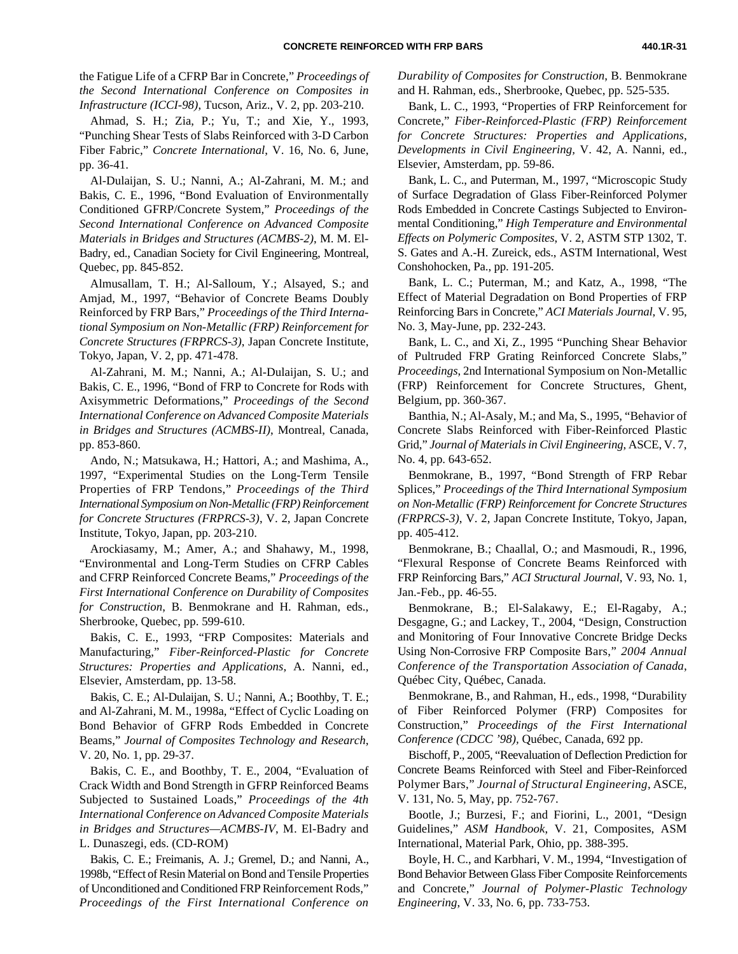the Fatigue Life of a CFRP Bar in Concrete," *Proceedings of the Second International Conference on Composites in Infrastructure (ICCI-98)*, Tucson, Ariz., V. 2, pp. 203-210.

Ahmad, S. H.; Zia, P.; Yu, T.; and Xie, Y., 1993, "Punching Shear Tests of Slabs Reinforced with 3-D Carbon Fiber Fabric," *Concrete International*, V. 16, No. 6, June, pp. 36-41.

Al-Dulaijan, S. U.; Nanni, A.; Al-Zahrani, M. M.; and Bakis, C. E., 1996, "Bond Evaluation of Environmentally Conditioned GFRP/Concrete System*,*" *Proceedings of the Second International Conference on Advanced Composite Materials in Bridges and Structures (ACMBS-2)*, M. M. El-Badry, ed., Canadian Society for Civil Engineering, Montreal, Quebec, pp. 845-852.

Almusallam, T. H.; Al-Salloum, Y.; Alsayed, S.; and Amjad, M., 1997, "Behavior of Concrete Beams Doubly Reinforced by FRP Bars," *Proceedings of the Third International Symposium on Non-Metallic (FRP) Reinforcement for Concrete Structures (FRPRCS-3)*, Japan Concrete Institute, Tokyo, Japan, V. 2, pp. 471-478.

Al-Zahrani, M. M.; Nanni, A.; Al-Dulaijan, S. U.; and Bakis, C. E., 1996, "Bond of FRP to Concrete for Rods with Axisymmetric Deformations," *Proceedings of the Second International Conference on Advanced Composite Materials in Bridges and Structures (ACMBS-II)*, Montreal, Canada, pp. 853-860.

Ando, N.; Matsukawa, H.; Hattori, A.; and Mashima, A., 1997, "Experimental Studies on the Long-Term Tensile Properties of FRP Tendons," *Proceedings of the Third International Symposium on Non-Metallic (FRP) Reinforcement for Concrete Structures (FRPRCS-3)*, V. 2, Japan Concrete Institute, Tokyo, Japan, pp. 203-210.

Arockiasamy, M.; Amer, A.; and Shahawy, M., 1998, "Environmental and Long-Term Studies on CFRP Cables and CFRP Reinforced Concrete Beams," *Proceedings of the First International Conference on Durability of Composites for Construction*, B. Benmokrane and H. Rahman, eds., Sherbrooke, Quebec, pp. 599-610.

Bakis, C. E., 1993, "FRP Composites: Materials and Manufacturing," *Fiber-Reinforced-Plastic for Concrete Structures: Properties and Applications*, A. Nanni, ed., Elsevier, Amsterdam, pp. 13-58.

Bakis, C. E.; Al-Dulaijan, S. U.; Nanni, A.; Boothby, T. E.; and Al-Zahrani, M. M., 1998a, "Effect of Cyclic Loading on Bond Behavior of GFRP Rods Embedded in Concrete Beams," *Journal of Composites Technology and Research*, V. 20, No. 1, pp. 29-37.

Bakis, C. E., and Boothby, T. E., 2004, "Evaluation of Crack Width and Bond Strength in GFRP Reinforced Beams Subjected to Sustained Loads," *Proceedings of the 4th International Conference on Advanced Composite Materials in Bridges and Structures—ACMBS-IV*, M. El-Badry and L. Dunaszegi, eds. (CD-ROM)

Bakis, C. E.; Freimanis, A. J.; Gremel, D.; and Nanni, A., 1998b, "Effect of Resin Material on Bond and Tensile Properties of Unconditioned and Conditioned FRP Reinforcement Rods," *Proceedings of the First International Conference on*

*Durability of Composites for Construction*, B. Benmokrane and H. Rahman, eds., Sherbrooke, Quebec, pp. 525-535.

Bank, L. C., 1993, "Properties of FRP Reinforcement for Concrete," *Fiber-Reinforced-Plastic (FRP) Reinforcement for Concrete Structures: Properties and Applications*, *Developments in Civil Engineering,* V. 42, A. Nanni, ed., Elsevier, Amsterdam, pp. 59-86.

Bank, L. C., and Puterman, M., 1997, "Microscopic Study of Surface Degradation of Glass Fiber-Reinforced Polymer Rods Embedded in Concrete Castings Subjected to Environmental Conditioning," *High Temperature and Environmental Effects on Polymeric Composites*, V. 2, ASTM STP 1302, T. S. Gates and A.-H. Zureick, eds., ASTM International, West Conshohocken, Pa., pp. 191-205.

Bank, L. C.; Puterman, M.; and Katz, A., 1998, "The Effect of Material Degradation on Bond Properties of FRP Reinforcing Bars in Concrete," *ACI Materials Journal*, V. 95, No. 3, May-June, pp. 232-243.

Bank, L. C., and Xi, Z., 1995 "Punching Shear Behavior of Pultruded FRP Grating Reinforced Concrete Slabs," *Proceedings*, 2nd International Symposium on Non-Metallic (FRP) Reinforcement for Concrete Structures, Ghent, Belgium, pp. 360-367.

Banthia, N.; Al-Asaly, M.; and Ma, S., 1995, "Behavior of Concrete Slabs Reinforced with Fiber-Reinforced Plastic Grid," *Journal of Materials in Civil Engineering*, ASCE, V. 7, No. 4, pp. 643-652.

Benmokrane, B., 1997, "Bond Strength of FRP Rebar Splices," *Proceedings of the Third International Symposium on Non-Metallic (FRP) Reinforcement for Concrete Structures (FRPRCS-3)*, V. 2, Japan Concrete Institute, Tokyo, Japan, pp. 405-412.

Benmokrane, B.; Chaallal, O.; and Masmoudi, R., 1996, "Flexural Response of Concrete Beams Reinforced with FRP Reinforcing Bars," *ACI Structural Journal*, V. 93, No. 1, Jan.-Feb., pp. 46-55.

Benmokrane, B.; El-Salakawy, E.; El-Ragaby, A.; Desgagne, G.; and Lackey, T., 2004, "Design, Construction and Monitoring of Four Innovative Concrete Bridge Decks Using Non-Corrosive FRP Composite Bars," *2004 Annual Conference of the Transportation Association of Canada*, Québec City, Québec, Canada.

Benmokrane, B., and Rahman, H., eds., 1998, "Durability of Fiber Reinforced Polymer (FRP) Composites for Construction," *Proceedings of the First International Conference (CDCC '98),* Québec, Canada, 692 pp.

Bischoff, P., 2005, "Reevaluation of Deflection Prediction for Concrete Beams Reinforced with Steel and Fiber-Reinforced Polymer Bars," *Journal of Structural Engineering*, ASCE, V. 131, No. 5, May, pp. 752-767.

Bootle, J.; Burzesi, F.; and Fiorini, L., 2001, "Design Guidelines," *ASM Handbook*, V. 21, Composites, ASM International, Material Park, Ohio, pp. 388-395.

Boyle, H. C., and Karbhari, V. M., 1994, "Investigation of Bond Behavior Between Glass Fiber Composite Reinforcements and Concrete," *Journal of Polymer-Plastic Technology Engineering*, V. 33, No. 6, pp. 733-753.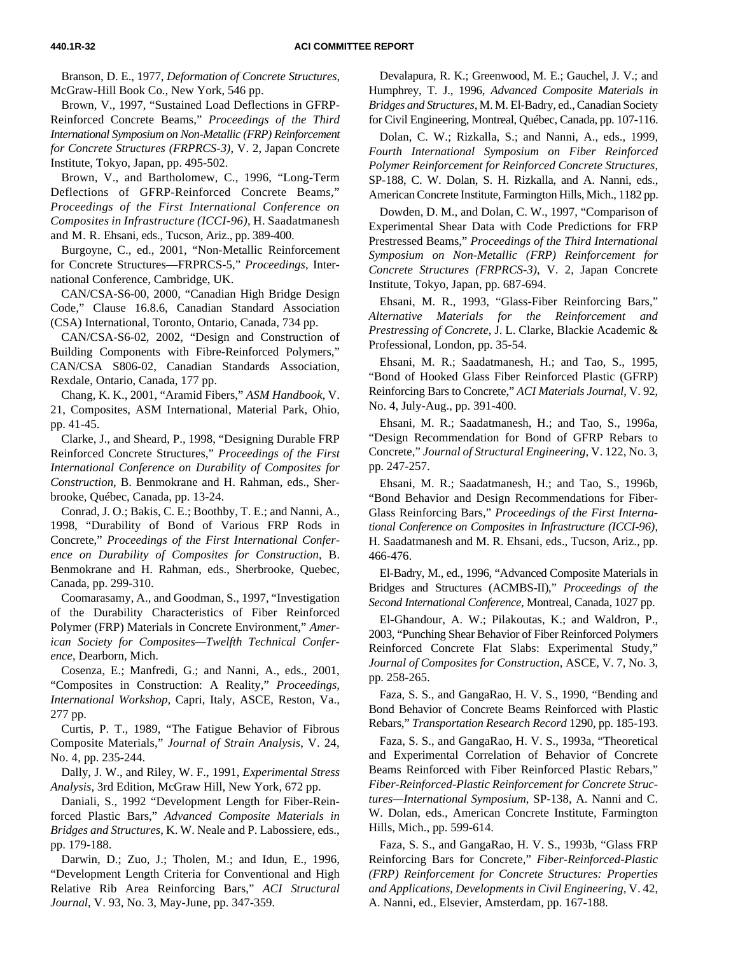Branson, D. E., 1977, *Deformation of Concrete Structures*, McGraw-Hill Book Co., New York, 546 pp.

Brown, V., 1997, "Sustained Load Deflections in GFRP-Reinforced Concrete Beams," *Proceedings of the Third International Symposium on Non-Metallic (FRP) Reinforcement for Concrete Structures (FRPRCS-3)*, V. 2, Japan Concrete Institute, Tokyo, Japan, pp. 495-502.

Brown, V., and Bartholomew, C., 1996, "Long-Term Deflections of GFRP-Reinforced Concrete Beams," *Proceedings of the First International Conference on Composites in Infrastructure (ICCI-96)*, H. Saadatmanesh and M. R. Ehsani, eds., Tucson, Ariz., pp. 389-400.

Burgoyne, C., ed., 2001, "Non-Metallic Reinforcement for Concrete Structures—FRPRCS-5," *Proceedings*, International Conference, Cambridge, UK.

CAN/CSA-S6-00, 2000, "Canadian High Bridge Design Code," Clause 16.8.6, Canadian Standard Association (CSA) International, Toronto, Ontario, Canada, 734 pp.

CAN/CSA-S6-02, 2002, "Design and Construction of Building Components with Fibre-Reinforced Polymers," CAN/CSA S806-02, Canadian Standards Association, Rexdale, Ontario, Canada, 177 pp.

Chang, K. K., 2001, "Aramid Fibers," *ASM Handbook*, V. 21, Composites, ASM International, Material Park, Ohio, pp. 41-45.

Clarke, J., and Sheard, P., 1998, "Designing Durable FRP Reinforced Concrete Structures," *Proceedings of the First International Conference on Durability of Composites for Construction*, B. Benmokrane and H. Rahman, eds., Sherbrooke, Québec, Canada, pp. 13-24.

Conrad, J. O.; Bakis, C. E.; Boothby, T. E.; and Nanni, A., 1998, "Durability of Bond of Various FRP Rods in Concrete," *Proceedings of the First International Conference on Durability of Composites for Construction*, B. Benmokrane and H. Rahman, eds., Sherbrooke, Quebec, Canada, pp. 299-310.

Coomarasamy, A., and Goodman, S., 1997, "Investigation of the Durability Characteristics of Fiber Reinforced Polymer (FRP) Materials in Concrete Environment," *American Society for Composites—Twelfth Technical Conference*, Dearborn, Mich.

Cosenza, E.; Manfredi, G.; and Nanni, A., eds., 2001, "Composites in Construction: A Reality," *Proceedings, International Workshop,* Capri, Italy, ASCE, Reston, Va., 277 pp.

Curtis, P. T., 1989, "The Fatigue Behavior of Fibrous Composite Materials," *Journal of Strain Analysis*, V. 24, No. 4, pp. 235-244.

Dally, J. W., and Riley, W. F., 1991, *Experimental Stress Analysis*, 3rd Edition, McGraw Hill, New York, 672 pp.

Daniali, S., 1992 "Development Length for Fiber-Reinforced Plastic Bars," *Advanced Composite Materials in Bridges and Structures*, K. W. Neale and P. Labossiere, eds., pp. 179-188.

Darwin, D.; Zuo, J.; Tholen, M.; and Idun, E., 1996, "Development Length Criteria for Conventional and High Relative Rib Area Reinforcing Bars," *ACI Structural Journal*, V. 93, No. 3, May-June, pp. 347-359.

Devalapura, R. K.; Greenwood, M. E.; Gauchel, J. V.; and Humphrey, T. J., 1996, *Advanced Composite Materials in Bridges and Structures*, M. M. El-Badry, ed., Canadian Society for Civil Engineering, Montreal, Québec, Canada, pp. 107-116.

Dolan, C. W.; Rizkalla, S.; and Nanni, A., eds., 1999, *Fourth International Symposium on Fiber Reinforced Polymer Reinforcement for Reinforced Concrete Structures*, SP-188, C. W. Dolan, S. H. Rizkalla, and A. Nanni, eds., American Concrete Institute, Farmington Hills, Mich., 1182 pp.

Dowden, D. M., and Dolan, C. W., 1997, "Comparison of Experimental Shear Data with Code Predictions for FRP Prestressed Beams," *Proceedings of the Third International Symposium on Non-Metallic (FRP) Reinforcement for Concrete Structures (FRPRCS-3)*, V. 2, Japan Concrete Institute, Tokyo, Japan, pp. 687-694.

Ehsani, M. R., 1993, "Glass-Fiber Reinforcing Bars," *Alternative Materials for the Reinforcement and Prestressing of Concrete*, J. L. Clarke, Blackie Academic & Professional, London, pp. 35-54.

Ehsani, M. R.; Saadatmanesh, H.; and Tao, S., 1995, "Bond of Hooked Glass Fiber Reinforced Plastic (GFRP) Reinforcing Bars to Concrete," *ACI Materials Journal*, V. 92, No. 4, July-Aug., pp. 391-400.

Ehsani, M. R.; Saadatmanesh, H.; and Tao, S., 1996a, "Design Recommendation for Bond of GFRP Rebars to Concrete," *Journal of Structural Engineering*, V. 122, No. 3, pp. 247-257.

Ehsani, M. R.; Saadatmanesh, H.; and Tao, S., 1996b, "Bond Behavior and Design Recommendations for Fiber-Glass Reinforcing Bars," *Proceedings of the First International Conference on Composites in Infrastructure (ICCI-96)*, H. Saadatmanesh and M. R. Ehsani, eds., Tucson, Ariz., pp. 466-476.

El-Badry, M., ed., 1996, "Advanced Composite Materials in Bridges and Structures (ACMBS-II)," *Proceedings of the Second International Conference*, Montreal, Canada, 1027 pp.

El-Ghandour, A. W.; Pilakoutas, K.; and Waldron, P., 2003, "Punching Shear Behavior of Fiber Reinforced Polymers Reinforced Concrete Flat Slabs: Experimental Study," *Journal of Composites for Construction*, ASCE, V. 7, No. 3, pp. 258-265.

Faza, S. S., and GangaRao, H. V. S., 1990, "Bending and Bond Behavior of Concrete Beams Reinforced with Plastic Rebars," *Transportation Research Record* 1290, pp. 185-193.

Faza, S. S., and GangaRao, H. V. S., 1993a, "Theoretical and Experimental Correlation of Behavior of Concrete Beams Reinforced with Fiber Reinforced Plastic Rebars," *Fiber-Reinforced-Plastic Reinforcement for Concrete Structures—International Symposium*, SP-138, A. Nanni and C. W. Dolan, eds., American Concrete Institute, Farmington Hills, Mich., pp. 599-614.

Faza, S. S., and GangaRao, H. V. S., 1993b, "Glass FRP Reinforcing Bars for Concrete," *Fiber-Reinforced-Plastic (FRP) Reinforcement for Concrete Structures: Properties and Applications*, *Developments in Civil Engineering,* V. 42, A. Nanni, ed., Elsevier, Amsterdam, pp. 167-188.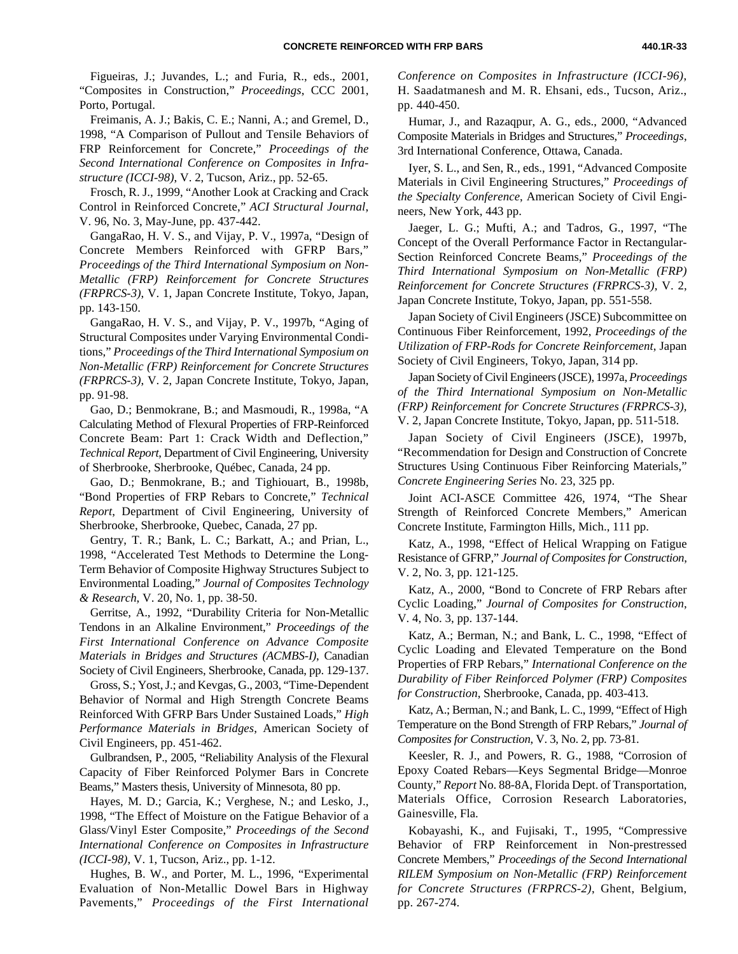Figueiras, J.; Juvandes, L.; and Furia, R., eds., 2001, "Composites in Construction," *Proceedings*, CCC 2001, Porto, Portugal.

Freimanis, A. J.; Bakis, C. E.; Nanni, A.; and Gremel, D., 1998, "A Comparison of Pullout and Tensile Behaviors of FRP Reinforcement for Concrete," *Proceedings of the Second International Conference on Composites in Infrastructure (ICCI-98)*, V. 2, Tucson, Ariz., pp. 52-65.

Frosch, R. J., 1999, "Another Look at Cracking and Crack Control in Reinforced Concrete," *ACI Structural Journal*, V. 96, No. 3, May-June, pp. 437-442.

GangaRao, H. V. S., and Vijay, P. V., 1997a, "Design of Concrete Members Reinforced with GFRP Bars," *Proceedings of the Third International Symposium on Non-Metallic (FRP) Reinforcement for Concrete Structures (FRPRCS-3)*, V. 1, Japan Concrete Institute, Tokyo, Japan, pp. 143-150.

GangaRao, H. V. S., and Vijay, P. V., 1997b, "Aging of Structural Composites under Varying Environmental Conditions," *Proceedings of the Third International Symposium on Non-Metallic (FRP) Reinforcement for Concrete Structures (FRPRCS-3)*, V. 2, Japan Concrete Institute, Tokyo, Japan, pp. 91-98.

Gao, D.; Benmokrane, B.; and Masmoudi, R., 1998a, "A Calculating Method of Flexural Properties of FRP-Reinforced Concrete Beam: Part 1: Crack Width and Deflection," *Technical Report*, Department of Civil Engineering, University of Sherbrooke, Sherbrooke, Québec, Canada, 24 pp.

Gao, D.; Benmokrane, B.; and Tighiouart, B., 1998b, "Bond Properties of FRP Rebars to Concrete," *Technical Report*, Department of Civil Engineering, University of Sherbrooke, Sherbrooke, Quebec, Canada, 27 pp.

Gentry, T. R.; Bank, L. C.; Barkatt, A.; and Prian, L., 1998, "Accelerated Test Methods to Determine the Long-Term Behavior of Composite Highway Structures Subject to Environmental Loading," *Journal of Composites Technology & Research*, V. 20, No. 1, pp. 38-50.

Gerritse, A., 1992, "Durability Criteria for Non-Metallic Tendons in an Alkaline Environment," *Proceedings of the First International Conference on Advance Composite Materials in Bridges and Structures (ACMBS-I)*, Canadian Society of Civil Engineers, Sherbrooke, Canada, pp. 129-137.

Gross, S.; Yost, J.; and Kevgas, G., 2003, "Time-Dependent Behavior of Normal and High Strength Concrete Beams Reinforced With GFRP Bars Under Sustained Loads," *High Performance Materials in Bridges*, American Society of Civil Engineers, pp. 451-462.

Gulbrandsen, P., 2005, "Reliability Analysis of the Flexural Capacity of Fiber Reinforced Polymer Bars in Concrete Beams," Masters thesis, University of Minnesota, 80 pp.

Hayes, M. D.; Garcia, K.; Verghese, N.; and Lesko, J., 1998, "The Effect of Moisture on the Fatigue Behavior of a Glass/Vinyl Ester Composite," *Proceedings of the Second International Conference on Composites in Infrastructure (ICCI-98)*, V. 1, Tucson, Ariz., pp. 1-12.

Hughes, B. W., and Porter, M. L., 1996, "Experimental Evaluation of Non-Metallic Dowel Bars in Highway Pavements," *Proceedings of the First International* *Conference on Composites in Infrastructure (ICCI-96)*, H. Saadatmanesh and M. R. Ehsani, eds., Tucson, Ariz., pp. 440-450.

Humar, J., and Razaqpur, A. G., eds., 2000, "Advanced Composite Materials in Bridges and Structures," *Proceedings*, 3rd International Conference, Ottawa, Canada.

Iyer, S. L., and Sen, R., eds., 1991, "Advanced Composite Materials in Civil Engineering Structures," *Proceedings of the Specialty Conference*, American Society of Civil Engineers, New York, 443 pp.

Jaeger, L. G.; Mufti, A.; and Tadros, G., 1997, "The Concept of the Overall Performance Factor in Rectangular-Section Reinforced Concrete Beams," *Proceedings of the Third International Symposium on Non-Metallic (FRP) Reinforcement for Concrete Structures (FRPRCS-3)*, V. 2, Japan Concrete Institute, Tokyo, Japan, pp. 551-558.

Japan Society of Civil Engineers (JSCE) Subcommittee on Continuous Fiber Reinforcement, 1992, *Proceedings of the Utilization of FRP-Rods for Concrete Reinforcement*, Japan Society of Civil Engineers, Tokyo, Japan, 314 pp.

Japan Society of Civil Engineers (JSCE), 1997a, *Proceedings of the Third International Symposium on Non-Metallic (FRP) Reinforcement for Concrete Structures (FRPRCS-3),* V. 2, Japan Concrete Institute, Tokyo, Japan, pp. 511-518.

Japan Society of Civil Engineers (JSCE), 1997b, "Recommendation for Design and Construction of Concrete Structures Using Continuous Fiber Reinforcing Materials," *Concrete Engineering Series* No. 23, 325 pp.

Joint ACI-ASCE Committee 426, 1974, "The Shear Strength of Reinforced Concrete Members," American Concrete Institute, Farmington Hills, Mich., 111 pp.

Katz, A., 1998, "Effect of Helical Wrapping on Fatigue Resistance of GFRP," *Journal of Composites for Construction*, V. 2, No. 3, pp. 121-125.

Katz, A., 2000, "Bond to Concrete of FRP Rebars after Cyclic Loading," *Journal of Composites for Construction*, V. 4, No. 3, pp. 137-144.

Katz, A.; Berman, N.; and Bank, L. C., 1998, "Effect of Cyclic Loading and Elevated Temperature on the Bond Properties of FRP Rebars," *International Conference on the Durability of Fiber Reinforced Polymer (FRP) Composites for Construction*, Sherbrooke, Canada, pp. 403-413.

Katz, A.; Berman, N.; and Bank, L. C., 1999, "Effect of High Temperature on the Bond Strength of FRP Rebars," *Journal of Composites for Construction*, V. 3, No. 2, pp. 73-81.

Keesler, R. J., and Powers, R. G., 1988, "Corrosion of Epoxy Coated Rebars—Keys Segmental Bridge—Monroe County," *Report* No. 88-8A, Florida Dept. of Transportation, Materials Office, Corrosion Research Laboratories, Gainesville, Fla.

Kobayashi, K., and Fujisaki, T., 1995, "Compressive Behavior of FRP Reinforcement in Non-prestressed Concrete Members," *Proceedings of the Second International RILEM Symposium on Non-Metallic (FRP) Reinforcement for Concrete Structures (FRPRCS-2)*, Ghent, Belgium, pp. 267-274.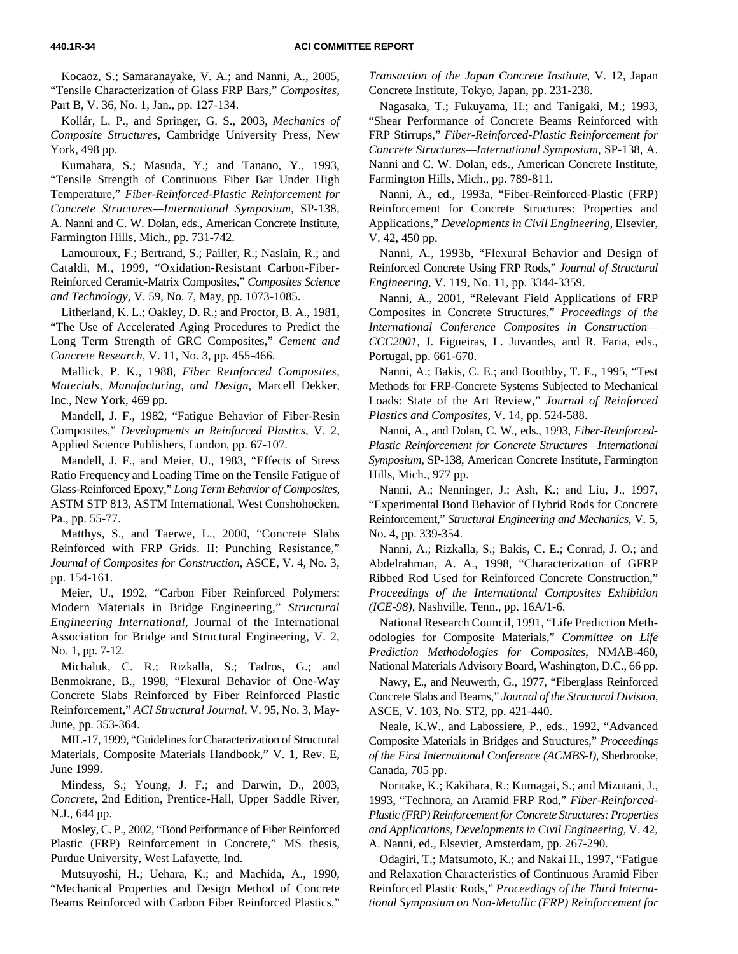Kocaoz, S.; Samaranayake, V. A.; and Nanni, A., 2005, "Tensile Characterization of Glass FRP Bars," *Composites*, Part B, V. 36, No. 1, Jan., pp. 127-134.

Kollár, L. P., and Springer, G. S., 2003, *Mechanics of Composite Structures*, Cambridge University Press, New York, 498 pp.

Kumahara, S.; Masuda, Y.; and Tanano, Y., 1993, "Tensile Strength of Continuous Fiber Bar Under High Temperature," *Fiber-Reinforced-Plastic Reinforcement for Concrete Structures—International Symposium*, SP-138, A. Nanni and C. W. Dolan, eds., American Concrete Institute, Farmington Hills, Mich., pp. 731-742.

Lamouroux, F.; Bertrand, S.; Pailler, R.; Naslain, R.; and Cataldi, M., 1999, "Oxidation-Resistant Carbon-Fiber-Reinforced Ceramic-Matrix Composites," *Composites Science and Technology*, V. 59, No. 7, May, pp. 1073-1085.

Litherland, K. L.; Oakley, D. R.; and Proctor, B. A., 1981, "The Use of Accelerated Aging Procedures to Predict the Long Term Strength of GRC Composites," *Cement and Concrete Research*, V. 11, No. 3, pp. 455-466.

Mallick, P. K., 1988, *Fiber Reinforced Composites, Materials, Manufacturing, and Design*, Marcell Dekker, Inc., New York, 469 pp.

Mandell, J. F., 1982, "Fatigue Behavior of Fiber-Resin Composites," *Developments in Reinforced Plastics*, V. 2, Applied Science Publishers, London, pp. 67-107.

Mandell, J. F., and Meier, U., 1983, "Effects of Stress Ratio Frequency and Loading Time on the Tensile Fatigue of Glass-Reinforced Epoxy*,*" *Long Term Behavior of Composites*, ASTM STP 813, ASTM International, West Conshohocken, Pa., pp. 55-77.

Matthys, S., and Taerwe, L., 2000, "Concrete Slabs Reinforced with FRP Grids. II: Punching Resistance," *Journal of Composites for Construction*, ASCE, V. 4, No. 3, pp. 154-161.

Meier, U., 1992, "Carbon Fiber Reinforced Polymers: Modern Materials in Bridge Engineering," *Structural Engineering International,* Journal of the International Association for Bridge and Structural Engineering, V. 2, No. 1, pp. 7-12.

Michaluk, C. R.; Rizkalla, S.; Tadros, G.; and Benmokrane, B., 1998, "Flexural Behavior of One-Way Concrete Slabs Reinforced by Fiber Reinforced Plastic Reinforcement," *ACI Structural Journal*, V. 95, No. 3, May-June, pp. 353-364.

MIL-17, 1999, "Guidelines for Characterization of Structural Materials, Composite Materials Handbook," V. 1, Rev. E, June 1999.

Mindess, S.; Young, J. F.; and Darwin, D., 2003, *Concrete*, 2nd Edition, Prentice-Hall, Upper Saddle River, N.J., 644 pp.

Mosley, C. P., 2002, "Bond Performance of Fiber Reinforced Plastic (FRP) Reinforcement in Concrete," MS thesis, Purdue University, West Lafayette, Ind.

Mutsuyoshi, H.; Uehara, K.; and Machida, A., 1990, "Mechanical Properties and Design Method of Concrete Beams Reinforced with Carbon Fiber Reinforced Plastics," *Transaction of the Japan Concrete Institute*, V. 12, Japan Concrete Institute, Tokyo, Japan, pp. 231-238.

Nagasaka, T.; Fukuyama, H.; and Tanigaki, M.; 1993, "Shear Performance of Concrete Beams Reinforced with FRP Stirrups," *Fiber-Reinforced-Plastic Reinforcement for Concrete Structures—International Symposium*, SP-138, A. Nanni and C. W. Dolan, eds., American Concrete Institute, Farmington Hills, Mich., pp. 789-811.

Nanni, A., ed., 1993a, "Fiber-Reinforced-Plastic (FRP) Reinforcement for Concrete Structures: Properties and Applications," *Developments in Civil Engineering,* Elsevier, V. 42, 450 pp.

Nanni, A., 1993b, "Flexural Behavior and Design of Reinforced Concrete Using FRP Rods," *Journal of Structural Engineering*, V. 119, No. 11, pp. 3344-3359.

Nanni, A., 2001, "Relevant Field Applications of FRP Composites in Concrete Structures," *Proceedings of the International Conference Composites in Construction— CCC2001*, J. Figueiras, L. Juvandes, and R. Faria, eds., Portugal, pp. 661-670.

Nanni, A.; Bakis, C. E.; and Boothby, T. E., 1995, "Test Methods for FRP-Concrete Systems Subjected to Mechanical Loads: State of the Art Review," *Journal of Reinforced Plastics and Composites*, V. 14, pp. 524-588.

Nanni, A., and Dolan, C. W., eds., 1993, *Fiber-Reinforced-Plastic Reinforcement for Concrete Structures—International Symposium*, SP-138, American Concrete Institute, Farmington Hills, Mich., 977 pp.

Nanni, A.; Nenninger, J.; Ash, K.; and Liu, J., 1997, "Experimental Bond Behavior of Hybrid Rods for Concrete Reinforcement," *Structural Engineering and Mechanics*, V. 5, No. 4, pp. 339-354.

Nanni, A.; Rizkalla, S.; Bakis, C. E.; Conrad, J. O.; and Abdelrahman, A. A., 1998, "Characterization of GFRP Ribbed Rod Used for Reinforced Concrete Construction," *Proceedings of the International Composites Exhibition (ICE-98)*, Nashville, Tenn., pp. 16A/1-6.

National Research Council, 1991, "Life Prediction Methodologies for Composite Materials," *Committee on Life Prediction Methodologies for Composites*, NMAB-460, National Materials Advisory Board, Washington, D.C., 66 pp.

Nawy, E., and Neuwerth, G., 1977, "Fiberglass Reinforced Concrete Slabs and Beams," *Journal of the Structural Division*, ASCE, V. 103, No. ST2, pp. 421-440.

Neale, K.W., and Labossiere, P., eds., 1992, "Advanced Composite Materials in Bridges and Structures," *Proceedings of the First International Conference (ACMBS-I)*, Sherbrooke, Canada, 705 pp.

Noritake, K.; Kakihara, R.; Kumagai, S.; and Mizutani, J., 1993, "Technora, an Aramid FRP Rod," *Fiber-Reinforced-Plastic (FRP) Reinforcement for Concrete Structures: Properties and Applications*, *Developments in Civil Engineering*, V. 42, A. Nanni, ed., Elsevier, Amsterdam, pp. 267-290.

Odagiri, T.; Matsumoto, K.; and Nakai H., 1997, "Fatigue and Relaxation Characteristics of Continuous Aramid Fiber Reinforced Plastic Rods," *Proceedings of the Third International Symposium on Non-Metallic (FRP) Reinforcement for*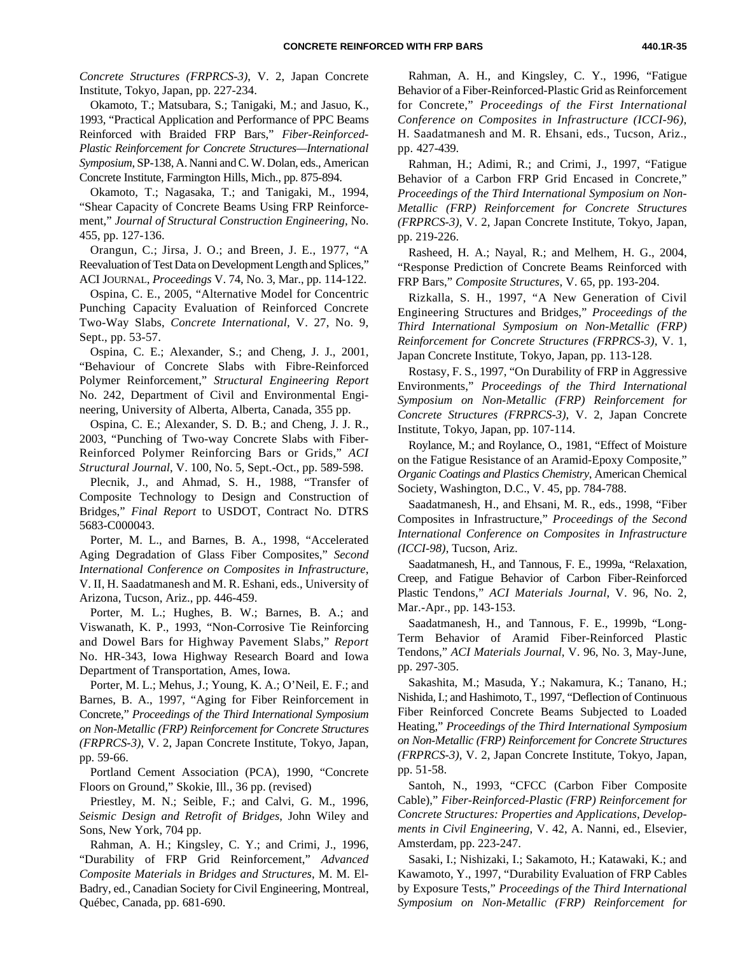*Concrete Structures (FRPRCS-3)*, V. 2, Japan Concrete Institute, Tokyo, Japan, pp. 227-234.

Okamoto, T.; Matsubara, S.; Tanigaki, M.; and Jasuo, K., 1993, "Practical Application and Performance of PPC Beams Reinforced with Braided FRP Bars," *Fiber-Reinforced-Plastic Reinforcement for Concrete Structures—International Symposium*, SP-138, A. Nanni and C. W. Dolan, eds., American Concrete Institute, Farmington Hills, Mich., pp. 875-894.

Okamoto, T.; Nagasaka, T.; and Tanigaki, M., 1994, "Shear Capacity of Concrete Beams Using FRP Reinforcement," *Journal of Structural Construction Engineering*, No. 455, pp. 127-136.

Orangun, C.; Jirsa, J. O.; and Breen, J. E., 1977, "A Reevaluation of Test Data on Development Length and Splices," ACI JOURNAL, *Proceedings* V. 74, No. 3, Mar., pp. 114-122.

Ospina, C. E., 2005, "Alternative Model for Concentric Punching Capacity Evaluation of Reinforced Concrete Two-Way Slabs, *Concrete International*, V. 27, No. 9, Sept., pp. 53-57.

Ospina, C. E.; Alexander, S.; and Cheng, J. J., 2001, "Behaviour of Concrete Slabs with Fibre-Reinforced Polymer Reinforcement," *Structural Engineering Report* No. 242, Department of Civil and Environmental Engineering, University of Alberta, Alberta, Canada, 355 pp.

Ospina, C. E.; Alexander, S. D. B.; and Cheng, J. J. R., 2003, "Punching of Two-way Concrete Slabs with Fiber-Reinforced Polymer Reinforcing Bars or Grids," *ACI Structural Journal*, V. 100, No. 5, Sept.-Oct., pp. 589-598.

Plecnik, J., and Ahmad, S. H., 1988, "Transfer of Composite Technology to Design and Construction of Bridges," *Final Report* to USDOT, Contract No. DTRS 5683-C000043.

Porter, M. L., and Barnes, B. A., 1998, "Accelerated Aging Degradation of Glass Fiber Composites," *Second International Conference on Composites in Infrastructure*, V. II, H. Saadatmanesh and M. R. Eshani, eds., University of Arizona, Tucson, Ariz., pp. 446-459.

Porter, M. L.; Hughes, B. W.; Barnes, B. A.; and Viswanath, K. P., 1993, "Non-Corrosive Tie Reinforcing and Dowel Bars for Highway Pavement Slabs," *Report* No. HR-343, Iowa Highway Research Board and Iowa Department of Transportation, Ames, Iowa.

Porter, M. L.; Mehus, J.; Young, K. A.; O'Neil, E. F.; and Barnes, B. A., 1997, "Aging for Fiber Reinforcement in Concrete," *Proceedings of the Third International Symposium on Non-Metallic (FRP) Reinforcement for Concrete Structures (FRPRCS-3)*, V. 2, Japan Concrete Institute, Tokyo, Japan, pp. 59-66.

Portland Cement Association (PCA), 1990, "Concrete Floors on Ground," Skokie, Ill., 36 pp. (revised)

Priestley, M. N.; Seible, F.; and Calvi, G. M., 1996, *Seismic Design and Retrofit of Bridges*, John Wiley and Sons, New York, 704 pp.

Rahman, A. H.; Kingsley, C. Y.; and Crimi, J., 1996, "Durability of FRP Grid Reinforcement," *Advanced Composite Materials in Bridges and Structures*, M. M. El-Badry, ed., Canadian Society for Civil Engineering, Montreal, Québec, Canada, pp. 681-690.

Rahman, A. H., and Kingsley, C. Y., 1996, "Fatigue Behavior of a Fiber-Reinforced-Plastic Grid as Reinforcement for Concrete," *Proceedings of the First International Conference on Composites in Infrastructure (ICCI-96)*, H. Saadatmanesh and M. R. Ehsani, eds., Tucson, Ariz., pp. 427-439.

Rahman, H.; Adimi, R.; and Crimi, J., 1997, "Fatigue Behavior of a Carbon FRP Grid Encased in Concrete," *Proceedings of the Third International Symposium on Non-Metallic (FRP) Reinforcement for Concrete Structures (FRPRCS-3)*, V. 2, Japan Concrete Institute, Tokyo, Japan, pp. 219-226.

Rasheed, H. A.; Nayal, R.; and Melhem, H. G., 2004, "Response Prediction of Concrete Beams Reinforced with FRP Bars," *Composite Structures*, V. 65, pp. 193-204.

Rizkalla, S. H., 1997, "A New Generation of Civil Engineering Structures and Bridges," *Proceedings of the Third International Symposium on Non-Metallic (FRP) Reinforcement for Concrete Structures (FRPRCS-3)*, V. 1, Japan Concrete Institute, Tokyo, Japan, pp. 113-128.

Rostasy, F. S., 1997, "On Durability of FRP in Aggressive Environments," *Proceedings of the Third International Symposium on Non-Metallic (FRP) Reinforcement for Concrete Structures (FRPRCS-3)*, V. 2, Japan Concrete Institute, Tokyo, Japan, pp. 107-114.

Roylance, M.; and Roylance, O., 1981, "Effect of Moisture on the Fatigue Resistance of an Aramid-Epoxy Composite," *Organic Coatings and Plastics Chemistry*, American Chemical Society, Washington, D.C., V. 45, pp. 784-788.

Saadatmanesh, H., and Ehsani, M. R., eds., 1998, "Fiber Composites in Infrastructure," *Proceedings of the Second International Conference on Composites in Infrastructure (ICCI-98)*, Tucson, Ariz.

Saadatmanesh, H., and Tannous, F. E., 1999a, "Relaxation, Creep, and Fatigue Behavior of Carbon Fiber-Reinforced Plastic Tendons," *ACI Materials Journal*, V. 96, No. 2, Mar.-Apr., pp. 143-153.

Saadatmanesh, H., and Tannous, F. E., 1999b, "Long-Term Behavior of Aramid Fiber-Reinforced Plastic Tendons," *ACI Materials Journal*, V. 96, No. 3, May-June, pp. 297-305.

Sakashita, M.; Masuda, Y.; Nakamura, K.; Tanano, H.; Nishida, I.; and Hashimoto, T., 1997, "Deflection of Continuous Fiber Reinforced Concrete Beams Subjected to Loaded Heating," *Proceedings of the Third International Symposium on Non-Metallic (FRP) Reinforcement for Concrete Structures (FRPRCS-3)*, V. 2, Japan Concrete Institute, Tokyo, Japan, pp. 51-58.

Santoh, N., 1993, "CFCC (Carbon Fiber Composite Cable)," *Fiber-Reinforced-Plastic (FRP) Reinforcement for Concrete Structures: Properties and Applications*, *Developments in Civil Engineering*, V. 42, A. Nanni, ed., Elsevier, Amsterdam, pp. 223-247.

Sasaki, I.; Nishizaki, I.; Sakamoto, H.; Katawaki, K.; and Kawamoto, Y., 1997, "Durability Evaluation of FRP Cables by Exposure Tests," *Proceedings of the Third International Symposium on Non-Metallic (FRP) Reinforcement for*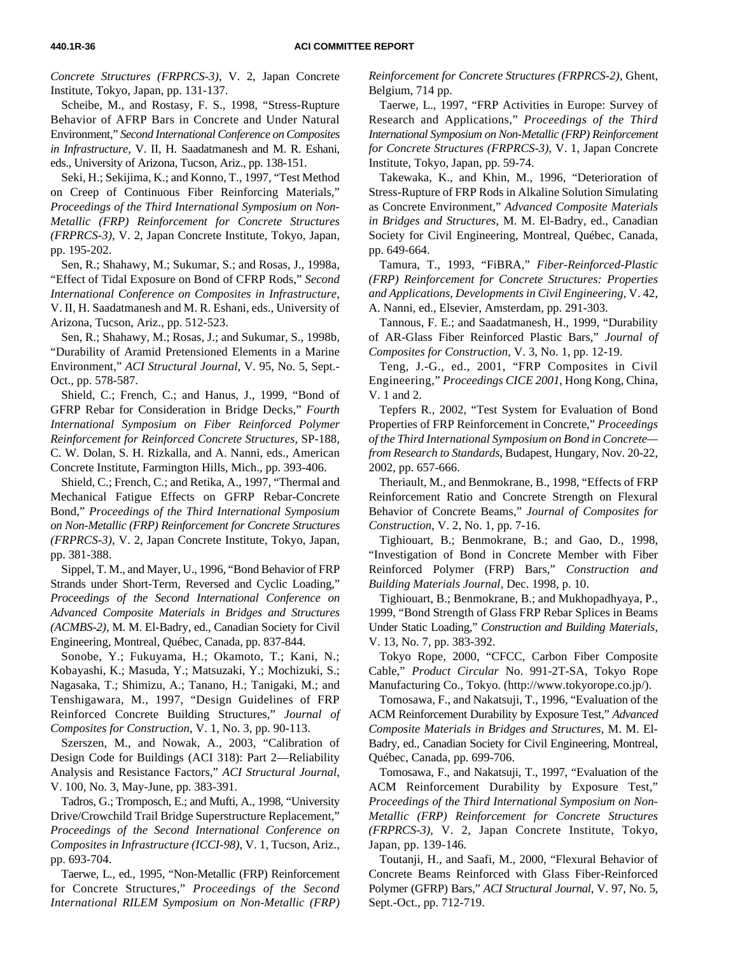*Concrete Structures (FRPRCS-3)*, V. 2, Japan Concrete Institute, Tokyo, Japan, pp. 131-137.

Scheibe, M., and Rostasy, F. S., 1998, "Stress-Rupture Behavior of AFRP Bars in Concrete and Under Natural Environment," *Second International Conference on Composites in Infrastructure*, V. II, H. Saadatmanesh and M. R. Eshani, eds., University of Arizona, Tucson, Ariz., pp. 138-151.

Seki, H.; Sekijima, K.; and Konno, T., 1997, "Test Method on Creep of Continuous Fiber Reinforcing Materials," *Proceedings of the Third International Symposium on Non-Metallic (FRP) Reinforcement for Concrete Structures (FRPRCS-3)*, V. 2, Japan Concrete Institute, Tokyo, Japan, pp. 195-202.

Sen, R.; Shahawy, M.; Sukumar, S.; and Rosas, J., 1998a, "Effect of Tidal Exposure on Bond of CFRP Rods," *Second International Conference on Composites in Infrastructure*, V. II, H. Saadatmanesh and M. R. Eshani, eds., University of Arizona, Tucson, Ariz., pp. 512-523.

Sen, R.; Shahawy, M.; Rosas, J.; and Sukumar, S., 1998b, "Durability of Aramid Pretensioned Elements in a Marine Environment," *ACI Structural Journal*, V. 95, No. 5, Sept.- Oct., pp. 578-587.

Shield, C.; French, C.; and Hanus, J., 1999, "Bond of GFRP Rebar for Consideration in Bridge Decks," *Fourth International Symposium on Fiber Reinforced Polymer Reinforcement for Reinforced Concrete Structures*, SP-188, C. W. Dolan, S. H. Rizkalla, and A. Nanni, eds., American Concrete Institute, Farmington Hills, Mich., pp. 393-406.

Shield, C.; French, C.; and Retika, A., 1997, "Thermal and Mechanical Fatigue Effects on GFRP Rebar-Concrete Bond," *Proceedings of the Third International Symposium on Non-Metallic (FRP) Reinforcement for Concrete Structures (FRPRCS-3)*, V. 2, Japan Concrete Institute, Tokyo, Japan, pp. 381-388.

Sippel, T. M., and Mayer, U., 1996, "Bond Behavior of FRP Strands under Short-Term, Reversed and Cyclic Loading," *Proceedings of the Second International Conference on Advanced Composite Materials in Bridges and Structures (ACMBS-2)*, M. M. El-Badry, ed., Canadian Society for Civil Engineering, Montreal, Québec, Canada, pp. 837-844.

Sonobe, Y.; Fukuyama, H.; Okamoto, T.; Kani, N.; Kobayashi, K.; Masuda, Y.; Matsuzaki, Y.; Mochizuki, S.; Nagasaka, T.; Shimizu, A.; Tanano, H.; Tanigaki, M.; and Tenshigawara, M., 1997, "Design Guidelines of FRP Reinforced Concrete Building Structures," *Journal of Composites for Construction*, V. 1, No. 3, pp. 90-113.

Szerszen, M., and Nowak, A., 2003, "Calibration of Design Code for Buildings (ACI 318): Part 2—Reliability Analysis and Resistance Factors," *ACI Structural Journal*, V. 100, No. 3, May-June, pp. 383-391.

Tadros, G.; Tromposch, E.; and Mufti, A., 1998, "University Drive/Crowchild Trail Bridge Superstructure Replacement," *Proceedings of the Second International Conference on Composites in Infrastructure (ICCI-98)*, V. 1, Tucson, Ariz., pp. 693-704.

Taerwe, L., ed., 1995, "Non-Metallic (FRP) Reinforcement for Concrete Structures," *Proceedings of the Second International RILEM Symposium on Non-Metallic (FRP)*

*Reinforcement for Concrete Structures (FRPRCS-2)*, Ghent, Belgium, 714 pp.

Taerwe, L., 1997, "FRP Activities in Europe: Survey of Research and Applications," *Proceedings of the Third International Symposium on Non-Metallic (FRP) Reinforcement for Concrete Structures (FRPRCS-3)*, V. 1, Japan Concrete Institute, Tokyo, Japan, pp. 59-74.

Takewaka, K., and Khin, M., 1996, "Deterioration of Stress-Rupture of FRP Rods in Alkaline Solution Simulating as Concrete Environment," *Advanced Composite Materials in Bridges and Structures*, M. M. El-Badry, ed., Canadian Society for Civil Engineering, Montreal, Québec, Canada, pp. 649-664.

Tamura, T., 1993, "FiBRA," *Fiber-Reinforced-Plastic (FRP) Reinforcement for Concrete Structures: Properties and Applications*, *Developments in Civil Engineering,* V. 42, A. Nanni, ed., Elsevier, Amsterdam, pp. 291-303.

Tannous, F. E.; and Saadatmanesh, H., 1999, "Durability of AR-Glass Fiber Reinforced Plastic Bars," *Journal of Composites for Construction*, V. 3, No. 1, pp. 12-19.

Teng, J.-G., ed., 2001, "FRP Composites in Civil Engineering," *Proceedings CICE 2001*, Hong Kong, China, V. 1 and 2.

Tepfers R., 2002, "Test System for Evaluation of Bond Properties of FRP Reinforcement in Concrete," *Proceedings of the Third International Symposium on Bond in Concrete from Research to Standards*, Budapest, Hungary, Nov. 20-22, 2002, pp. 657-666.

Theriault, M., and Benmokrane, B., 1998, "Effects of FRP Reinforcement Ratio and Concrete Strength on Flexural Behavior of Concrete Beams," *Journal of Composites for Construction*, V. 2, No. 1, pp. 7-16.

Tighiouart, B.; Benmokrane, B.; and Gao, D., 1998, "Investigation of Bond in Concrete Member with Fiber Reinforced Polymer (FRP) Bars," *Construction and Building Materials Journal*, Dec. 1998, p. 10.

Tighiouart, B.; Benmokrane, B.; and Mukhopadhyaya, P., 1999, "Bond Strength of Glass FRP Rebar Splices in Beams Under Static Loading," *Construction and Building Materials*, V. 13, No. 7, pp. 383-392.

Tokyo Rope, 2000, "CFCC, Carbon Fiber Composite Cable," *Product Circular* No. 991-2T-SA, Tokyo Rope Manufacturing Co., Tokyo. (http://www.tokyorope.co.jp/).

Tomosawa, F., and Nakatsuji, T., 1996, "Evaluation of the ACM Reinforcement Durability by Exposure Test," *Advanced Composite Materials in Bridges and Structures*, M. M. El-Badry, ed., Canadian Society for Civil Engineering, Montreal, Québec, Canada, pp. 699-706.

Tomosawa, F., and Nakatsuji, T., 1997, "Evaluation of the ACM Reinforcement Durability by Exposure Test," *Proceedings of the Third International Symposium on Non-Metallic (FRP) Reinforcement for Concrete Structures (FRPRCS-3)*, V. 2, Japan Concrete Institute, Tokyo, Japan, pp. 139-146.

Toutanji, H., and Saafi, M., 2000, "Flexural Behavior of Concrete Beams Reinforced with Glass Fiber-Reinforced Polymer (GFRP) Bars," *ACI Structural Journal*, V. 97, No. 5, Sept.-Oct., pp. 712-719.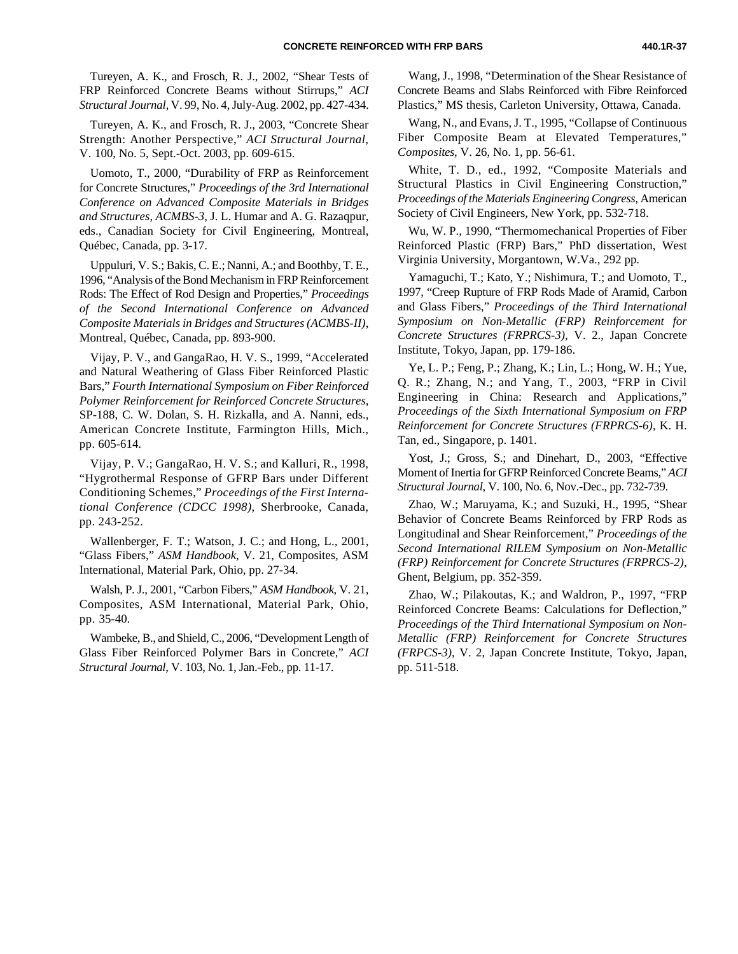Tureyen, A. K., and Frosch, R. J., 2002, "Shear Tests of FRP Reinforced Concrete Beams without Stirrups," *ACI Structural Journal*, V. 99, No. 4, July-Aug. 2002, pp. 427-434.

Tureyen, A. K., and Frosch, R. J., 2003, "Concrete Shear Strength: Another Perspective," *ACI Structural Journal*, V. 100, No. 5, Sept.-Oct. 2003, pp. 609-615.

Uomoto, T., 2000, "Durability of FRP as Reinforcement for Concrete Structures," *Proceedings of the 3rd International Conference on Advanced Composite Materials in Bridges and Structures, ACMBS-3*, J. L. Humar and A. G. Razaqpur, eds., Canadian Society for Civil Engineering, Montreal, Québec, Canada, pp. 3-17.

Uppuluri, V. S.; Bakis, C. E.; Nanni, A.; and Boothby, T. E., 1996, "Analysis of the Bond Mechanism in FRP Reinforcement Rods: The Effect of Rod Design and Properties," *Proceedings of the Second International Conference on Advanced Composite Materials in Bridges and Structures (ACMBS-II)*, Montreal, Québec, Canada, pp. 893-900.

Vijay, P. V., and GangaRao, H. V. S., 1999, "Accelerated and Natural Weathering of Glass Fiber Reinforced Plastic Bars," *Fourth International Symposium on Fiber Reinforced Polymer Reinforcement for Reinforced Concrete Structures*, SP-188, C. W. Dolan, S. H. Rizkalla, and A. Nanni, eds., American Concrete Institute, Farmington Hills, Mich., pp. 605-614.

Vijay, P. V.; GangaRao, H. V. S.; and Kalluri, R., 1998, "Hygrothermal Response of GFRP Bars under Different Conditioning Schemes," *Proceedings of the First International Conference (CDCC 1998)*, Sherbrooke, Canada, pp. 243-252.

Wallenberger, F. T.; Watson, J. C.; and Hong, L., 2001, "Glass Fibers," *ASM Handbook*, V. 21, Composites, ASM International, Material Park, Ohio, pp. 27-34.

Walsh, P. J., 2001, "Carbon Fibers," *ASM Handbook*, V. 21, Composites, ASM International, Material Park, Ohio, pp. 35-40.

Wambeke, B., and Shield, C., 2006, "Development Length of Glass Fiber Reinforced Polymer Bars in Concrete," *ACI Structural Journal*, V. 103, No. 1, Jan.-Feb., pp. 11-17.

Wang, J., 1998, "Determination of the Shear Resistance of Concrete Beams and Slabs Reinforced with Fibre Reinforced Plastics," MS thesis, Carleton University, Ottawa, Canada.

Wang, N., and Evans, J. T., 1995, "Collapse of Continuous Fiber Composite Beam at Elevated Temperatures," *Composites*, V. 26, No. 1, pp. 56-61.

White, T. D., ed., 1992, "Composite Materials and Structural Plastics in Civil Engineering Construction," *Proceedings of the Materials Engineering Congress*, American Society of Civil Engineers, New York, pp. 532-718.

Wu, W. P., 1990, "Thermomechanical Properties of Fiber Reinforced Plastic (FRP) Bars," PhD dissertation, West Virginia University, Morgantown, W.Va., 292 pp.

Yamaguchi, T.; Kato, Y.; Nishimura, T.; and Uomoto, T., 1997, "Creep Rupture of FRP Rods Made of Aramid, Carbon and Glass Fibers," *Proceedings of the Third International Symposium on Non-Metallic (FRP) Reinforcement for Concrete Structures (FRPRCS-3)*, V. 2., Japan Concrete Institute, Tokyo, Japan, pp. 179-186.

Ye, L. P.; Feng, P.; Zhang, K.; Lin, L.; Hong, W. H.; Yue, Q. R.; Zhang, N.; and Yang, T., 2003, "FRP in Civil Engineering in China: Research and Applications," *Proceedings of the Sixth International Symposium on FRP Reinforcement for Concrete Structures (FRPRCS-6)*, K. H. Tan, ed., Singapore, p. 1401.

Yost, J.; Gross, S.; and Dinehart, D., 2003, "Effective Moment of Inertia for GFRP Reinforced Concrete Beams," *ACI Structural Journal*, V. 100, No. 6, Nov.-Dec., pp. 732-739.

Zhao, W.; Maruyama, K.; and Suzuki, H., 1995, "Shear Behavior of Concrete Beams Reinforced by FRP Rods as Longitudinal and Shear Reinforcement," *Proceedings of the Second International RILEM Symposium on Non-Metallic (FRP) Reinforcement for Concrete Structures (FRPRCS-2)*, Ghent, Belgium, pp. 352-359.

Zhao, W.; Pilakoutas, K.; and Waldron, P., 1997, "FRP Reinforced Concrete Beams: Calculations for Deflection," *Proceedings of the Third International Symposium on Non-Metallic (FRP) Reinforcement for Concrete Structures (FRPCS-3)*, V. 2, Japan Concrete Institute, Tokyo, Japan, pp. 511-518.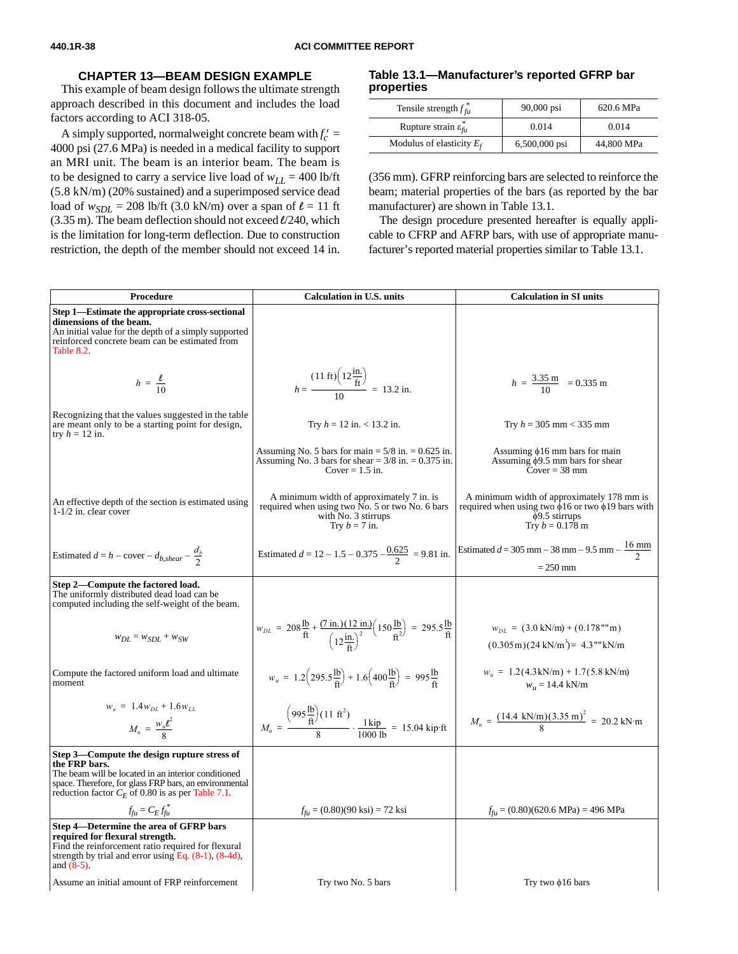#### **CHAPTER 13—BEAM DESIGN EXAMPLE**

<span id="page-37-0"></span>This example of beam design follows the ultimate strength approach described in this document and includes the load factors according to ACI 318-05.

A simply supported, normalweight concrete beam with  $f'_c$  = 4000 psi (27.6 MPa) is needed in a medical facility to support an MRI unit. The beam is an interior beam. The beam is to be designed to carry a service live load of  $w_{LL} = 400$  lb/ft (5.8 kN/m) (20% sustained) and a superimposed service dead load of  $w_{SDL}$  = 208 lb/ft (3.0 kN/m) over a span of  $\ell$  = 11 ft (3.35 m). The beam deflection should not exceed *l*/240, which is the limitation for long-term deflection. Due to construction restriction, the depth of the member should not exceed 14 in.

#### **Table 13.1—Manufacturer's reported GFRP bar properties**

| Tensile strength $f_{fu}^*$                | $90,000$ psi  | 620.6 MPa  |
|--------------------------------------------|---------------|------------|
| Rupture strain $\varepsilon_{\text{f}u}^*$ | 0.014         | 0.014      |
| Modulus of elasticity $E_f$                | 6,500,000 psi | 44,800 MPa |

(356 mm). GFRP reinforcing bars are selected to reinforce the beam; material properties of the bars (as reported by the bar manufacturer) are shown in Table 13.1.

The design procedure presented hereafter is equally applicable to CFRP and AFRP bars, with use of appropriate manufacturer's reported material properties similar to Table 13.1.

| Procedure                                                                                                                                                                                                                            | <b>Calculation in U.S. units</b>                                                                                                                                                                | <b>Calculation in SI units</b>                                                                                                                         |
|--------------------------------------------------------------------------------------------------------------------------------------------------------------------------------------------------------------------------------------|-------------------------------------------------------------------------------------------------------------------------------------------------------------------------------------------------|--------------------------------------------------------------------------------------------------------------------------------------------------------|
| Step 1—Estimate the appropriate cross-sectional<br>dimensions of the beam.<br>An initial value for the depth of a simply supported<br>reinforced concrete beam can be estimated from<br>Table 8.2.                                   |                                                                                                                                                                                                 |                                                                                                                                                        |
| $h = \frac{\ell}{10}$                                                                                                                                                                                                                | $h = \frac{(11 \text{ ft}) (12 \frac{\text{in.}}{\text{ft}})}{10} = 13.2 \text{ in.}$                                                                                                           | $h = \frac{3.35 \text{ m}}{10} = 0.335 \text{ m}$                                                                                                      |
| Recognizing that the values suggested in the table<br>are meant only to be a starting point for design,<br>try $h = 12$ in.                                                                                                          | Try $h = 12$ in. < 13.2 in.                                                                                                                                                                     | Try $h = 305$ mm < 335 mm                                                                                                                              |
|                                                                                                                                                                                                                                      | Assuming No. 5 bars for main $= 5/8$ in. $= 0.625$ in.<br>Assuming No. 3 bars for shear $= 3/8$ in. $= 0.375$ in.<br>Cover $= 1.5$ in.                                                          | Assuming $\phi$ 16 mm bars for main<br>Assuming $\phi$ 9.5 mm bars for shear<br>Cover = $38 \text{ mm}$                                                |
| An effective depth of the section is estimated using<br>$1-1/2$ in. clear cover                                                                                                                                                      | A minimum width of approximately 7 in. is<br>required when using two No. 5 or two No. 6 bars<br>with No. 3 stirrups<br>Try $b = 7$ in.                                                          | A minimum width of approximately 178 mm is<br>required when using two $\phi$ 16 or two $\phi$ 19 bars with<br>$\phi$ 9.5 stirrups<br>Try $b = 0.178$ m |
| Estimated $d = h - \text{cover} - d_{b, shear} - \frac{d_b}{2}$                                                                                                                                                                      | Estimated $d = 12 - 1.5 - 0.375 - \frac{0.625}{2} = 9.81$ in.                                                                                                                                   | Estimated $d = 305$ mm $- 38$ mm $- 9.5$ mm $- \frac{16$ mm<br>$= 250$ mm                                                                              |
| Step 2—Compute the factored load.<br>The uniformly distributed dead load can be.<br>computed including the self-weight of the beam.                                                                                                  |                                                                                                                                                                                                 |                                                                                                                                                        |
| $w_{DL} = w_{SDL} + w_{SW}$                                                                                                                                                                                                          | $w_{DL} = 208 \frac{\text{lb}}{\text{ft}} + \frac{(7 \text{ in.})(12 \text{ in.})}{(12 \frac{\text{in.}}{\text{A}})^2} (150 \frac{\text{lb}}{\text{ft}^2}) = 295.5 \frac{\text{lb}}{\text{ft}}$ | $w_{DL} = (3.0 \text{ kN/m}) + (0.178 \text{''' m})$<br>$(0.305\,\text{m})(24\,\text{kN/m}^3) = 4.3\,\text{'''kN/m}$                                   |
| Compute the factored uniform load and ultimate<br>moment                                                                                                                                                                             | $w_u = 1.2(295.5\frac{\text{lb}}{\text{ft}}) + 1.6(400\frac{\text{lb}}{\text{ft}}) = 995\frac{\text{lb}}{\text{ft}}$                                                                            | $w_u = 1.2(4.3 \text{kN/m}) + 1.7(5.8 \text{kN/m})$<br>$w_u = 14.4$ kN/m                                                                               |
| $w_u = 1.4w_{DI} + 1.6w_{LI}$<br>$M_u = \frac{W_u \ell^2}{8}$                                                                                                                                                                        | $M_u = \frac{(995 \frac{\text{lb}}{\text{ft}})(11 \text{ ft}^2)}{8} \cdot \frac{1 \text{ kip}}{1000 \text{ lb}} = 15.04 \text{ kip·ft}$                                                         | $M_u = \frac{(14.4 \text{ kN/m})(3.35 \text{ m})^2}{8} = 20.2 \text{ kN} \cdot \text{m}$                                                               |
| Step 3—Compute the design rupture stress of<br>the FRP bars.<br>The beam will be located in an interior conditioned<br>space. Therefore, for glass FRP bars, an environmental<br>reduction factor $C_F$ of 0.80 is as per Table 7.1. |                                                                                                                                                                                                 |                                                                                                                                                        |
| $f_{\rm fu} = C_E f_{\rm fu}^*$                                                                                                                                                                                                      | $f_{\text{fu}} = (0.80)(90 \text{ ks}) = 72 \text{ ks}$                                                                                                                                         | $f_{\text{ft}}$ = (0.80)(620.6 MPa) = 496 MPa                                                                                                          |
| Step 4—Determine the area of GFRP bars<br>required for flexural strength.<br>Find the reinforcement ratio required for flexural<br>strength by trial and error using Eq. $(8-1)$ , $(8-4d)$ ,<br>and $(8-5)$ .                       |                                                                                                                                                                                                 |                                                                                                                                                        |
| Assume an initial amount of FRP reinforcement                                                                                                                                                                                        | Try two No. 5 bars                                                                                                                                                                              | Try two $\phi$ 16 bars                                                                                                                                 |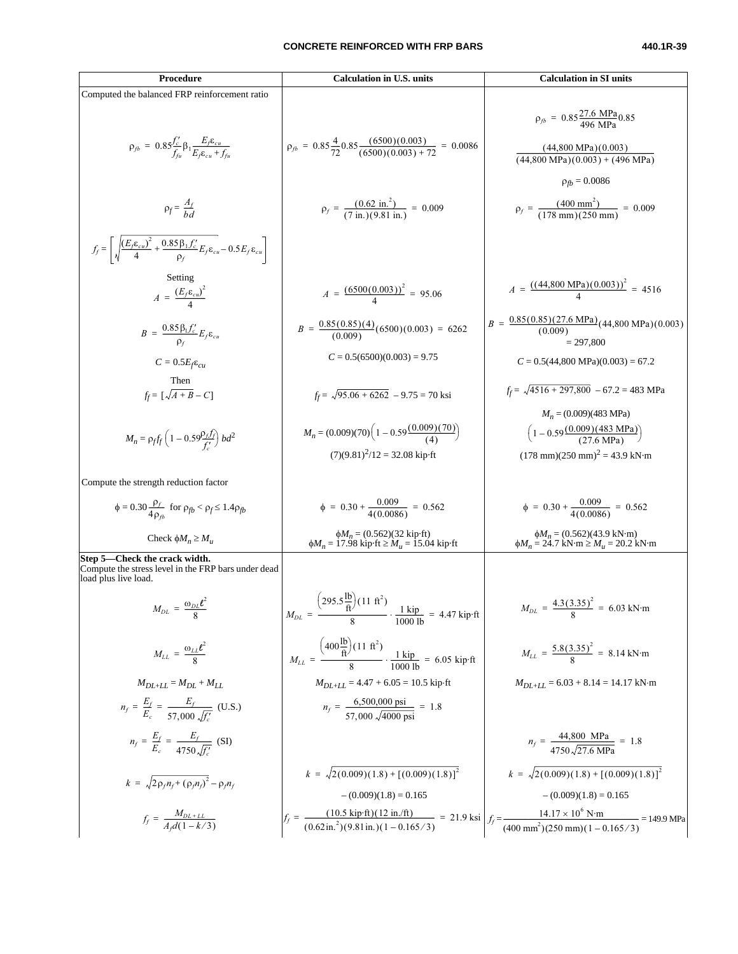#### **CONCRETE REINFORCED WITH FRP BARS 440.1R-39**

| Procedure                                                                                                                                                      | <b>Calculation in U.S. units</b>                                                                                                                                                                                                                                            | <b>Calculation in SI units</b>                                                                                                                                                        |
|----------------------------------------------------------------------------------------------------------------------------------------------------------------|-----------------------------------------------------------------------------------------------------------------------------------------------------------------------------------------------------------------------------------------------------------------------------|---------------------------------------------------------------------------------------------------------------------------------------------------------------------------------------|
| Computed the balanced FRP reinforcement ratio                                                                                                                  |                                                                                                                                                                                                                                                                             |                                                                                                                                                                                       |
| $\rho_{fb} = 0.85 \frac{f_c'}{f_{fu}} \beta_1 \frac{E_f \varepsilon_{cu}}{E_f \varepsilon_{cu} + f_{fu}}$                                                      | $\rho_{fb} = 0.85 \frac{4}{72} 0.85 \frac{(6500)(0.003)}{(6500)(0.003) + 72} = 0.0086$                                                                                                                                                                                      | $\rho_{fb} = 0.85 \frac{27.6 \text{ MPa}}{496 \text{ MPa}} 0.85$<br>$(44,800 \text{ MPa})(0.003)$<br>$(44,800 \text{ MPa})(0.003) + (496 \text{ MPa})$<br>$\rho_{\text{fb}} = 0.0086$ |
| $\rho_f = \frac{A_f}{h d}$                                                                                                                                     | $\rho_f = \frac{(0.62 \text{ in.}^2)}{(7 \text{ in.})(9.81 \text{ in.})} = 0.009$                                                                                                                                                                                           | $\rho_f = \frac{(400 \text{ mm}^2)}{(178 \text{ mm})(250 \text{ mm})} = 0.009$                                                                                                        |
| $f_f = \left  \sqrt{\frac{\left(E_f \varepsilon_{cu}\right)^2}{4} + \frac{0.85 \beta_1 f_c'}{\rho_f} E_f \varepsilon_{cu} - 0.5 E_f \varepsilon_{cu}} \right $ |                                                                                                                                                                                                                                                                             |                                                                                                                                                                                       |
| Setting<br>$A = \frac{(E_f \varepsilon_{cu})^2}{4}$                                                                                                            | $A = \frac{(6500(0.003))^2}{4} = 95.06$                                                                                                                                                                                                                                     | $A = \frac{((44,800 \text{ MPa})(0.003))^2}{4} = 4516$                                                                                                                                |
| $B = \frac{0.85 \beta_1 f_c'}{0.6} E_f \varepsilon_{cu}$                                                                                                       | $B = \frac{0.85(0.85)(4)}{(0.009)}(6500)(0.003) = 6262$                                                                                                                                                                                                                     | $B = \frac{0.85(0.85)(27.6 \text{ MPa})}{(0.009)}(44,800 \text{ MPa})(0.003)$<br>$= 297.800$                                                                                          |
| $C = 0.5E_f \varepsilon_{cu}$                                                                                                                                  | $C = 0.5(6500)(0.003) = 9.75$                                                                                                                                                                                                                                               | $C = 0.5(44,800 \text{ MPa})(0.003) = 67.2$                                                                                                                                           |
| Then<br>$f_f = \left[\sqrt{A+B}-C\right]$                                                                                                                      | $f_f = \sqrt{95.06 + 6262} - 9.75 = 70$ ksi                                                                                                                                                                                                                                 | $f_f = \sqrt{4516 + 297,800}$ - 67.2 = 483 MPa                                                                                                                                        |
| $M_n = \rho_f f_f \left(1 - 0.59 \frac{\rho_f f_f}{f'}\right) b d^2$                                                                                           | $M_n = (0.009)(70) \left( 1 - 0.59 \frac{(0.009)(70)}{(4)} \right)$<br>$(7)(9.81)^{2}/12 = 32.08$ kip ft                                                                                                                                                                    | $M_n = (0.009)(483 \text{ MPa})$<br>$\left(1-0.59\frac{(0.009)(483 \text{ MPa})}{(27.6 \text{ MPa})}\right)$<br>$(178 \text{ mm})(250 \text{ mm})^2 = 43.9 \text{ kN} \cdot \text{m}$ |
| Compute the strength reduction factor                                                                                                                          |                                                                                                                                                                                                                                                                             |                                                                                                                                                                                       |
| $\phi = 0.30 \frac{\rho_f}{4 \rho_a}$ for $\rho_{fb} < \rho_f \le 1.4 \rho_{fb}$                                                                               | $\phi = 0.30 + \frac{0.009}{4(0.0086)} = 0.562$                                                                                                                                                                                                                             | $\phi = 0.30 + \frac{0.009}{4(0.0086)} = 0.562$                                                                                                                                       |
| Check $\phi M_n \geq M_u$                                                                                                                                      | $\phi M_n = (0.562)(32 \text{ kip·ft})$<br>$\phi M_n = 17.98 \text{ kip·ft} \ge M_u = 15.04 \text{ kip·ft}$                                                                                                                                                                 | $\phi M_n = (0.562)(43.9 \text{ kN} \cdot \text{m})$<br>$\phi M_n = 24.7 \text{ kN} \cdot \text{m} \ge M_u = 20.2 \text{ kN} \cdot \text{m}$                                          |
| Step 5—Check the crack width.<br>Compute the stress level in the FRP bars under dead<br>load plus live load.                                                   |                                                                                                                                                                                                                                                                             |                                                                                                                                                                                       |
| $M_{DL} = \frac{\omega_{DL} l^2}{8}$                                                                                                                           | $M_{DL} = \frac{(295.5 \frac{\text{lb}}{\text{ft}})(11 \text{ ft}^2)}{8} \cdot \frac{1 \text{ kip}}{1000 \text{ lb}} = 4.47 \text{ kip·ft}$                                                                                                                                 | $M_{DL} = \frac{4.3(3.35)^2}{8} = 6.03$ kN·m                                                                                                                                          |
| $M_{LL} = \frac{\omega_{LL} \ell^2}{8}$                                                                                                                        | $M_{LL} = \frac{\left(400 \frac{\text{lb}}{\text{ft}}\right) (11 \text{ ft}^2)}{8} \cdot \frac{1 \text{ kip}}{1000 \text{ lb}} = 6.05 \text{ kip} \cdot \text{ft}$                                                                                                          | $M_{LL} = \frac{5.8(3.35)^2}{8} = 8.14 \text{ kN} \cdot \text{m}$                                                                                                                     |
| $M_{DL+LL} = M_{DL} + M_{LL}$                                                                                                                                  | $M_{DL+LL}$ = 4.47 + 6.05 = 10.5 kip·ft                                                                                                                                                                                                                                     | $M_{DL+LL}$ = 6.03 + 8.14 = 14.17 kN·m                                                                                                                                                |
| $n_f = \frac{E_f}{E_c} = \frac{E_f}{57.000 \sqrt{f'_c}}$ (U.S.)                                                                                                | $n_f = \frac{6,500,000 \text{ ps1}}{57,000 \sqrt{4000 \text{ ps1}}} = 1.8$                                                                                                                                                                                                  |                                                                                                                                                                                       |
| $n_f = \frac{E_f}{E_c} = \frac{E_f}{4750 \sqrt{f'_c}}$ (SI)                                                                                                    |                                                                                                                                                                                                                                                                             | $n_f = \frac{44,800 \text{ MPa}}{4750 \sqrt{27.6 \text{ MPa}}} = 1.8$                                                                                                                 |
| $k = \sqrt{2 \rho_f n_f + (\rho_f n_f)^2} - \rho_f n_f$                                                                                                        | $k = \sqrt{2(0.009)(1.8) + [(0.009)(1.8)]^2}$<br>$- (0.009)(1.8) = 0.165$                                                                                                                                                                                                   | $k = \sqrt{2(0.009)(1.8) + [(0.009)(1.8)]^2}$<br>$- (0.009)(1.8) = 0.165$                                                                                                             |
| $f_f = \frac{M_{DL+LL}}{A_d(1 - k/3)}$                                                                                                                         | $f_f = \frac{(10.5 \text{ kip} \cdot \text{ft})(12 \text{ in.}/\text{ft})}{(0.62 \text{ in.}^2)(9.81 \text{ in.})(1 - 0.165/3)} = 21.9 \text{ ksi} \left  f_f = \frac{14.17 \times 10^6 \text{ N} \cdot \text{m}}{(400 \text{ mm}^2)(250 \text{ mm})(1 - 0.165/3)} \right $ | $= 149.9 \text{ MPa}$                                                                                                                                                                 |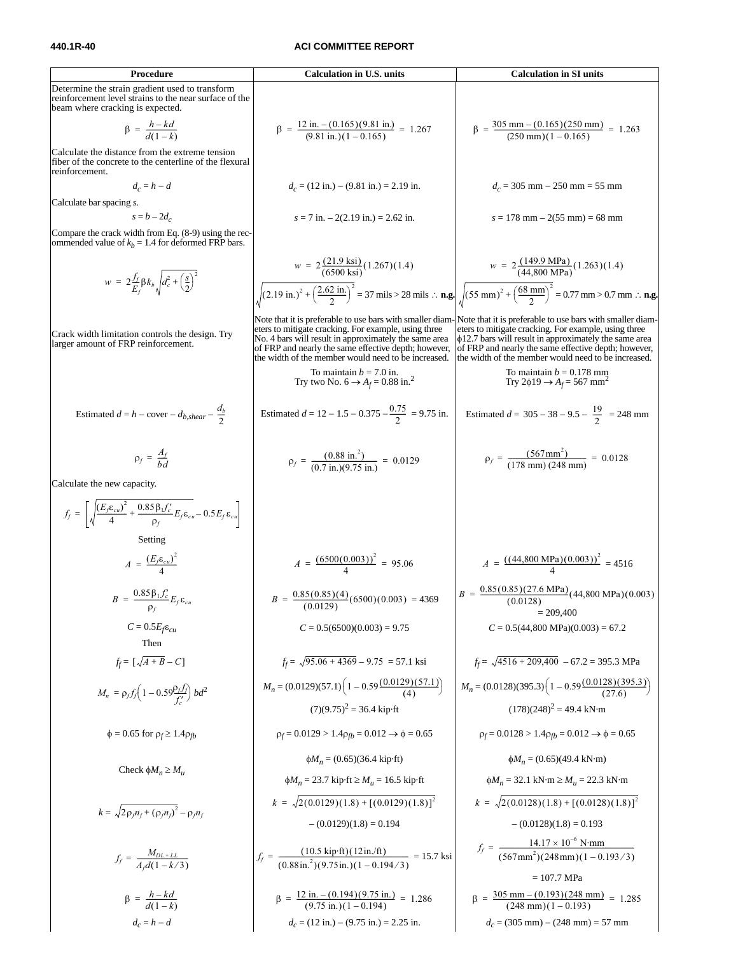#### **440.1R-40 ACI COMMITTEE REPORT**

**Procedure Calculation in U.S. units Calculation in SI units** Determine the strain gradient used to transform reinforcement level strains to the near surface of the beam where cracking is expected. Calculate the distance from the extreme tension fiber of the concrete to the centerline of the flexural reinforcement. *dc* = *h* − *d dc* = (12 in.) − (9.81 in.) = 2.19 in. *dc* = 305 mm − 250 mm = 55 mm Calculate bar spacing *s*. *s* = *b* – 2*dc s* = 7 in. – 2(2.19 in.) = 2.62 in. *s* = 178 mm – 2(55 mm) = 68 mm Compare the crack width from Eq. (8-9) using the recommended value of *kb* = 1.4 for deformed FRP bars. = 37 mils > 28 mils ∴ **n.g.** = 0.77 mm > 0.7 mm ∴ **n.g.** Crack width limitation controls the design. Try larger amount of FRP reinforcement. Note that it is preferable to use bars with smaller diameters to mitigate cracking. For example, using three No. 4 bars will result in approximately the same area of FRP and nearly the same effective depth; however, the width of the member would need to be increased. Note that it is preferable to use bars with smaller diameters to mitigate cracking. For example, using three φ12.7 bars will result in approximately the same area of FRP and nearly the same effective depth; however, the width of the member would need to be increased. To maintain *b* = 7.0 in. Try two No. 6 → *Af* = 0.88 in.<sup>2</sup> To maintain *b* = 0.178 mm Try 2φ19 <sup>→</sup> *Af* = 567 mm<sup>2</sup> Estimated *d* = *h* − cover − *db,shear* − Estimated *d* = 12 − 1.5 − 0.375 − = 9.75 in. Estimated *d* = 305 − 38 − 9.5 − = 248 mm Calculate the new capacity. Setting = 4516 = 4369 = 209,400 *C* = 0.5*Ef*ε*cu C* = 0.5(6500)(0.003) = 9.75 *C* = 0.5(44,800 MPa)(0.003) = 67.2 Then *ff* = *ff* = = 57.1 ksi *ff* = – 67.2 = 395.3 MPa *bd*<sup>2</sup> *Mn* = (0.0129)(57.1) (7)(9.75)2 = 36.4 kip·ft *Mn* = (0.0128)(395.3) (178)(248)2 = 49.4 kN·m φ = 0.65 for ρ*<sup>f</sup>* ≥ 1.4ρ*fb* ρ*<sup>f</sup>* = 0.0129 > 1.4ρ*fb* = 0.012 → φ = 0.65 ρ*<sup>f</sup>* = 0.0128 > 1.4ρ*fb* = 0.012 → φ = 0.65 Check φ*Mn* ≥ *Mu* φ*Mn* = (0.65)(36.4 kip·ft) φ*Mn* = 23.7 kip·ft ≥ *Mu* = 16.5 kip·ft φ*Mn* = (0.65)(49.4 kN·m) φ*Mn* = 32.1 kN·m ≥ *Mu* = 22.3 kN·m *k* = – (0.0129)(1.8) = 0.194 – (0.0128)(1.8) = 0.193 = 15.7 ksi = 107.7 MPa *dc* = *h* − *d dc* = (12 in.) − (9.75 in.) = 2.25 in. *dc* = (305 mm) − (248 mm) = 57 mm <sup>β</sup> h kd – <sup>d</sup>( ) <sup>1</sup> – <sup>k</sup> <sup>=</sup> ------------------- <sup>β</sup> 12 in. 0.165 – ( )( ) 9.81 in. ( ) 9.81 in. ( ) 1 0.165 – = = ------------------------------------------------------------ 1.267 <sup>β</sup> 305 mm 0.165 – ( )( ) 250 mm ( ) 250 mm ( ) 1 0.165 – = = ------------------------------------------------------------------- 1.263 <sup>w</sup> <sup>2</sup> <sup>f</sup><sup>f</sup> Ef ----βk<sup>b</sup> d<sup>c</sup> <sup>2</sup> s 2 -- 2 = + <sup>w</sup> <sup>2</sup> ( ) 21.9 ksi ( ) 6500 ksi <sup>=</sup> ------------------------( ) 1.267 ( ) 1.4 ( ) 2.19 in. <sup>2</sup> 2.62 in. <sup>2</sup> ----------------- <sup>2</sup> + <sup>w</sup> <sup>2</sup> ( ) 149.9 MPa ( ) 44,800 MPa <sup>=</sup> ---------------------------------( ) 1.263 ( ) 1.4 ( ) 55 mm <sup>2</sup> 68 mm <sup>2</sup> ---------------- <sup>2</sup> + db 2 ---- 0.75 2 ---------- 19 2 ---- ρf Af bd <sup>=</sup> ------ <sup>ρ</sup><sup>f</sup> 0.88 in.<sup>2</sup> ( ) (0.7 in.)(9.75 in.) = = ---------------------------------------- 0.0129 <sup>ρ</sup><sup>f</sup> 567mm<sup>2</sup> ( ) (178 mm) (248 mm) = = ------------------------------------------------ 0.0128 ff <sup>E</sup>fεcu ( )<sup>2</sup> <sup>4</sup> ------------------ 0.85β1fc′ ρf = + ---------------------E<sup>f</sup> εcu – 0.5E<sup>f</sup> εcu <sup>A</sup> <sup>E</sup>fεcu ( )<sup>2</sup> <sup>4</sup> <sup>=</sup> ------------------ <sup>A</sup> ( ) 6500 0.003 ( ) <sup>2</sup> <sup>4</sup> = = ------------------------------------- 95.06 <sup>A</sup> ( ) ( ) 44,800 MPa ( ) 0.003 <sup>2</sup> <sup>4</sup> <sup>=</sup> ----------------------------------------------------------- <sup>B</sup> 0.85β<sup>1</sup> <sup>f</sup><sup>c</sup> ′ ρf <sup>=</sup> ---------------------E<sup>f</sup> <sup>ε</sup>cu <sup>B</sup> 0.85 0.85 ( )( ) <sup>4</sup> ( ) 0.0129 <sup>=</sup> ----------------------------------( ) <sup>6500</sup> ( ) 0.003 <sup>B</sup> 0.85 0.85 ( )( ) 27.6 MPa ( ) 0.0128 <sup>=</sup> ------------------------------------------------------( ) 44,800 MPa ( ) 0.003 [ ] A B + – C 95.06 4369 + – 9.75 4516 209,400 + <sup>M</sup><sup>n</sup> <sup>ρ</sup><sup>f</sup> <sup>f</sup><sup>f</sup> 1 0.59ρ<sup>f</sup> <sup>f</sup><sup>f</sup> fc ′ – ------- <sup>=</sup> 1 0.59( ) 0.0129 ( ) 57.1 ( ) <sup>4</sup> – ------------------------------------ 1 0.59( ) 0.0128 ( ) 395.3 ( ) 27.6 – --------------------------------------- <sup>2</sup>ρfn<sup>f</sup> <sup>ρ</sup>fn<sup>f</sup> ( )<sup>2</sup> <sup>+</sup> – <sup>ρ</sup>fn<sup>f</sup> k 2 0.0129 ( )( ) 1.8 [ ] ( ) 0.0129 ( ) 1.8 <sup>2</sup> = + k 2 0.0128 ( )( ) 1.8 [ ] ( ) 0.0128 ( ) 1.8 <sup>2</sup> = + ff MDL LL <sup>+</sup> <sup>A</sup>fd( ) <sup>1</sup> – <sup>k</sup> <sup>⁄</sup> <sup>3</sup> <sup>=</sup> ------------------------------- <sup>f</sup><sup>f</sup> ( ) 10.5 kip·ft ( ) 12in./ft 0.88in.<sup>2</sup> ( )( ) 9.75in. ( ) 1 0.194 3 – <sup>⁄</sup> <sup>=</sup> -------------------------------------------------------------------------------- <sup>f</sup><sup>f</sup> 14.17 10–<sup>6</sup> × N·mm 567mm<sup>2</sup> ( )( ) 248mm ( ) 1 0.193 3 – <sup>⁄</sup> <sup>=</sup> ----------------------------------------------------------------------------------- <sup>β</sup> h kd – <sup>d</sup>( ) <sup>1</sup> – <sup>k</sup> <sup>=</sup> ------------------- <sup>β</sup> 12 in. 0.194 – ( )( ) 9.75 in. ( ) 9.75 in. ( ) 1 0.194 – = = ------------------------------------------------------------- 1.286 <sup>β</sup> 305 mm 0.193 – ( )( ) 248 mm ( ) 248 mm ( ) 1 0.193 – = = -------------------------------------------------------------------- 1.285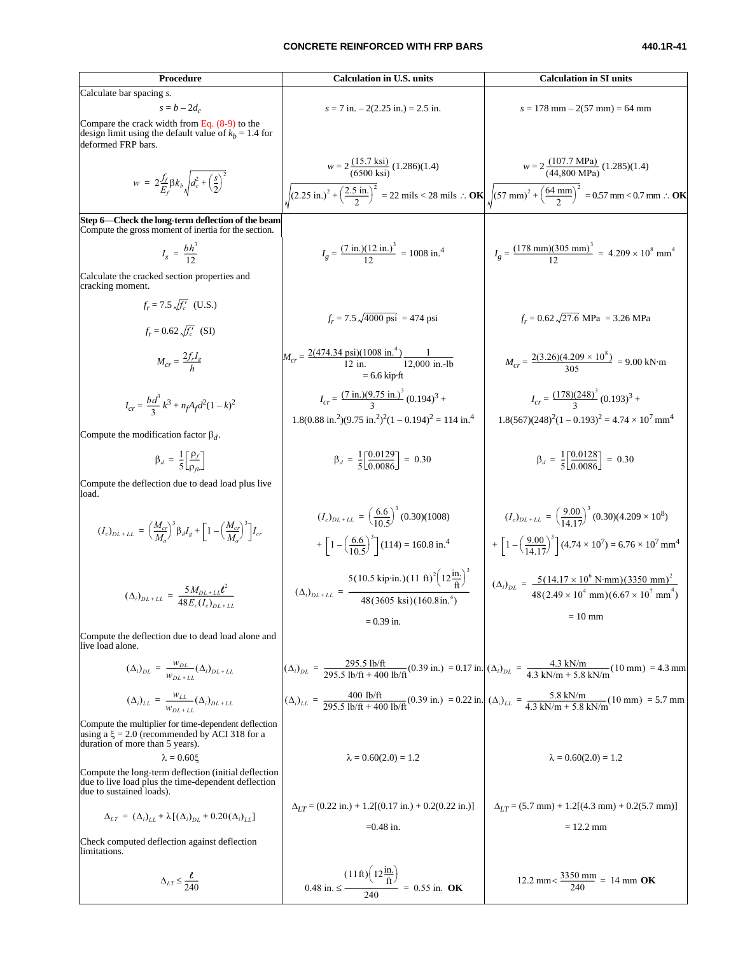#### **CONCRETE REINFORCED WITH FRP BARS 440.1R-41**

Calculate bar spacing *x* = 5-2*d*,  
\nCompare the circle the line in which is 31 units  
\n
$$
x = 7
$$
 in. -2(2.15 in). 4-2(3.16 in). 4-2(3.16 in). 4-2(3.16 in). 4-2(3.16 in). 4-2(3.16 in). 4-2(3.16 in). 4-2(3.16 in). 4-2(3.16 in). 4-2(3.16 in). 4-2(3.16 in). 4-2(3.16 in). 4-2(3.16 in). 4-2(3.16 in). 4-2(3.16 in). 4-2(3.16 in). 4-2(3.16 in). 4-2(3.16 in). 4-2(3.16 in). 4-2(3.16 in). 4-2(3.16 in). 4-2(3.16 in). 4-2(3.16 in). 4-2(3.16 in). 4-2(3.16 in). 4-2(3.16 in). 4-2(3.16 in). 4-2(3.16 in). 4-2(3.16 in). 4-2(3.16 in). 4-2(3.16 in). 4-2(3.16 in). 4-2(3.16 in). 4-2(3.16 in). 4-2(3.16 in). 4-2(3.16 in). 4-2(3.16 in). 4-2(3.16 in). 4-2(3.16 in). 4-2(3.16 in). 4-2(3.16 in). 4-2(3.16 in). 4-2(3.16 in). 4-2(3.16 in). 4-2(3.16 in). 4-2(3.16 in). 4-2(3.16 in). 4-2(3.16 in). 4-2(3.16 in). 4-2(3.16 in). 4-2(3.16 in). 4-2(3.16 in). 4-2(3.16 in). 4-2(3.16 in). 4-2(3.16 in). 4-2(3.16 in). 4-2(3.16 in). 4-2(3.16 in). 4-2(3.16 in). 4-2(3.16 in). 4-2(3.16 in). 4-2(3.16 in). 4-2(3.16 in). 4-2(3.16 in). 4-2(3.16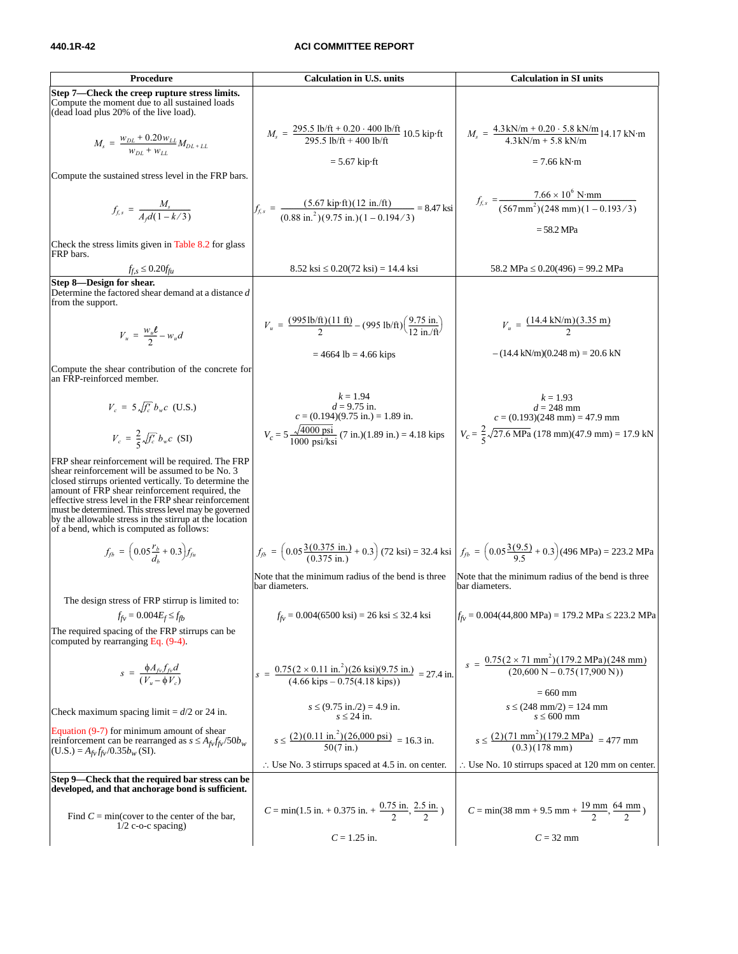#### **440.1R-42 ACI COMMITTEE REPORT**

| Procedure                                                                                                                                                                                                                                                                                                                                                                                                                                | <b>Calculation in U.S. units</b>                                                                                                                                                  | <b>Calculation in SI units</b>                                                                                                            |
|------------------------------------------------------------------------------------------------------------------------------------------------------------------------------------------------------------------------------------------------------------------------------------------------------------------------------------------------------------------------------------------------------------------------------------------|-----------------------------------------------------------------------------------------------------------------------------------------------------------------------------------|-------------------------------------------------------------------------------------------------------------------------------------------|
| Step 7—Check the creep rupture stress limits.<br>Compute the moment due to all sustained loads<br>(dead load plus 20% of the live load).                                                                                                                                                                                                                                                                                                 |                                                                                                                                                                                   |                                                                                                                                           |
| $M_s = \frac{w_{DL} + 0.20 w_{LL}}{w_{DL} + w_{LL}} M_{DL + LL}$                                                                                                                                                                                                                                                                                                                                                                         | $M_s = \frac{295.5 \text{ lb/ft} + 0.20 \cdot 400 \text{ lb/ft}}{295.5 \text{ lb/ft} + 400 \text{ lb/ft}} 10.5 \text{ kip-ft}$                                                    | $M_s = \frac{4.3 \text{ kN/m} + 0.20 \cdot 5.8 \text{ kN/m}}{4.3 \text{ kN/m} + 5.8 \text{ kN/m}} 14.17 \text{ kN-m}$                     |
|                                                                                                                                                                                                                                                                                                                                                                                                                                          | $= 5.67$ kip $\cdot$ ft                                                                                                                                                           | $= 7.66$ kN $\cdot$ m                                                                                                                     |
| Compute the sustained stress level in the FRP bars.                                                                                                                                                                                                                                                                                                                                                                                      |                                                                                                                                                                                   |                                                                                                                                           |
| $f_{f,s} = \frac{M_s}{A_d(1 - k/3)}$                                                                                                                                                                                                                                                                                                                                                                                                     | $f_{f,s} = \frac{(5.67 \text{ kip} \cdot \text{ft})(12 \text{ in.}/\text{ft})}{(0.88 \text{ in.}^2)(9.75 \text{ in.})(1 - 0.194/3)} = 8.47 \text{ ksi}$                           | $f_{f,s} = \frac{7.66 \times 10^6 \text{ N-mm}}{(567 \text{mm}^2)(248 \text{ mm})(1 - 0.193/3)}$                                          |
| Check the stress limits given in Table 8.2 for glass<br>FRP bars.                                                                                                                                                                                                                                                                                                                                                                        |                                                                                                                                                                                   | = 58.2 MPa                                                                                                                                |
| $f_{f,s} \leq 0.20 f_{fu}$                                                                                                                                                                                                                                                                                                                                                                                                               | $8.52$ ksi $\leq 0.20(72$ ksi) = 14.4 ksi                                                                                                                                         | 58.2 MPa ≤ 0.20(496) = 99.2 MPa                                                                                                           |
| Step 8-Design for shear.<br>Determine the factored shear demand at a distance d<br>from the support.                                                                                                                                                                                                                                                                                                                                     |                                                                                                                                                                                   |                                                                                                                                           |
| $V_u = \frac{w_u \ell}{2} - w_u d$                                                                                                                                                                                                                                                                                                                                                                                                       | $V_u = \frac{(995 \text{ lb/ft})(11 \text{ ft})}{2} - (995 \text{ lb/ft}) \left(\frac{9.75 \text{ in.}}{12 \text{ in.}/\text{ft}}\right)$                                         | $V_u = \frac{(14.4 \text{ kN/m})(3.35 \text{ m})}{2}$                                                                                     |
| Compute the shear contribution of the concrete for<br>an FRP-reinforced member.                                                                                                                                                                                                                                                                                                                                                          | $= 4664$ lb = 4.66 kips                                                                                                                                                           | $-(14.4 \text{ kN/m})(0.248 \text{ m}) = 20.6 \text{ kN}$                                                                                 |
| $V_c = 5 \sqrt{f'_c} b_w c$ (U.S.)                                                                                                                                                                                                                                                                                                                                                                                                       | $k = 1.94$<br>$d = 9.75$ in.<br>$c = (0.194)(9.75$ in.) = 1.89 in.                                                                                                                | $k = 1.93$<br>$d = 248$ mm<br>$c = (0.193)(248$ mm) = 47.9 mm                                                                             |
| $V_c = \frac{2}{5} \sqrt{f'_c} b_w c$ (SI)                                                                                                                                                                                                                                                                                                                                                                                               | $V_c = 5 \frac{\sqrt{4000 \text{ psi}}}{1000 \text{ psi/kg}}$ (7 in.)(1.89 in.) = 4.18 kips                                                                                       | $V_c = \frac{2}{5}\sqrt{27.6 \text{ MPa}} (178 \text{ mm})(47.9 \text{ mm}) = 17.9 \text{ kN}$                                            |
| FRP shear reinforcement will be required. The FRP<br>shear reinforcement will be assumed to be No. 3<br>closed stirrups oriented vertically. To determine the<br>amount of FRP shear reinforcement required, the<br>effective stress level in the FRP shear reinforcement<br>must be determined. This stress level may be governed<br>by the allowable stress in the stirrup at the location<br>of a bend, which is computed as follows: |                                                                                                                                                                                   |                                                                                                                                           |
| $f_{fb} = (0.05 \frac{r_b}{d} + 0.3) f_{fu}$                                                                                                                                                                                                                                                                                                                                                                                             | $f_{fb} = \left(0.05\frac{3(0.375 \text{ in.})}{(0.375 \text{ in.})} + 0.3\right)$ (72 ksi) = 32.4 ksi $f_{fb} = \left(0.05\frac{3(9.5)}{9.5} + 0.3\right)$ (496 MPa) = 223.2 MPa |                                                                                                                                           |
|                                                                                                                                                                                                                                                                                                                                                                                                                                          | Note that the minimum radius of the bend is three<br>bar diameters.                                                                                                               | Note that the minimum radius of the bend is three.<br>bar diameters.                                                                      |
| The design stress of FRP stirrup is limited to:<br>$f_{fv} = 0.004 E_f \leq f_{fb}$                                                                                                                                                                                                                                                                                                                                                      | $f_{fv} = 0.004(6500 \text{ ks}) = 26 \text{ ks} \leq 32.4 \text{ ks}$                                                                                                            | $f_{f\nu} = 0.004(44,800 \text{ MPa}) = 179.2 \text{ MPa} \le 223.2 \text{ MPa}$                                                          |
| The required spacing of the FRP stirrups can be.<br>computed by rearranging Eq. (9-4).                                                                                                                                                                                                                                                                                                                                                   |                                                                                                                                                                                   |                                                                                                                                           |
| $s = \frac{\phi A_{fv} f_{fv} d}{(V_u - \phi V_c)}$                                                                                                                                                                                                                                                                                                                                                                                      | $s = \frac{0.75(2 \times 0.11 \text{ in.}^2)(26 \text{ ksi})(9.75 \text{ in.})}{(4.66 \text{ kins} - 0.75(4.18 \text{ kips}))} = 27.4 \text{ in.}$                                | $s = \frac{0.75(2 \times 71 \text{ mm}^2)(179.2 \text{ MPa})(248 \text{ mm})}{(20,600 \text{ N} - 0.75(17,900 \text{ N}))}$<br>$= 660$ mm |
| Check maximum spacing limit = $d/2$ or 24 in.                                                                                                                                                                                                                                                                                                                                                                                            | $s \le (9.75 \text{ in.}/2) = 4.9 \text{ in.}$<br>$s \leq 24$ in.                                                                                                                 | $s \le (248 \text{ mm}/2) = 124 \text{ mm}$<br>$s \leq 600$ mm                                                                            |
| Equation $(9-7)$ for minimum amount of shear<br>reinforcement can be rearranged as $s \leq A_{f\nu} f_{f\nu} / 50 b_w$<br>$(U.S.) = A_{fv} f_{fv} / 0.35 b_w (SI).$                                                                                                                                                                                                                                                                      | $s \leq \frac{(2)(0.11 \text{ in.}^2)(26,000 \text{ psi})}{50(7 \text{ in.})} = 16.3 \text{ in.}$                                                                                 | $s \leq \frac{(2)(71 \text{ mm}^2)(179.2 \text{ MPa})}{(0.3)(178 \text{ mm})} = 477 \text{ mm}$                                           |
|                                                                                                                                                                                                                                                                                                                                                                                                                                          | $\therefore$ Use No. 3 stirrups spaced at 4.5 in. on center.                                                                                                                      | $\therefore$ Use No. 10 stirrups spaced at 120 mm on center.                                                                              |
| Step 9—Check that the required bar stress can be<br>developed, and that anchorage bond is sufficient.                                                                                                                                                                                                                                                                                                                                    |                                                                                                                                                                                   |                                                                                                                                           |
| Find $C = min$ (cover to the center of the bar,<br>$1/2$ c-o-c spacing)                                                                                                                                                                                                                                                                                                                                                                  | $C = min(1.5 in. + 0.375 in. + \frac{0.75 in.}{2}, \frac{2.5 in.}{2})$                                                                                                            | $C = min(38 \text{ mm} + 9.5 \text{ mm} + \frac{19 \text{ mm}}{2}, \frac{64 \text{ mm}}{2})$                                              |
|                                                                                                                                                                                                                                                                                                                                                                                                                                          | $C = 1.25$ in.                                                                                                                                                                    | $C = 32$ mm                                                                                                                               |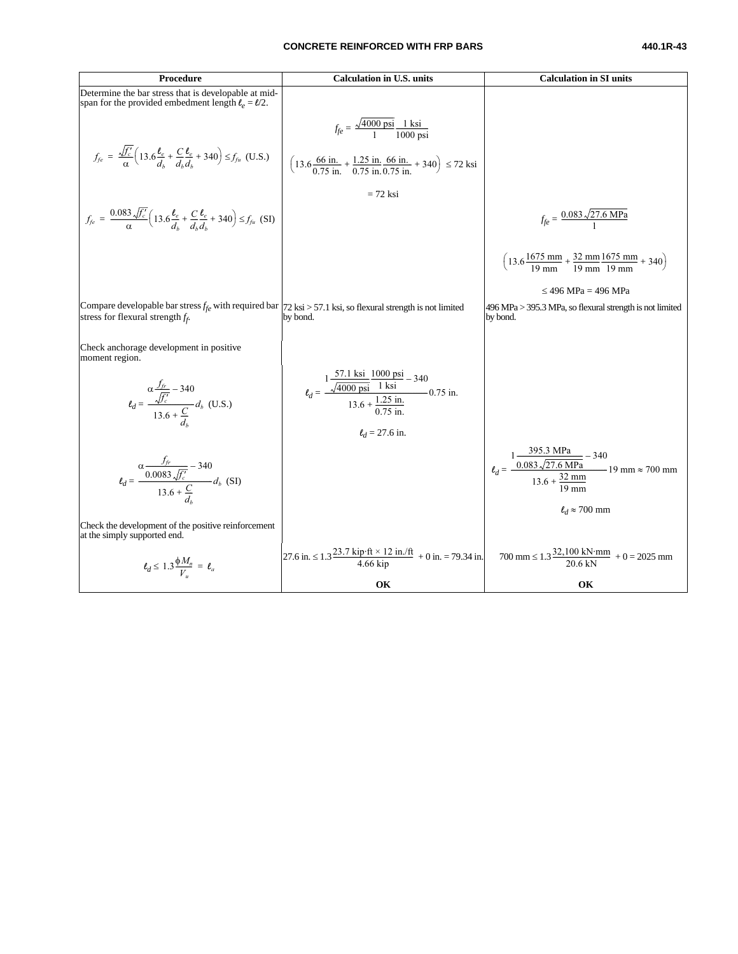#### **CONCRETE REINFORCED WITH FRP BARS 440.1R-43**

| Procedure                                                                                                                                                                    | <b>Calculation in U.S. units</b>                                                                                                                                          | <b>Calculation in SI units</b>                                                                                                                         |
|------------------------------------------------------------------------------------------------------------------------------------------------------------------------------|---------------------------------------------------------------------------------------------------------------------------------------------------------------------------|--------------------------------------------------------------------------------------------------------------------------------------------------------|
| Determine the bar stress that is developable at mid-<br>span for the provided embedment length $\ell_e = l/2$ .                                                              |                                                                                                                                                                           |                                                                                                                                                        |
|                                                                                                                                                                              | $f_{fe} = \frac{\sqrt{4000 \text{ psi}}}{1} \frac{1 \text{ ksi}}{1000 \text{ psi}}$                                                                                       |                                                                                                                                                        |
| $f_{fe} = \frac{\sqrt{f'_c}}{\alpha} \left( 13.6 \frac{\ell_e}{d} + \frac{C}{d_u} \frac{\ell_e}{d_u} + 340 \right) \le f_{fu}$ (U.S.)                                        | $\left(13.6\frac{66 \text{ in.}}{0.75 \text{ in.}} + \frac{1.25 \text{ in.}}{0.75 \text{ in.}} + \frac{66 \text{ in.}}{0.75 \text{ in.}} + 340\right) \le 72 \text{ ksi}$ |                                                                                                                                                        |
|                                                                                                                                                                              | $= 72$ ksi                                                                                                                                                                |                                                                                                                                                        |
| $f_{fe} = \frac{0.083 \sqrt{f_c}}{\alpha} \left( 13.6 \frac{\ell_e}{d} + \frac{C}{d} \frac{\ell_e}{d} + 340 \right) \le f_{fu}$ (SI)                                         |                                                                                                                                                                           | $f_{fe} = \frac{0.083 \sqrt{27.6 \text{ MPa}}}{1}$                                                                                                     |
|                                                                                                                                                                              |                                                                                                                                                                           | $\left(13.6\frac{1675 \text{ mm}}{19 \text{ mm}} + \frac{32 \text{ mm}}{19 \text{ mm}}\frac{1675 \text{ mm}}{19 \text{ mm}} + 340\right)$              |
|                                                                                                                                                                              |                                                                                                                                                                           | $\leq$ 496 MPa = 496 MPa                                                                                                                               |
| Compare developable bar stress $f_{fe}$ with required bar $ 72 \text{ ksi} > 57.1 \text{ ksi}$ , so flexural strength is not limited<br>stress for flexural strength $f_f$ . | by bond.                                                                                                                                                                  | 496 MPa > 395.3 MPa, so flexural strength is not limited<br>by bond.                                                                                   |
| Check anchorage development in positive<br>moment region.                                                                                                                    |                                                                                                                                                                           |                                                                                                                                                        |
| $\ell_d = \frac{\alpha \frac{f_{fr}}{\sqrt{f_c}} - 340}{13.6 + \frac{C}{d}} d_b$ (U.S.)                                                                                      | $\ell_d = \frac{1 \frac{57.1 \text{ KST}}{\sqrt{4000 \text{ psi}} - 1 \text{ ksi}} - 340}{13.6 + \frac{1.25 \text{ in.}}{275 \text{ in.}}} 0.75 \text{ in.}$              |                                                                                                                                                        |
|                                                                                                                                                                              | $\ell_d$ = 27.6 in.                                                                                                                                                       |                                                                                                                                                        |
| $\ell_d = \frac{\alpha \frac{J_{fv}}{0.0083 \sqrt{f_c}} - 340}{13.6 + \frac{C}{d}} d_b \text{ (SI)}$                                                                         |                                                                                                                                                                           | $\ell_d = \frac{1 \frac{395.3 \text{ MPa}}{0.083 \sqrt{27.6 \text{ MPa}}} - 340}{13.6 + \frac{32 \text{ mm}}{2}} 19 \text{ mm} \approx 700 \text{ mm}$ |
| Check the development of the positive reinforcement<br>at the simply supported end.                                                                                          |                                                                                                                                                                           | $\ell_d \approx 700$ mm                                                                                                                                |
| $\ell_d \leq 1.3 \frac{\phi M_n}{V} = \ell_a$                                                                                                                                | 27.6 in. ≤ 1.3 $\frac{23.7 \text{ kip} \cdot \text{ft} \times 12 \text{ in.}/\text{ft}}{4.66 \text{ kip}}$ + 0 in. = 79.34 in.                                            | $700 \text{ mm} \le 1.3 \frac{32,100 \text{ kN} \cdot \text{mm}}{20.6 \text{ kN}} + 0 = 2025 \text{ mm}$                                               |
|                                                                                                                                                                              | OК                                                                                                                                                                        | OК                                                                                                                                                     |